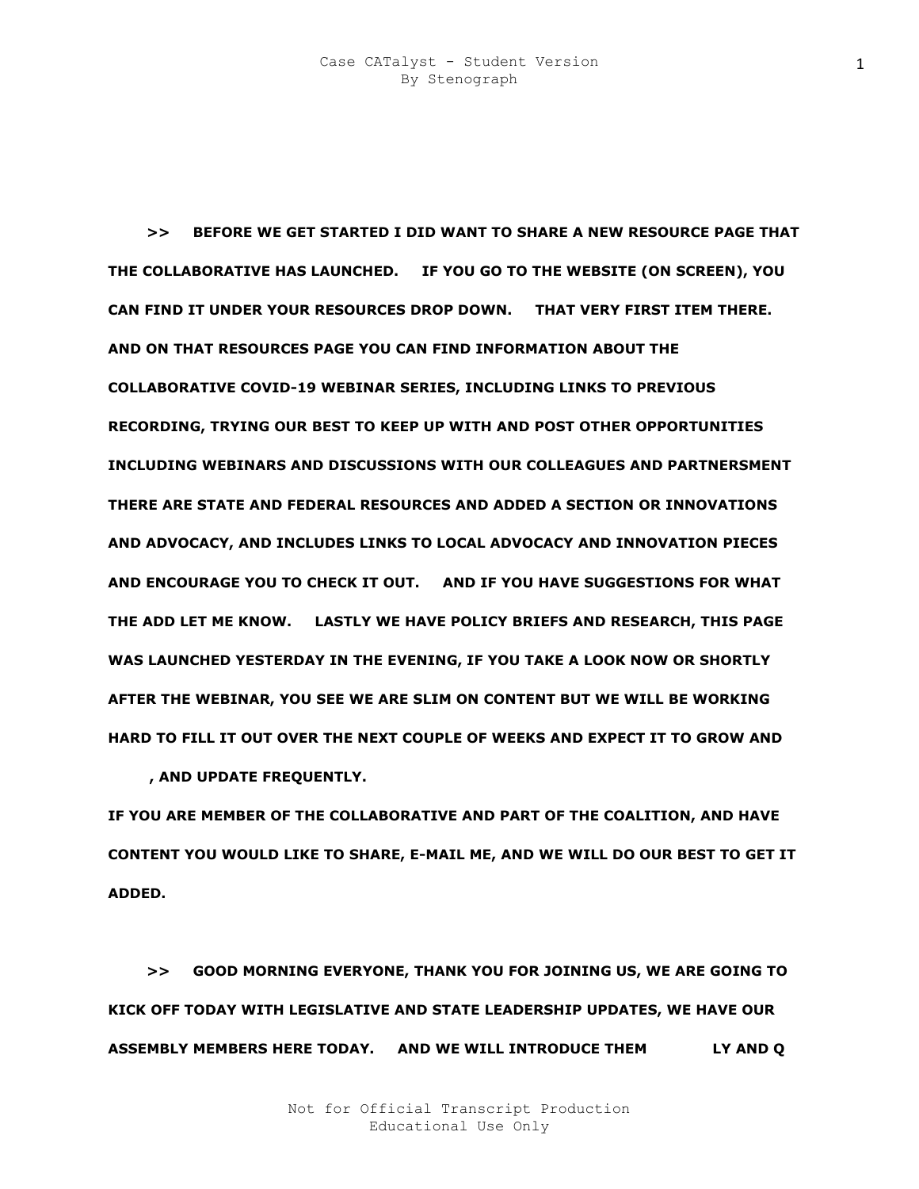**>> BEFORE WE GET STARTED I DID WANT TO SHARE A NEW RESOURCE PAGE THAT THE COLLABORATIVE HAS LAUNCHED. IF YOU GO TO THE WEBSITE (ON SCREEN), YOU CAN FIND IT UNDER YOUR RESOURCES DROP DOWN. THAT VERY FIRST ITEM THERE. AND ON THAT RESOURCES PAGE YOU CAN FIND INFORMATION ABOUT THE COLLABORATIVE COVID-19 WEBINAR SERIES, INCLUDING LINKS TO PREVIOUS RECORDING, TRYING OUR BEST TO KEEP UP WITH AND POST OTHER OPPORTUNITIES INCLUDING WEBINARS AND DISCUSSIONS WITH OUR COLLEAGUES AND PARTNERSMENT THERE ARE STATE AND FEDERAL RESOURCES AND ADDED A SECTION OR INNOVATIONS AND ADVOCACY, AND INCLUDES LINKS TO LOCAL ADVOCACY AND INNOVATION PIECES AND ENCOURAGE YOU TO CHECK IT OUT. AND IF YOU HAVE SUGGESTIONS FOR WHAT THE ADD LET ME KNOW. LASTLY WE HAVE POLICY BRIEFS AND RESEARCH, THIS PAGE WAS LAUNCHED YESTERDAY IN THE EVENING, IF YOU TAKE A LOOK NOW OR SHORTLY AFTER THE WEBINAR, YOU SEE WE ARE SLIM ON CONTENT BUT WE WILL BE WORKING HARD TO FILL IT OUT OVER THE NEXT COUPLE OF WEEKS AND EXPECT IT TO GROW AND EL**

**VANT, AND UPDATE FREQUENTLY.** 

**IF YOU ARE MEMBER OF THE COLLABORATIVE AND PART OF THE COALITION, AND HAVE CONTENT YOU WOULD LIKE TO SHARE, E-MAIL ME, AND WE WILL DO OUR BEST TO GET IT ADDED.** 

 **>> GOOD MORNING EVERYONE, THANK YOU FOR JOINING US, WE ARE GOING TO KICK OFF TODAY WITH LEGISLATIVE AND STATE LEADERSHIP UPDATES, WE HAVE OUR ASSEMBLY MEMBERS HERE TODAY. AND WE WILL INTRODUCE THEM SHORLY AND Q**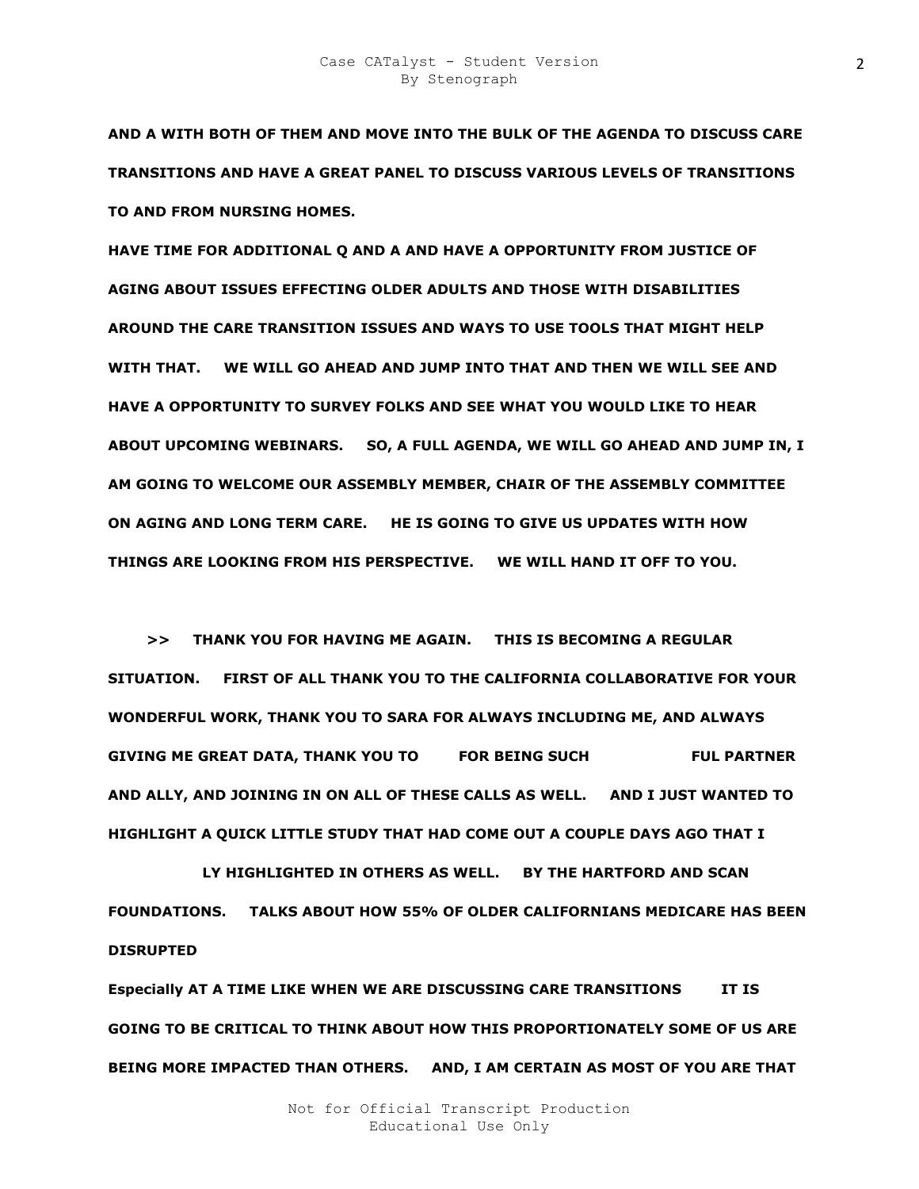**AND A WITH BOTH OF THEM AND MOVE INTO THE BULK OF THE AGENDA TO DISCUSS CARE TRANSITIONS AND HAVE A GREAT PANEL TO DISCUSS VARIOUS LEVELS OF TRANSITIONS TO AND FROM NURSING HOMES.** 

**HAVE TIME FOR ADDITIONAL Q AND A AND HAVE A OPPORTUNITY FROM JUSTICE OF AGING ABOUT ISSUES EFFECTING OLDER ADULTS AND THOSE WITH DISABILITIES AROUND THE CARE TRANSITION ISSUES AND WAYS TO USE TOOLS THAT MIGHT HELP WITH THAT. WE WILL GO AHEAD AND JUMP INTO THAT AND THEN WE WILL SEE AND HAVE A OPPORTUNITY TO SURVEY FOLKS AND SEE WHAT YOU WOULD LIKE TO HEAR ABOUT UPCOMING WEBINARS. SO, A FULL AGENDA, WE WILL GO AHEAD AND JUMP IN, I AM GOING TO WELCOME OUR ASSEMBLY MEMBER, CHAIR OF THE ASSEMBLY COMMITTEE ON AGING AND LONG TERM CARE. HE IS GOING TO GIVE US UPDATES WITH HOW THINGS ARE LOOKING FROM HIS PERSPECTIVE. WE WILL HAND IT OFF TO YOU.** 

 **>> THANK YOU FOR HAVING ME AGAIN. THIS IS BECOMING A REGULAR SITUATION. FIRST OF ALL THANK YOU TO THE CALIFORNIA COLLABORATIVE FOR YOUR WONDERFUL WORK, THANK YOU TO SARA FOR ALWAYS INCLUDING ME, AND ALWAYS GIVING ME GREAT DATA, THANK YOU TO FOR BEING SUCH FUL PARTNER AND ALLY, AND JOINING IN ON ALL OF THESE CALLS AS WELL. AND I JUST WANTED TO HIGHLIGHT A QUICK LITTLE STUDY THAT HAD COME OUT A COUPLE DAYS AGO THAT I** 

LY HIGHLIGHTED IN OTHERS AS WELL. BY THE HARTFORD AND SCAN **FOUNDATIONS. TALKS ABOUT HOW 55% OF OLDER CALIFORNIANS MEDICARE HAS BEEN DISRUPTED** 

**Especially AT A TIME LIKE WHEN WE ARE DISCUSSING CARE TRANSITIONS IT IS GOING TO BE CRITICAL TO THINK ABOUT HOW THIS PROPORTIONATELY SOME OF US ARE BEING MORE IMPACTED THAN OTHERS. AND, I AM CERTAIN AS MOST OF YOU ARE THAT**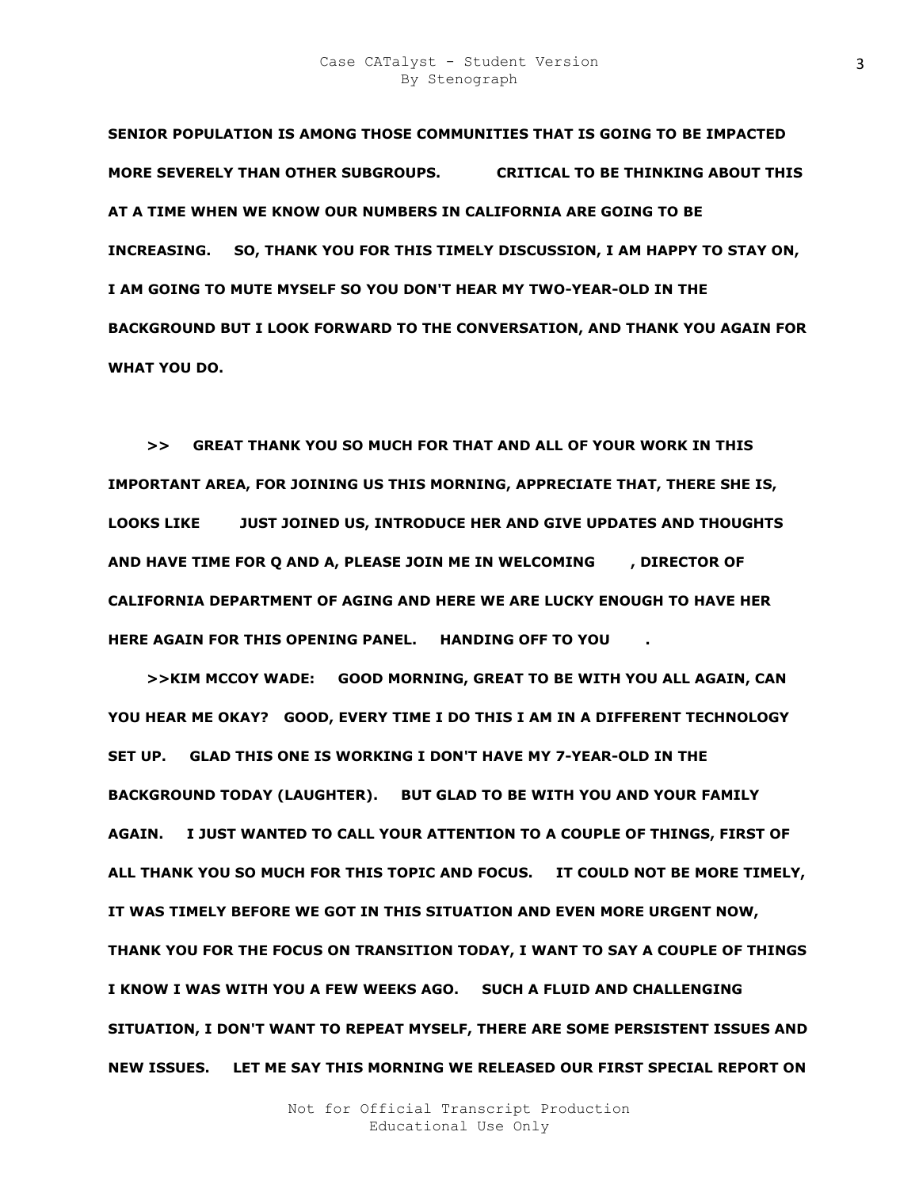**SENIOR POPULATION IS AMONG THOSE COMMUNITIES THAT IS GOING TO BE IMPACTED MORE SEVERELY THAN OTHER SUBGROUPS. CRITICAL TO BE THINKING ABOUT THIS AT A TIME WHEN WE KNOW OUR NUMBERS IN CALIFORNIA ARE GOING TO BE INCREASING. SO, THANK YOU FOR THIS TIMELY DISCUSSION, I AM HAPPY TO STAY ON, I AM GOING TO MUTE MYSELF SO YOU DON'T HEAR MY TWO-YEAR-OLD IN THE BACKGROUND BUT I LOOK FORWARD TO THE CONVERSATION, AND THANK YOU AGAIN FOR WHAT YOU DO.** 

 **>> GREAT THANK YOU SO MUCH FOR THAT AND ALL OF YOUR WORK IN THIS IMPORTANT AREA, FOR JOINING US THIS MORNING, APPRECIATE THAT, THERE SHE IS, LOOKS LIKE KIM JUST JOINED US, INTRODUCE HER AND GIVE UPDATES AND THOUGHTS AND HAVE TIME FOR Q AND A, PLEASE JOIN ME IN WELCOMING FIRECTOR OF CALIFORNIA DEPARTMENT OF AGING AND HERE WE ARE LUCKY ENOUGH TO HAVE HER HERE AGAIN FOR THIS OPENING PANEL. HANDING OFF TO YOU** 

 **>>KIM MCCOY WADE: GOOD MORNING, GREAT TO BE WITH YOU ALL AGAIN, CAN YOU HEAR ME OKAY? GOOD, EVERY TIME I DO THIS I AM IN A DIFFERENT TECHNOLOGY SET UP. GLAD THIS ONE IS WORKING I DON'T HAVE MY 7-YEAR-OLD IN THE BACKGROUND TODAY (LAUGHTER). BUT GLAD TO BE WITH YOU AND YOUR FAMILY AGAIN. I JUST WANTED TO CALL YOUR ATTENTION TO A COUPLE OF THINGS, FIRST OF ALL THANK YOU SO MUCH FOR THIS TOPIC AND FOCUS. IT COULD NOT BE MORE TIMELY, IT WAS TIMELY BEFORE WE GOT IN THIS SITUATION AND EVEN MORE URGENT NOW, THANK YOU FOR THE FOCUS ON TRANSITION TODAY, I WANT TO SAY A COUPLE OF THINGS I KNOW I WAS WITH YOU A FEW WEEKS AGO. SUCH A FLUID AND CHALLENGING SITUATION, I DON'T WANT TO REPEAT MYSELF, THERE ARE SOME PERSISTENT ISSUES AND NEW ISSUES. LET ME SAY THIS MORNING WE RELEASED OUR FIRST SPECIAL REPORT ON**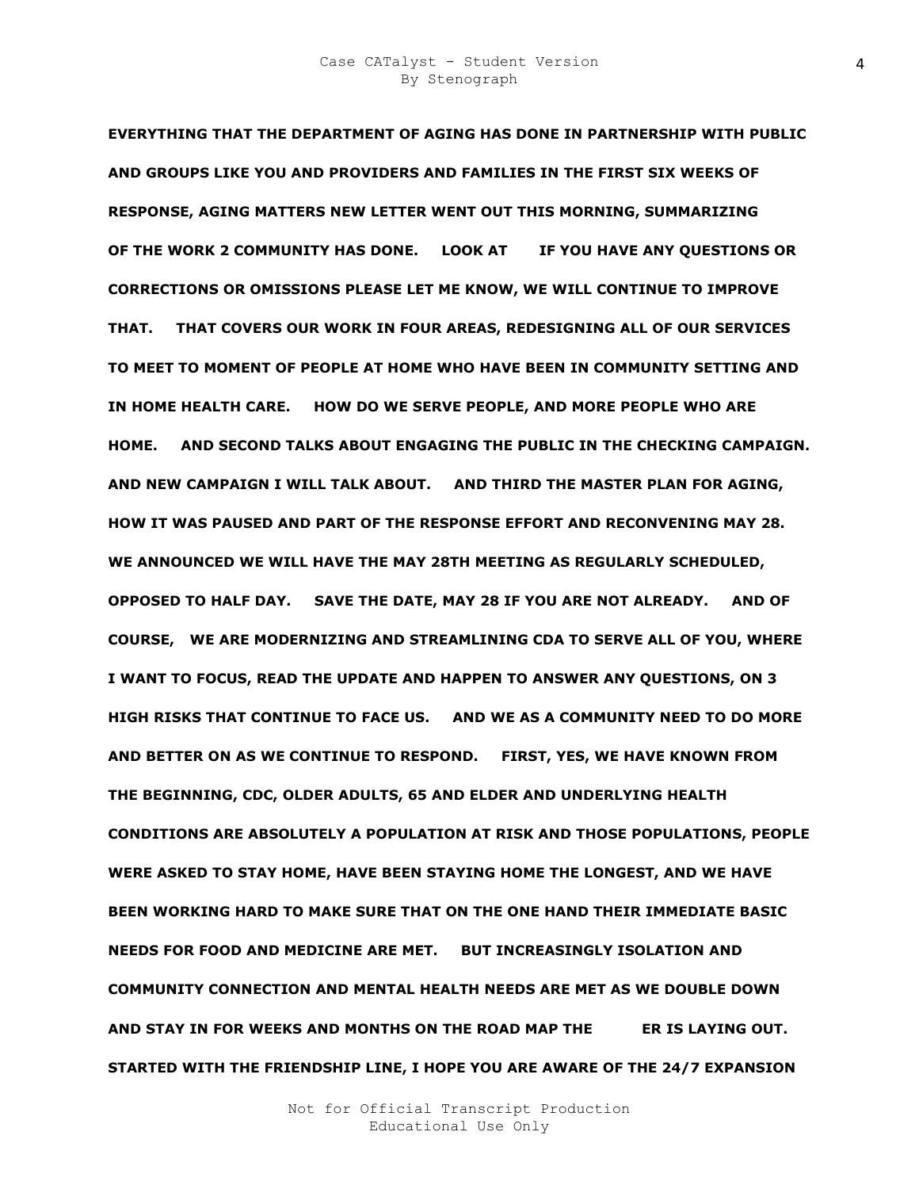**EVERYTHING THAT THE DEPARTMENT OF AGING HAS DONE IN PARTNERSHIP WITH PUBLIC AND GROUPS LIKE YOU AND PROVIDERS AND FAMILIES IN THE FIRST SIX WEEKS OF RESPONSE, AGING MATTERS NEW LETTER WENT OUT THIS MORNING, SUMMARIZING OF THE WORK 2 COMMUNITY HAS DONE. LOOK AT NA IF YOU HAVE ANY QUESTIONS OR CORRECTIONS OR OMISSIONS PLEASE LET ME KNOW, WE WILL CONTINUE TO IMPROVE THAT. THAT COVERS OUR WORK IN FOUR AREAS, REDESIGNING ALL OF OUR SERVICES TO MEET TO MOMENT OF PEOPLE AT HOME WHO HAVE BEEN IN COMMUNITY SETTING AND IN HOME HEALTH CARE. HOW DO WE SERVE PEOPLE, AND MORE PEOPLE WHO ARE HOME. AND SECOND TALKS ABOUT ENGAGING THE PUBLIC IN THE CHECKING CAMPAIGN. AND NEW CAMPAIGN I WILL TALK ABOUT. AND THIRD THE MASTER PLAN FOR AGING, HOW IT WAS PAUSED AND PART OF THE RESPONSE EFFORT AND RECONVENING MAY 28. WE ANNOUNCED WE WILL HAVE THE MAY 28TH MEETING AS REGULARLY SCHEDULED, OPPOSED TO HALF DAY. SAVE THE DATE, MAY 28 IF YOU ARE NOT ALREADY. AND OF COURSE, WE ARE MODERNIZING AND STREAMLINING CDA TO SERVE ALL OF YOU, WHERE I WANT TO FOCUS, READ THE UPDATE AND HAPPEN TO ANSWER ANY QUESTIONS, ON 3 HIGH RISKS THAT CONTINUE TO FACE US. AND WE AS A COMMUNITY NEED TO DO MORE AND BETTER ON AS WE CONTINUE TO RESPOND. FIRST, YES, WE HAVE KNOWN FROM THE BEGINNING, CDC, OLDER ADULTS, 65 AND ELDER AND UNDERLYING HEALTH CONDITIONS ARE ABSOLUTELY A POPULATION AT RISK AND THOSE POPULATIONS, PEOPLE WERE ASKED TO STAY HOME, HAVE BEEN STAYING HOME THE LONGEST, AND WE HAVE BEEN WORKING HARD TO MAKE SURE THAT ON THE ONE HAND THEIR IMMEDIATE BASIC NEEDS FOR FOOD AND MEDICINE ARE MET. BUT INCREASINGLY ISOLATION AND COMMUNITY CONNECTION AND MENTAL HEALTH NEEDS ARE MET AS WE DOUBLE DOWN AND STAY IN FOR WEEKS AND MONTHS ON THE ROAD MAP THE GORNER IS LAYING OUT. STARTED WITH THE FRIENDSHIP LINE, I HOPE YOU ARE AWARE OF THE 24/7 EXPANSION**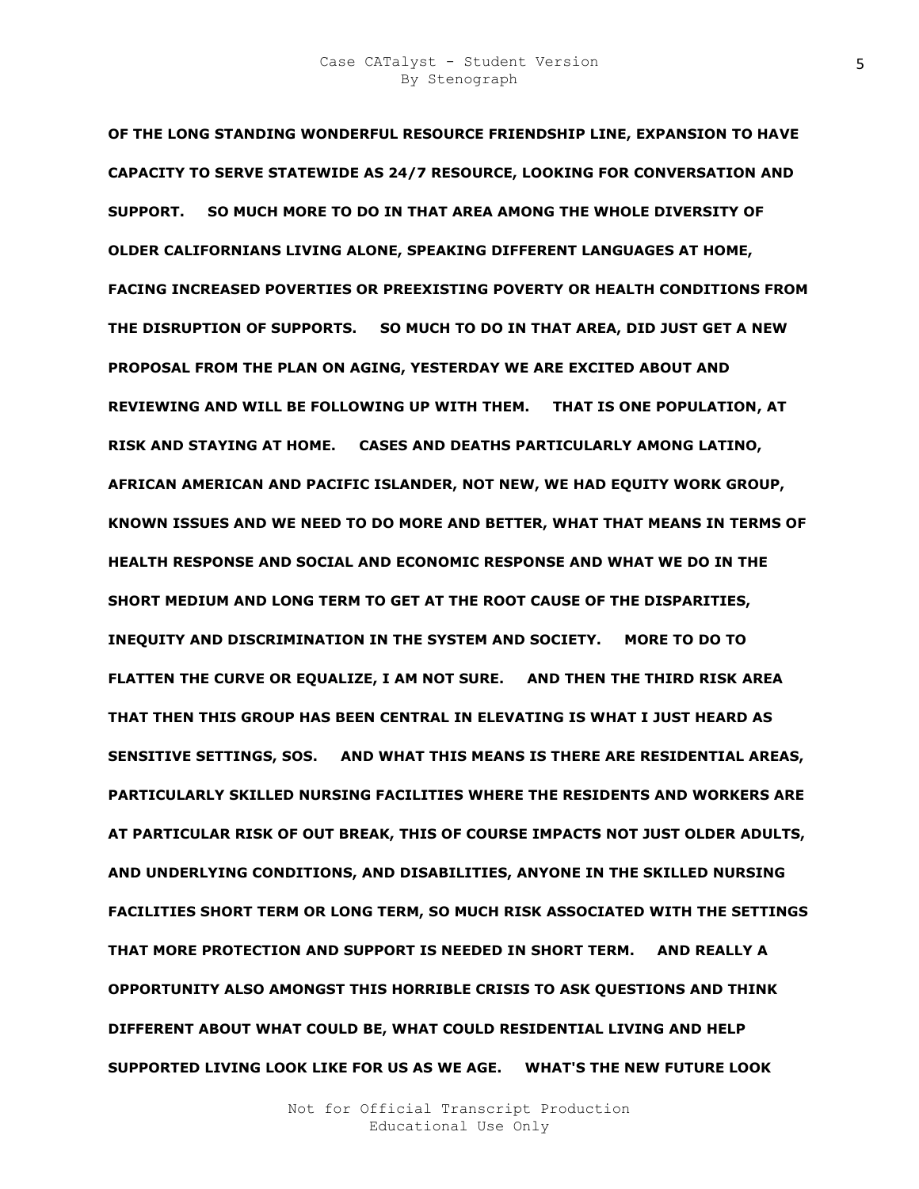**OF THE LONG STANDING WONDERFUL RESOURCE FRIENDSHIP LINE, EXPANSION TO HAVE CAPACITY TO SERVE STATEWIDE AS 24/7 RESOURCE, LOOKING FOR CONVERSATION AND SUPPORT. SO MUCH MORE TO DO IN THAT AREA AMONG THE WHOLE DIVERSITY OF OLDER CALIFORNIANS LIVING ALONE, SPEAKING DIFFERENT LANGUAGES AT HOME, FACING INCREASED POVERTIES OR PREEXISTING POVERTY OR HEALTH CONDITIONS FROM THE DISRUPTION OF SUPPORTS. SO MUCH TO DO IN THAT AREA, DID JUST GET A NEW PROPOSAL FROM THE PLAN ON AGING, YESTERDAY WE ARE EXCITED ABOUT AND REVIEWING AND WILL BE FOLLOWING UP WITH THEM. THAT IS ONE POPULATION, AT RISK AND STAYING AT HOME. CASES AND DEATHS PARTICULARLY AMONG LATINO, AFRICAN AMERICAN AND PACIFIC ISLANDER, NOT NEW, WE HAD EQUITY WORK GROUP, KNOWN ISSUES AND WE NEED TO DO MORE AND BETTER, WHAT THAT MEANS IN TERMS OF HEALTH RESPONSE AND SOCIAL AND ECONOMIC RESPONSE AND WHAT WE DO IN THE SHORT MEDIUM AND LONG TERM TO GET AT THE ROOT CAUSE OF THE DISPARITIES, INEQUITY AND DISCRIMINATION IN THE SYSTEM AND SOCIETY. MORE TO DO TO FLATTEN THE CURVE OR EQUALIZE, I AM NOT SURE. AND THEN THE THIRD RISK AREA THAT THEN THIS GROUP HAS BEEN CENTRAL IN ELEVATING IS WHAT I JUST HEARD AS SENSITIVE SETTINGS, SOS. AND WHAT THIS MEANS IS THERE ARE RESIDENTIAL AREAS, PARTICULARLY SKILLED NURSING FACILITIES WHERE THE RESIDENTS AND WORKERS ARE AT PARTICULAR RISK OF OUT BREAK, THIS OF COURSE IMPACTS NOT JUST OLDER ADULTS, AND UNDERLYING CONDITIONS, AND DISABILITIES, ANYONE IN THE SKILLED NURSING FACILITIES SHORT TERM OR LONG TERM, SO MUCH RISK ASSOCIATED WITH THE SETTINGS THAT MORE PROTECTION AND SUPPORT IS NEEDED IN SHORT TERM. AND REALLY A OPPORTUNITY ALSO AMONGST THIS HORRIBLE CRISIS TO ASK QUESTIONS AND THINK DIFFERENT ABOUT WHAT COULD BE, WHAT COULD RESIDENTIAL LIVING AND HELP SUPPORTED LIVING LOOK LIKE FOR US AS WE AGE. WHAT'S THE NEW FUTURE LOOK**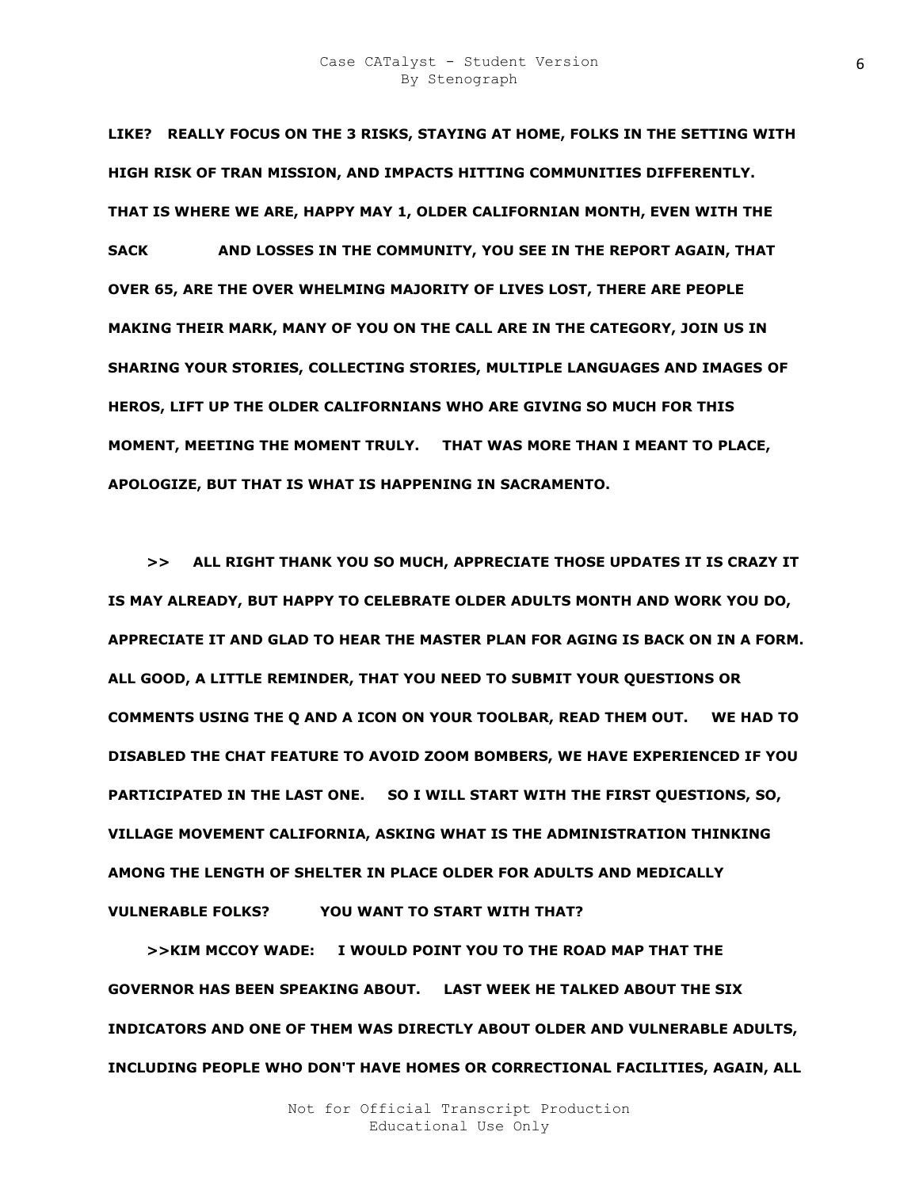**LIKE? REALLY FOCUS ON THE 3 RISKS, STAYING AT HOME, FOLKS IN THE SETTING WITH HIGH RISK OF TRAN MISSION, AND IMPACTS HITTING COMMUNITIES DIFFERENTLY. THAT IS WHERE WE ARE, HAPPY MAY 1, OLDER CALIFORNIAN MONTH, EVEN WITH THE SACK AND LOSSES IN THE COMMUNITY, YOU SEE IN THE REPORT AGAIN, THAT OVER 65, ARE THE OVER WHELMING MAJORITY OF LIVES LOST, THERE ARE PEOPLE MAKING THEIR MARK, MANY OF YOU ON THE CALL ARE IN THE CATEGORY, JOIN US IN SHARING YOUR STORIES, COLLECTING STORIES, MULTIPLE LANGUAGES AND IMAGES OF HEROS, LIFT UP THE OLDER CALIFORNIANS WHO ARE GIVING SO MUCH FOR THIS MOMENT, MEETING THE MOMENT TRULY. THAT WAS MORE THAN I MEANT TO PLACE, APOLOGIZE, BUT THAT IS WHAT IS HAPPENING IN SACRAMENTO.** 

 **>> ALL RIGHT THANK YOU SO MUCH, APPRECIATE THOSE UPDATES IT IS CRAZY IT IS MAY ALREADY, BUT HAPPY TO CELEBRATE OLDER ADULTS MONTH AND WORK YOU DO, APPRECIATE IT AND GLAD TO HEAR THE MASTER PLAN FOR AGING IS BACK ON IN A FORM. ALL GOOD, A LITTLE REMINDER, THAT YOU NEED TO SUBMIT YOUR QUESTIONS OR COMMENTS USING THE Q AND A ICON ON YOUR TOOLBAR, READ THEM OUT. WE HAD TO DISABLED THE CHAT FEATURE TO AVOID ZOOM BOMBERS, WE HAVE EXPERIENCED IF YOU PARTICIPATED IN THE LAST ONE. SO I WILL START WITH THE FIRST QUESTIONS, SO, VILLAGE MOVEMENT CALIFORNIA, ASKING WHAT IS THE ADMINISTRATION THINKING AMONG THE LENGTH OF SHELTER IN PLACE OLDER FOR ADULTS AND MEDICALLY VULNERABLE FOLKS?** YOU WANT TO START WITH THAT?

 **>>KIM MCCOY WADE: I WOULD POINT YOU TO THE ROAD MAP THAT THE GOVERNOR HAS BEEN SPEAKING ABOUT. LAST WEEK HE TALKED ABOUT THE SIX INDICATORS AND ONE OF THEM WAS DIRECTLY ABOUT OLDER AND VULNERABLE ADULTS, INCLUDING PEOPLE WHO DON'T HAVE HOMES OR CORRECTIONAL FACILITIES, AGAIN, ALL**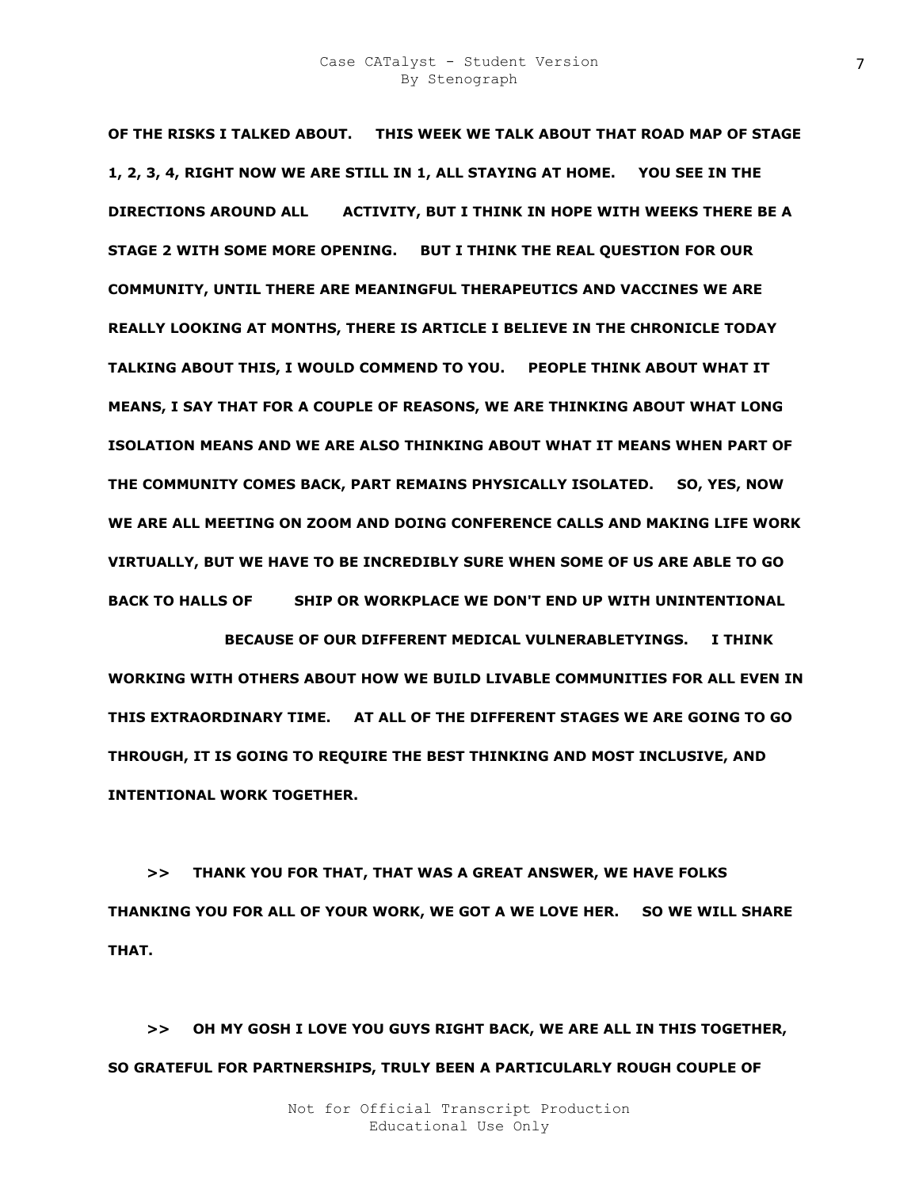**OF THE RISKS I TALKED ABOUT. THIS WEEK WE TALK ABOUT THAT ROAD MAP OF STAGE 1, 2, 3, 4, RIGHT NOW WE ARE STILL IN 1, ALL STAYING AT HOME. YOU SEE IN THE DIRECTIONS AROUND ALL F O ACTIVITY, BUT I THINK IN HOPE WITH WEEKS THERE BE A STAGE 2 WITH SOME MORE OPENING. BUT I THINK THE REAL QUESTION FOR OUR COMMUNITY, UNTIL THERE ARE MEANINGFUL THERAPEUTICS AND VACCINES WE ARE REALLY LOOKING AT MONTHS, THERE IS ARTICLE I BELIEVE IN THE CHRONICLE TODAY TALKING ABOUT THIS, I WOULD COMMEND TO YOU. PEOPLE THINK ABOUT WHAT IT MEANS, I SAY THAT FOR A COUPLE OF REASONS, WE ARE THINKING ABOUT WHAT LONG ISOLATION MEANS AND WE ARE ALSO THINKING ABOUT WHAT IT MEANS WHEN PART OF THE COMMUNITY COMES BACK, PART REMAINS PHYSICALLY ISOLATED. SO, YES, NOW WE ARE ALL MEETING ON ZOOM AND DOING CONFERENCE CALLS AND MAKING LIFE WORK VIRTUALLY, BUT WE HAVE TO BE INCREDIBLY SURE WHEN SOME OF US ARE ABLE TO GO**  BACK TO HALLS OF SHIP OR WORKPLACE WE DON'T END UP WITH UNINTENTIONAL

**SEG GRE GAGS BECAUSE OF OUR DIFFERENT MEDICAL VULNERABLETYINGS. I THINK WORKING WITH OTHERS ABOUT HOW WE BUILD LIVABLE COMMUNITIES FOR ALL EVEN IN THIS EXTRAORDINARY TIME. AT ALL OF THE DIFFERENT STAGES WE ARE GOING TO GO THROUGH, IT IS GOING TO REQUIRE THE BEST THINKING AND MOST INCLUSIVE, AND INTENTIONAL WORK TOGETHER.** 

 **>> THANK YOU FOR THAT, THAT WAS A GREAT ANSWER, WE HAVE FOLKS THANKING YOU FOR ALL OF YOUR WORK, WE GOT A WE LOVE HER. SO WE WILL SHARE THAT.** 

 **>> OH MY GOSH I LOVE YOU GUYS RIGHT BACK, WE ARE ALL IN THIS TOGETHER, SO GRATEFUL FOR PARTNERSHIPS, TRULY BEEN A PARTICULARLY ROUGH COUPLE OF**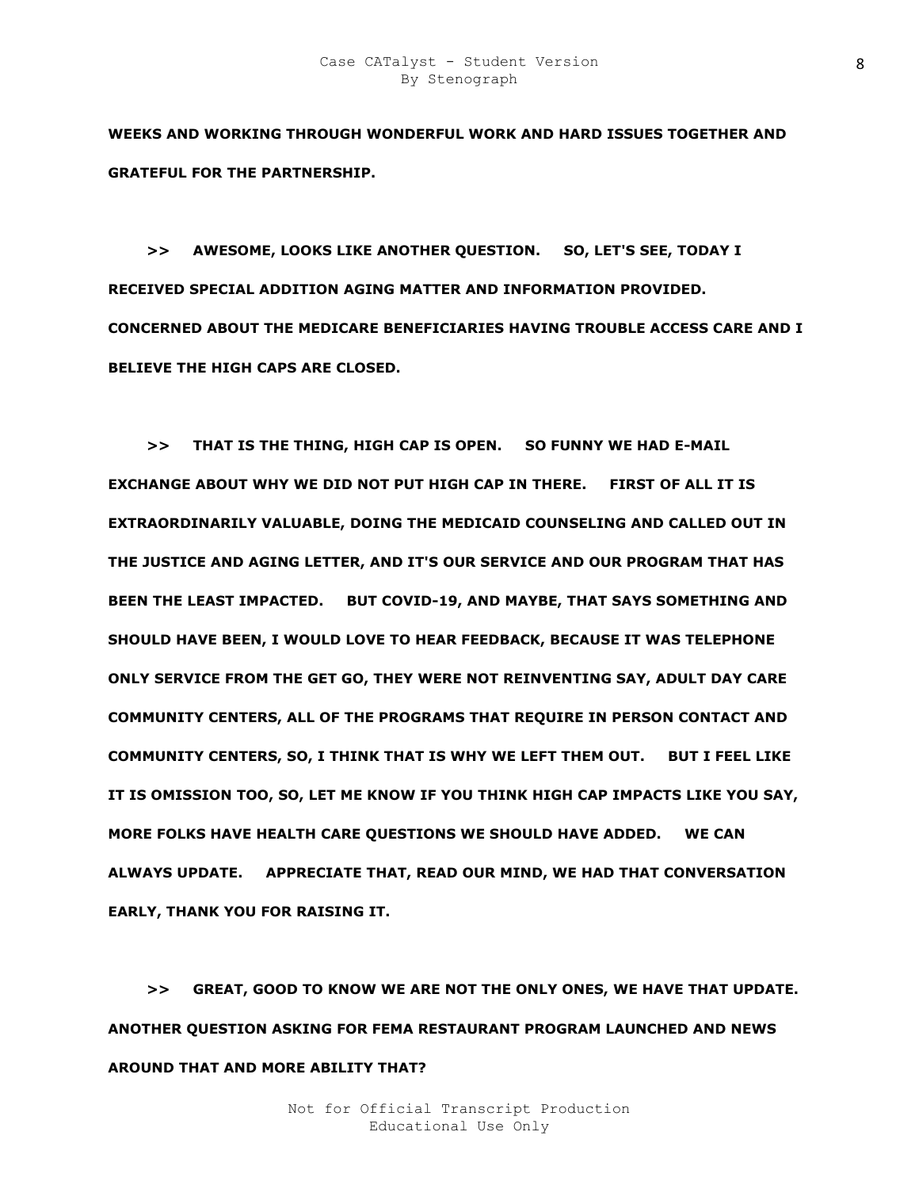**WEEKS AND WORKING THROUGH WONDERFUL WORK AND HARD ISSUES TOGETHER AND GRATEFUL FOR THE PARTNERSHIP.** 

 **>> AWESOME, LOOKS LIKE ANOTHER QUESTION. SO, LET'S SEE, TODAY I RECEIVED SPECIAL ADDITION AGING MATTER AND INFORMATION PROVIDED. CONCERNED ABOUT THE MEDICARE BENEFICIARIES HAVING TROUBLE ACCESS CARE AND I BELIEVE THE HIGH CAPS ARE CLOSED.** 

 **>> THAT IS THE THING, HIGH CAP IS OPEN. SO FUNNY WE HAD E-MAIL EXCHANGE ABOUT WHY WE DID NOT PUT HIGH CAP IN THERE. FIRST OF ALL IT IS EXTRAORDINARILY VALUABLE, DOING THE MEDICAID COUNSELING AND CALLED OUT IN THE JUSTICE AND AGING LETTER, AND IT'S OUR SERVICE AND OUR PROGRAM THAT HAS BEEN THE LEAST IMPACTED. BUT COVID-19, AND MAYBE, THAT SAYS SOMETHING AND SHOULD HAVE BEEN, I WOULD LOVE TO HEAR FEEDBACK, BECAUSE IT WAS TELEPHONE ONLY SERVICE FROM THE GET GO, THEY WERE NOT REINVENTING SAY, ADULT DAY CARE COMMUNITY CENTERS, ALL OF THE PROGRAMS THAT REQUIRE IN PERSON CONTACT AND COMMUNITY CENTERS, SO, I THINK THAT IS WHY WE LEFT THEM OUT. BUT I FEEL LIKE IT IS OMISSION TOO, SO, LET ME KNOW IF YOU THINK HIGH CAP IMPACTS LIKE YOU SAY, MORE FOLKS HAVE HEALTH CARE QUESTIONS WE SHOULD HAVE ADDED. WE CAN ALWAYS UPDATE. APPRECIATE THAT, READ OUR MIND, WE HAD THAT CONVERSATION EARLY, THANK YOU FOR RAISING IT.** 

 **>> GREAT, GOOD TO KNOW WE ARE NOT THE ONLY ONES, WE HAVE THAT UPDATE. ANOTHER QUESTION ASKING FOR FEMA RESTAURANT PROGRAM LAUNCHED AND NEWS AROUND THAT AND MORE ABILITY THAT?**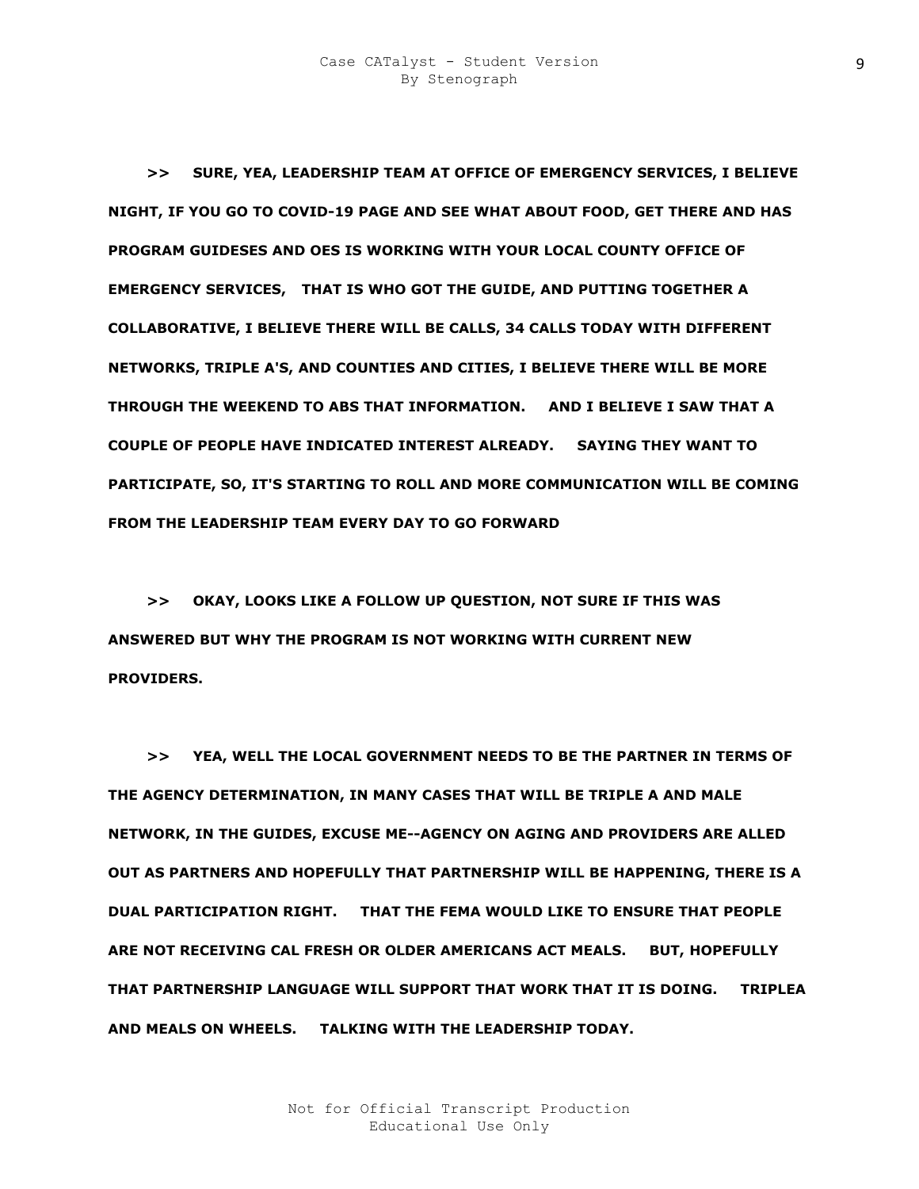**>> SURE, YEA, LEADERSHIP TEAM AT OFFICE OF EMERGENCY SERVICES, I BELIEVE NIGHT, IF YOU GO TO COVID-19 PAGE AND SEE WHAT ABOUT FOOD, GET THERE AND HAS PROGRAM GUIDESES AND OES IS WORKING WITH YOUR LOCAL COUNTY OFFICE OF EMERGENCY SERVICES, THAT IS WHO GOT THE GUIDE, AND PUTTING TOGETHER A COLLABORATIVE, I BELIEVE THERE WILL BE CALLS, 34 CALLS TODAY WITH DIFFERENT NETWORKS, TRIPLE A'S, AND COUNTIES AND CITIES, I BELIEVE THERE WILL BE MORE THROUGH THE WEEKEND TO ABS THAT INFORMATION. AND I BELIEVE I SAW THAT A COUPLE OF PEOPLE HAVE INDICATED INTEREST ALREADY. SAYING THEY WANT TO PARTICIPATE, SO, IT'S STARTING TO ROLL AND MORE COMMUNICATION WILL BE COMING FROM THE LEADERSHIP TEAM EVERY DAY TO GO FORWARD** 

 **>> OKAY, LOOKS LIKE A FOLLOW UP QUESTION, NOT SURE IF THIS WAS ANSWERED BUT WHY THE PROGRAM IS NOT WORKING WITH CURRENT NEW PROVIDERS.** 

 **>> YEA, WELL THE LOCAL GOVERNMENT NEEDS TO BE THE PARTNER IN TERMS OF THE AGENCY DETERMINATION, IN MANY CASES THAT WILL BE TRIPLE A AND MALE NETWORK, IN THE GUIDES, EXCUSE ME--AGENCY ON AGING AND PROVIDERS ARE ALLED OUT AS PARTNERS AND HOPEFULLY THAT PARTNERSHIP WILL BE HAPPENING, THERE IS A DUAL PARTICIPATION RIGHT. THAT THE FEMA WOULD LIKE TO ENSURE THAT PEOPLE ARE NOT RECEIVING CAL FRESH OR OLDER AMERICANS ACT MEALS. BUT, HOPEFULLY THAT PARTNERSHIP LANGUAGE WILL SUPPORT THAT WORK THAT IT IS DOING. TRIPLEA AND MEALS ON WHEELS. TALKING WITH THE LEADERSHIP TODAY.**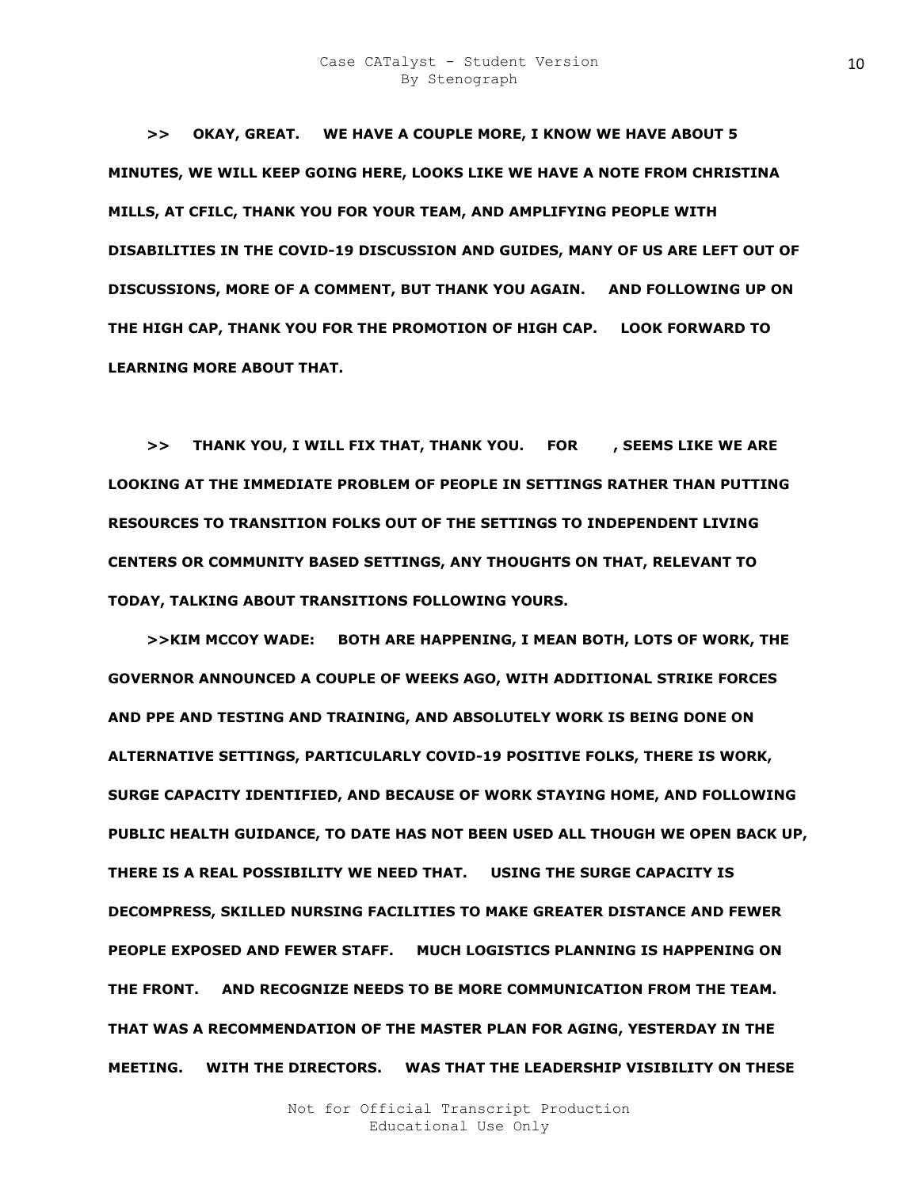**>> OKAY, GREAT. WE HAVE A COUPLE MORE, I KNOW WE HAVE ABOUT 5 MINUTES, WE WILL KEEP GOING HERE, LOOKS LIKE WE HAVE A NOTE FROM CHRISTINA MILLS, AT CFILC, THANK YOU FOR YOUR TEAM, AND AMPLIFYING PEOPLE WITH DISABILITIES IN THE COVID-19 DISCUSSION AND GUIDES, MANY OF US ARE LEFT OUT OF DISCUSSIONS, MORE OF A COMMENT, BUT THANK YOU AGAIN. AND FOLLOWING UP ON THE HIGH CAP, THANK YOU FOR THE PROMOTION OF HIGH CAP. LOOK FORWARD TO LEARNING MORE ABOUT THAT.** 

 **>> THANK YOU, I WILL FIX THAT, THANK YOU. FOR FIMELIKE WE ARE LOOKING AT THE IMMEDIATE PROBLEM OF PEOPLE IN SETTINGS RATHER THAN PUTTING RESOURCES TO TRANSITION FOLKS OUT OF THE SETTINGS TO INDEPENDENT LIVING CENTERS OR COMMUNITY BASED SETTINGS, ANY THOUGHTS ON THAT, RELEVANT TO TODAY, TALKING ABOUT TRANSITIONS FOLLOWING YOURS.** 

 **>>KIM MCCOY WADE: BOTH ARE HAPPENING, I MEAN BOTH, LOTS OF WORK, THE GOVERNOR ANNOUNCED A COUPLE OF WEEKS AGO, WITH ADDITIONAL STRIKE FORCES AND PPE AND TESTING AND TRAINING, AND ABSOLUTELY WORK IS BEING DONE ON ALTERNATIVE SETTINGS, PARTICULARLY COVID-19 POSITIVE FOLKS, THERE IS WORK, SURGE CAPACITY IDENTIFIED, AND BECAUSE OF WORK STAYING HOME, AND FOLLOWING PUBLIC HEALTH GUIDANCE, TO DATE HAS NOT BEEN USED ALL THOUGH WE OPEN BACK UP, THERE IS A REAL POSSIBILITY WE NEED THAT. USING THE SURGE CAPACITY IS DECOMPRESS, SKILLED NURSING FACILITIES TO MAKE GREATER DISTANCE AND FEWER PEOPLE EXPOSED AND FEWER STAFF. MUCH LOGISTICS PLANNING IS HAPPENING ON THE FRONT. AND RECOGNIZE NEEDS TO BE MORE COMMUNICATION FROM THE TEAM. THAT WAS A RECOMMENDATION OF THE MASTER PLAN FOR AGING, YESTERDAY IN THE MEETING. WITH THE DIRECTORS. WAS THAT THE LEADERSHIP VISIBILITY ON THESE**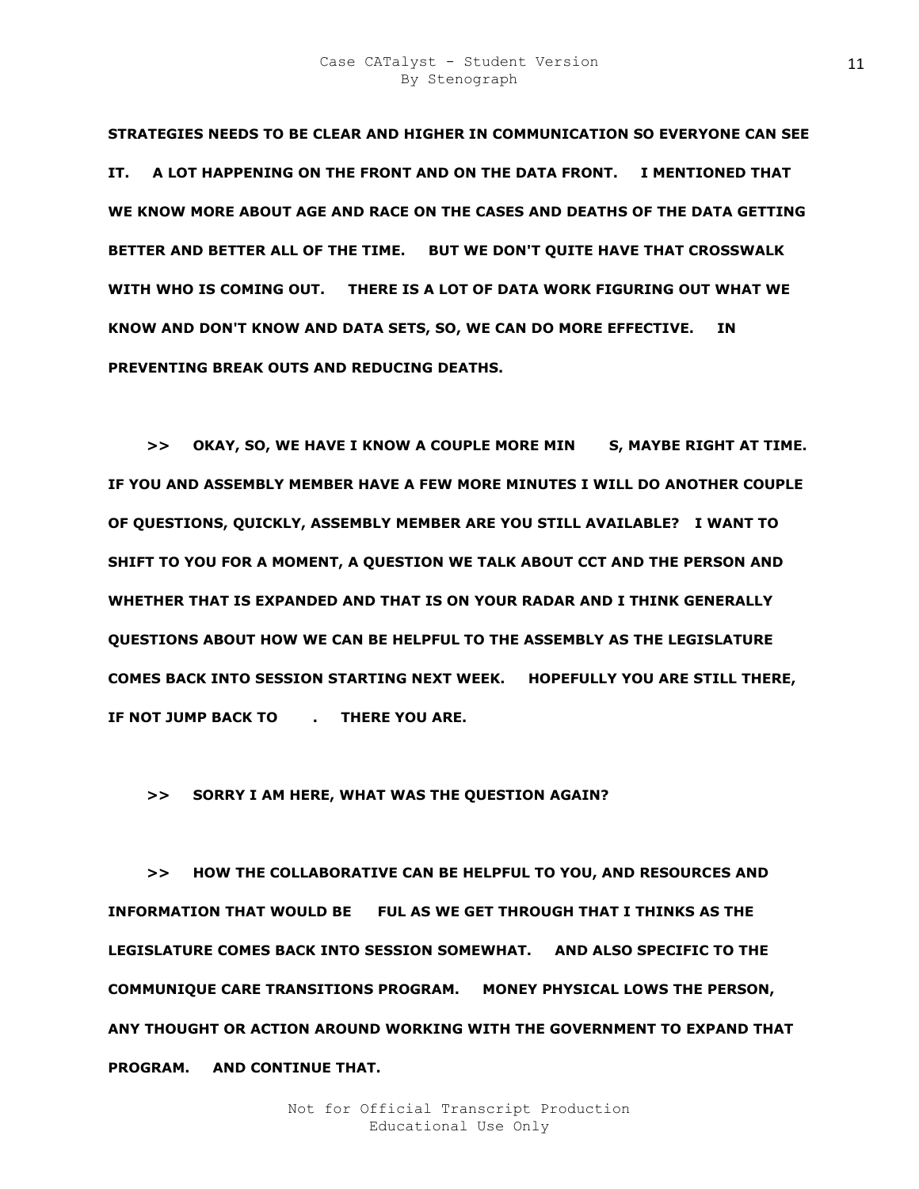**STRATEGIES NEEDS TO BE CLEAR AND HIGHER IN COMMUNICATION SO EVERYONE CAN SEE IT. A LOT HAPPENING ON THE FRONT AND ON THE DATA FRONT. I MENTIONED THAT WE KNOW MORE ABOUT AGE AND RACE ON THE CASES AND DEATHS OF THE DATA GETTING BETTER AND BETTER ALL OF THE TIME. BUT WE DON'T QUITE HAVE THAT CROSSWALK WITH WHO IS COMING OUT. THERE IS A LOT OF DATA WORK FIGURING OUT WHAT WE KNOW AND DON'T KNOW AND DATA SETS, SO, WE CAN DO MORE EFFECTIVE. IN PREVENTING BREAK OUTS AND REDUCING DEATHS.** 

 **>> OKAY, SO, WE HAVE I KNOW A COUPLE MORE MIN G, MAYBE RIGHT AT TIME. IF YOU AND ASSEMBLY MEMBER HAVE A FEW MORE MINUTES I WILL DO ANOTHER COUPLE OF QUESTIONS, QUICKLY, ASSEMBLY MEMBER ARE YOU STILL AVAILABLE? I WANT TO SHIFT TO YOU FOR A MOMENT, A QUESTION WE TALK ABOUT CCT AND THE PERSON AND WHETHER THAT IS EXPANDED AND THAT IS ON YOUR RADAR AND I THINK GENERALLY QUESTIONS ABOUT HOW WE CAN BE HELPFUL TO THE ASSEMBLY AS THE LEGISLATURE COMES BACK INTO SESSION STARTING NEXT WEEK. HOPEFULLY YOU ARE STILL THERE, IF NOT JUMP BACK TO FIMERE YOU ARE.** 

# **>> SORRY I AM HERE, WHAT WAS THE QUESTION AGAIN?**

 **>> HOW THE COLLABORATIVE CAN BE HELPFUL TO YOU, AND RESOURCES AND INFORMATION THAT WOULD BE FUL AS WE GET THROUGH THAT I THINKS AS THE LEGISLATURE COMES BACK INTO SESSION SOMEWHAT. AND ALSO SPECIFIC TO THE COMMUNIQUE CARE TRANSITIONS PROGRAM. MONEY PHYSICAL LOWS THE PERSON, ANY THOUGHT OR ACTION AROUND WORKING WITH THE GOVERNMENT TO EXPAND THAT PROGRAM. AND CONTINUE THAT.**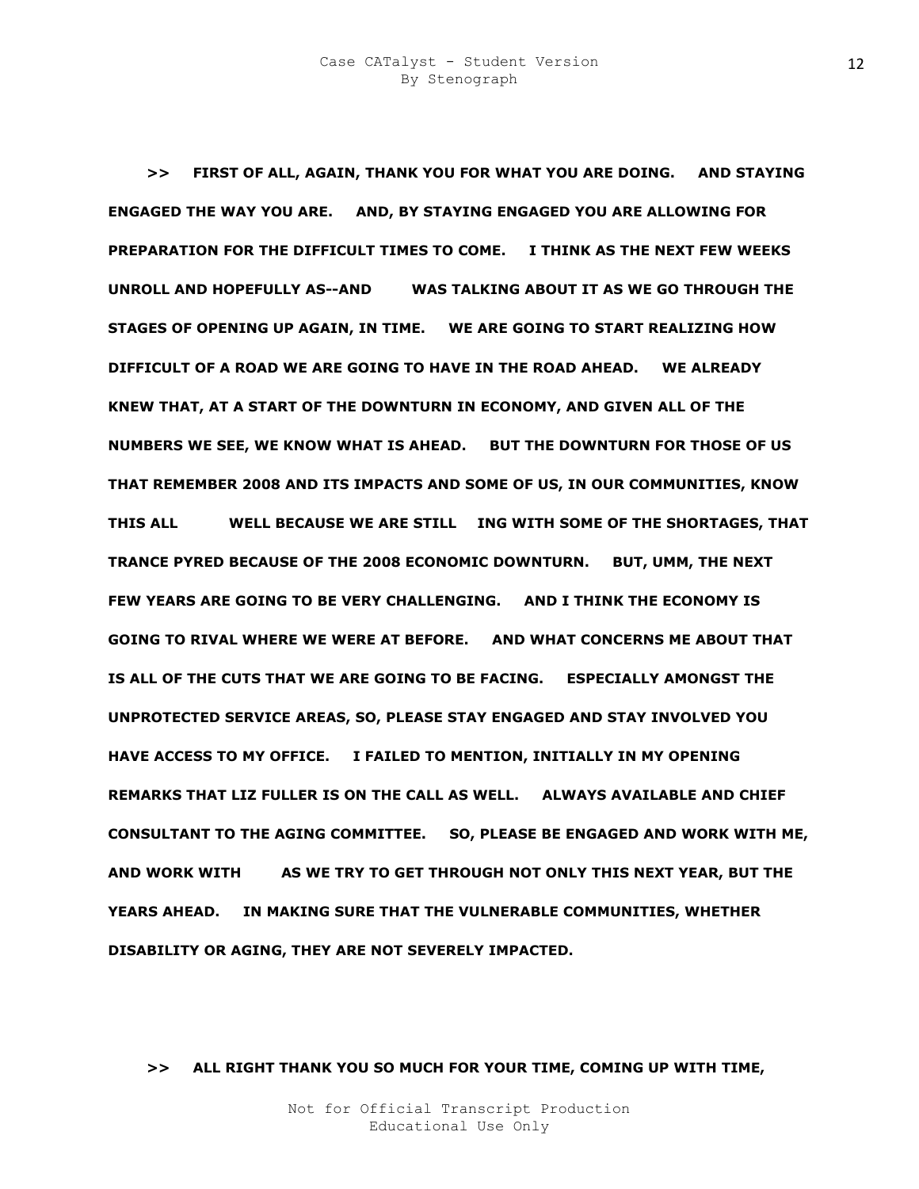**>> FIRST OF ALL, AGAIN, THANK YOU FOR WHAT YOU ARE DOING. AND STAYING ENGAGED THE WAY YOU ARE. AND, BY STAYING ENGAGED YOU ARE ALLOWING FOR PREPARATION FOR THE DIFFICULT TIMES TO COME. I THINK AS THE NEXT FEW WEEKS UNROLL AND HOPEFULLY AS--AND KIM WAS TALKING ABOUT IT AS WE GO THROUGH THE STAGES OF OPENING UP AGAIN, IN TIME. WE ARE GOING TO START REALIZING HOW DIFFICULT OF A ROAD WE ARE GOING TO HAVE IN THE ROAD AHEAD. WE ALREADY KNEW THAT, AT A START OF THE DOWNTURN IN ECONOMY, AND GIVEN ALL OF THE NUMBERS WE SEE, WE KNOW WHAT IS AHEAD. BUT THE DOWNTURN FOR THOSE OF US THAT REMEMBER 2008 AND ITS IMPACTS AND SOME OF US, IN OUR COMMUNITIES, KNOW THIS ALL STOO WELL BECAUSE WE ARE STILL LIING WITH SOME OF THE SHORTAGES, THAT TRANCE PYRED BECAUSE OF THE 2008 ECONOMIC DOWNTURN. BUT, UMM, THE NEXT FEW YEARS ARE GOING TO BE VERY CHALLENGING. AND I THINK THE ECONOMY IS GOING TO RIVAL WHERE WE WERE AT BEFORE. AND WHAT CONCERNS ME ABOUT THAT IS ALL OF THE CUTS THAT WE ARE GOING TO BE FACING. ESPECIALLY AMONGST THE UNPROTECTED SERVICE AREAS, SO, PLEASE STAY ENGAGED AND STAY INVOLVED YOU HAVE ACCESS TO MY OFFICE. I FAILED TO MENTION, INITIALLY IN MY OPENING REMARKS THAT LIZ FULLER IS ON THE CALL AS WELL. ALWAYS AVAILABLE AND CHIEF CONSULTANT TO THE AGING COMMITTEE. SO, PLEASE BE ENGAGED AND WORK WITH ME, AND WORK WITH KIM AS WE TRY TO GET THROUGH NOT ONLY THIS NEXT YEAR, BUT THE YEARS AHEAD. IN MAKING SURE THAT THE VULNERABLE COMMUNITIES, WHETHER DISABILITY OR AGING, THEY ARE NOT SEVERELY IMPACTED.** 

## **>> ALL RIGHT THANK YOU SO MUCH FOR YOUR TIME, COMING UP WITH TIME,**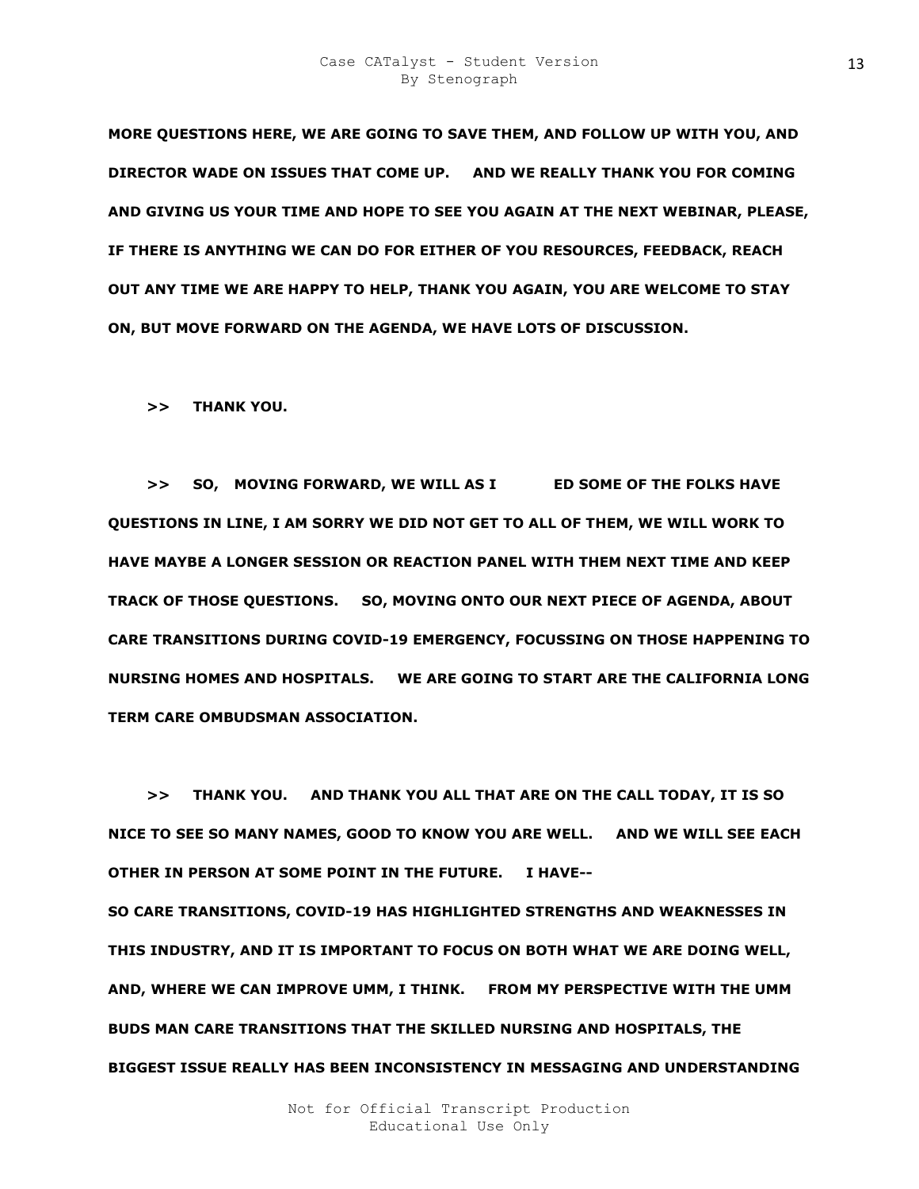**MORE QUESTIONS HERE, WE ARE GOING TO SAVE THEM, AND FOLLOW UP WITH YOU, AND DIRECTOR WADE ON ISSUES THAT COME UP. AND WE REALLY THANK YOU FOR COMING AND GIVING US YOUR TIME AND HOPE TO SEE YOU AGAIN AT THE NEXT WEBINAR, PLEASE, IF THERE IS ANYTHING WE CAN DO FOR EITHER OF YOU RESOURCES, FEEDBACK, REACH OUT ANY TIME WE ARE HAPPY TO HELP, THANK YOU AGAIN, YOU ARE WELCOME TO STAY ON, BUT MOVE FORWARD ON THE AGENDA, WE HAVE LOTS OF DISCUSSION.** 

 **>> THANK YOU.** 

 **>> SO, MOVING FORWARD, WE WILL AS I GET SOME OF THE FOLKS HAVE QUESTIONS IN LINE, I AM SORRY WE DID NOT GET TO ALL OF THEM, WE WILL WORK TO HAVE MAYBE A LONGER SESSION OR REACTION PANEL WITH THEM NEXT TIME AND KEEP TRACK OF THOSE QUESTIONS. SO, MOVING ONTO OUR NEXT PIECE OF AGENDA, ABOUT CARE TRANSITIONS DURING COVID-19 EMERGENCY, FOCUSSING ON THOSE HAPPENING TO NURSING HOMES AND HOSPITALS. WE ARE GOING TO START ARE THE CALIFORNIA LONG TERM CARE OMBUDSMAN ASSOCIATION.** 

 **>> THANK YOU. AND THANK YOU ALL THAT ARE ON THE CALL TODAY, IT IS SO NICE TO SEE SO MANY NAMES, GOOD TO KNOW YOU ARE WELL. AND WE WILL SEE EACH OTHER IN PERSON AT SOME POINT IN THE FUTURE. I HAVE--**

**SO CARE TRANSITIONS, COVID-19 HAS HIGHLIGHTED STRENGTHS AND WEAKNESSES IN THIS INDUSTRY, AND IT IS IMPORTANT TO FOCUS ON BOTH WHAT WE ARE DOING WELL, AND, WHERE WE CAN IMPROVE UMM, I THINK. FROM MY PERSPECTIVE WITH THE UMM BUDS MAN CARE TRANSITIONS THAT THE SKILLED NURSING AND HOSPITALS, THE BIGGEST ISSUE REALLY HAS BEEN INCONSISTENCY IN MESSAGING AND UNDERSTANDING**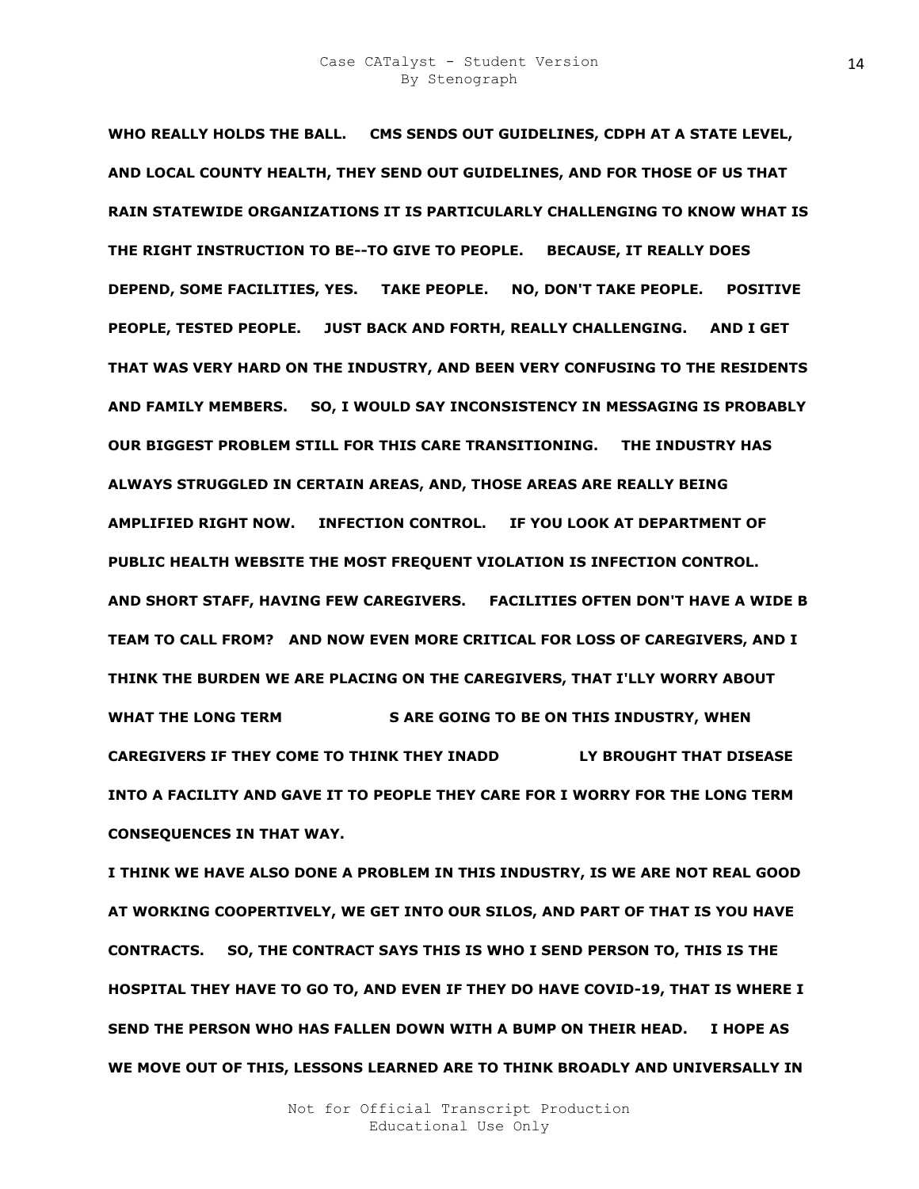**WHO REALLY HOLDS THE BALL. CMS SENDS OUT GUIDELINES, CDPH AT A STATE LEVEL, AND LOCAL COUNTY HEALTH, THEY SEND OUT GUIDELINES, AND FOR THOSE OF US THAT RAIN STATEWIDE ORGANIZATIONS IT IS PARTICULARLY CHALLENGING TO KNOW WHAT IS THE RIGHT INSTRUCTION TO BE--TO GIVE TO PEOPLE. BECAUSE, IT REALLY DOES DEPEND, SOME FACILITIES, YES. TAKE PEOPLE. NO, DON'T TAKE PEOPLE. POSITIVE PEOPLE, TESTED PEOPLE. JUST BACK AND FORTH, REALLY CHALLENGING. AND I GET THAT WAS VERY HARD ON THE INDUSTRY, AND BEEN VERY CONFUSING TO THE RESIDENTS AND FAMILY MEMBERS. SO, I WOULD SAY INCONSISTENCY IN MESSAGING IS PROBABLY OUR BIGGEST PROBLEM STILL FOR THIS CARE TRANSITIONING. THE INDUSTRY HAS ALWAYS STRUGGLED IN CERTAIN AREAS, AND, THOSE AREAS ARE REALLY BEING AMPLIFIED RIGHT NOW. INFECTION CONTROL. IF YOU LOOK AT DEPARTMENT OF PUBLIC HEALTH WEBSITE THE MOST FREQUENT VIOLATION IS INFECTION CONTROL. AND SHORT STAFF, HAVING FEW CAREGIVERS. FACILITIES OFTEN DON'T HAVE A WIDE B TEAM TO CALL FROM? AND NOW EVEN MORE CRITICAL FOR LOSS OF CAREGIVERS, AND I THINK THE BURDEN WE ARE PLACING ON THE CAREGIVERS, THAT I'LLY WORRY ABOUT**  WHAT THE LONG TERM **KANSLEY SARE GOING TO BE ON THIS INDUSTRY, WHEN CAREGIVERS IF THEY COME TO THINK THEY INADD LY BROUGHT THAT DISEASE INTO A FACILITY AND GAVE IT TO PEOPLE THEY CARE FOR I WORRY FOR THE LONG TERM CONSEQUENCES IN THAT WAY.** 

**I THINK WE HAVE ALSO DONE A PROBLEM IN THIS INDUSTRY, IS WE ARE NOT REAL GOOD AT WORKING COOPERTIVELY, WE GET INTO OUR SILOS, AND PART OF THAT IS YOU HAVE CONTRACTS. SO, THE CONTRACT SAYS THIS IS WHO I SEND PERSON TO, THIS IS THE HOSPITAL THEY HAVE TO GO TO, AND EVEN IF THEY DO HAVE COVID-19, THAT IS WHERE I SEND THE PERSON WHO HAS FALLEN DOWN WITH A BUMP ON THEIR HEAD. I HOPE AS WE MOVE OUT OF THIS, LESSONS LEARNED ARE TO THINK BROADLY AND UNIVERSALLY IN**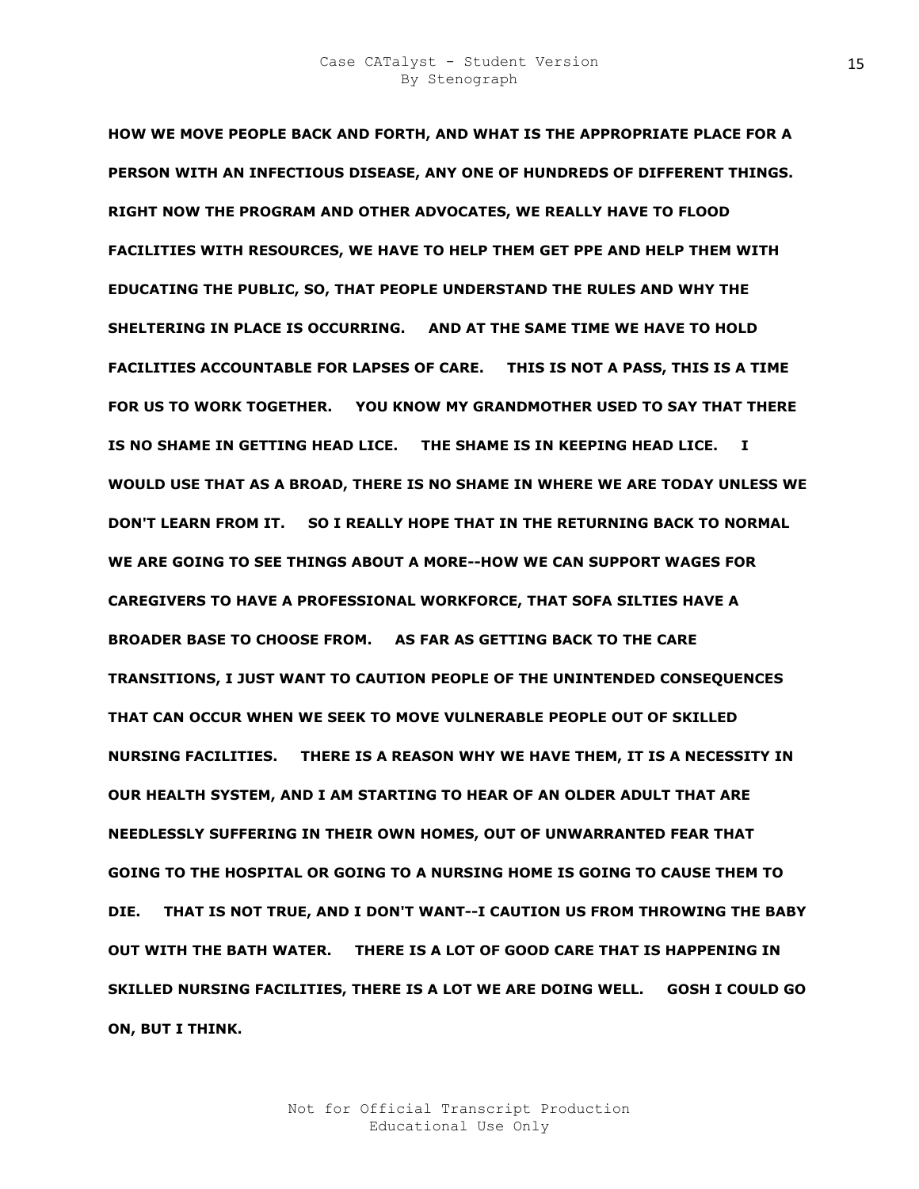**HOW WE MOVE PEOPLE BACK AND FORTH, AND WHAT IS THE APPROPRIATE PLACE FOR A PERSON WITH AN INFECTIOUS DISEASE, ANY ONE OF HUNDREDS OF DIFFERENT THINGS. RIGHT NOW THE PROGRAM AND OTHER ADVOCATES, WE REALLY HAVE TO FLOOD FACILITIES WITH RESOURCES, WE HAVE TO HELP THEM GET PPE AND HELP THEM WITH EDUCATING THE PUBLIC, SO, THAT PEOPLE UNDERSTAND THE RULES AND WHY THE SHELTERING IN PLACE IS OCCURRING. AND AT THE SAME TIME WE HAVE TO HOLD FACILITIES ACCOUNTABLE FOR LAPSES OF CARE. THIS IS NOT A PASS, THIS IS A TIME FOR US TO WORK TOGETHER. YOU KNOW MY GRANDMOTHER USED TO SAY THAT THERE IS NO SHAME IN GETTING HEAD LICE. THE SHAME IS IN KEEPING HEAD LICE. I WOULD USE THAT AS A BROAD, THERE IS NO SHAME IN WHERE WE ARE TODAY UNLESS WE DON'T LEARN FROM IT. SO I REALLY HOPE THAT IN THE RETURNING BACK TO NORMAL WE ARE GOING TO SEE THINGS ABOUT A MORE--HOW WE CAN SUPPORT WAGES FOR CAREGIVERS TO HAVE A PROFESSIONAL WORKFORCE, THAT SOFA SILTIES HAVE A BROADER BASE TO CHOOSE FROM. AS FAR AS GETTING BACK TO THE CARE TRANSITIONS, I JUST WANT TO CAUTION PEOPLE OF THE UNINTENDED CONSEQUENCES THAT CAN OCCUR WHEN WE SEEK TO MOVE VULNERABLE PEOPLE OUT OF SKILLED NURSING FACILITIES. THERE IS A REASON WHY WE HAVE THEM, IT IS A NECESSITY IN OUR HEALTH SYSTEM, AND I AM STARTING TO HEAR OF AN OLDER ADULT THAT ARE NEEDLESSLY SUFFERING IN THEIR OWN HOMES, OUT OF UNWARRANTED FEAR THAT GOING TO THE HOSPITAL OR GOING TO A NURSING HOME IS GOING TO CAUSE THEM TO DIE. THAT IS NOT TRUE, AND I DON'T WANT--I CAUTION US FROM THROWING THE BABY OUT WITH THE BATH WATER. THERE IS A LOT OF GOOD CARE THAT IS HAPPENING IN SKILLED NURSING FACILITIES, THERE IS A LOT WE ARE DOING WELL. GOSH I COULD GO ON, BUT I THINK.**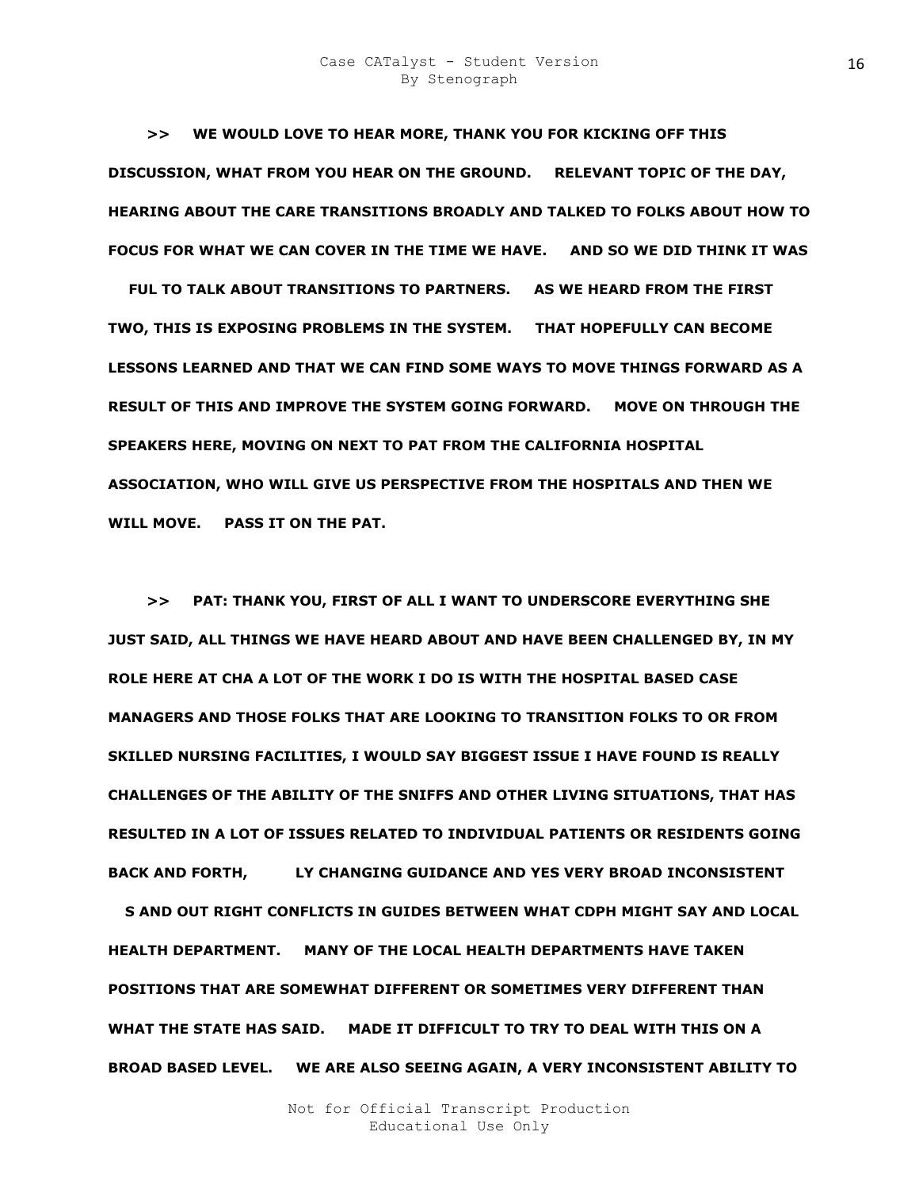**>> WE WOULD LOVE TO HEAR MORE, THANK YOU FOR KICKING OFF THIS DISCUSSION, WHAT FROM YOU HEAR ON THE GROUND. RELEVANT TOPIC OF THE DAY, HEARING ABOUT THE CARE TRANSITIONS BROADLY AND TALKED TO FOLKS ABOUT HOW TO FOCUS FOR WHAT WE CAN COVER IN THE TIME WE HAVE. AND SO WE DID THINK IT WAS** 

FUL TO TALK ABOUT TRANSITIONS TO PARTNERS. AS WE HEARD FROM THE FIRST **TWO, THIS IS EXPOSING PROBLEMS IN THE SYSTEM. THAT HOPEFULLY CAN BECOME LESSONS LEARNED AND THAT WE CAN FIND SOME WAYS TO MOVE THINGS FORWARD AS A RESULT OF THIS AND IMPROVE THE SYSTEM GOING FORWARD. MOVE ON THROUGH THE SPEAKERS HERE, MOVING ON NEXT TO PAT FROM THE CALIFORNIA HOSPITAL ASSOCIATION, WHO WILL GIVE US PERSPECTIVE FROM THE HOSPITALS AND THEN WE WILL MOVE. PASS IT ON THE PAT.** 

 **>> PAT: THANK YOU, FIRST OF ALL I WANT TO UNDERSCORE EVERYTHING SHE JUST SAID, ALL THINGS WE HAVE HEARD ABOUT AND HAVE BEEN CHALLENGED BY, IN MY ROLE HERE AT CHA A LOT OF THE WORK I DO IS WITH THE HOSPITAL BASED CASE MANAGERS AND THOSE FOLKS THAT ARE LOOKING TO TRANSITION FOLKS TO OR FROM SKILLED NURSING FACILITIES, I WOULD SAY BIGGEST ISSUE I HAVE FOUND IS REALLY CHALLENGES OF THE ABILITY OF THE SNIFFS AND OTHER LIVING SITUATIONS, THAT HAS RESULTED IN A LOT OF ISSUES RELATED TO INDIVIDUAL PATIENTS OR RESIDENTS GOING**  BACK AND FORTH, LY CHANGING GUIDANCE AND YES VERY BROAD INCONSISTENT

**S AND OUT RIGHT CONFLICTS IN GUIDES BETWEEN WHAT CDPH MIGHT SAY AND LOCAL HEALTH DEPARTMENT. MANY OF THE LOCAL HEALTH DEPARTMENTS HAVE TAKEN POSITIONS THAT ARE SOMEWHAT DIFFERENT OR SOMETIMES VERY DIFFERENT THAN WHAT THE STATE HAS SAID. MADE IT DIFFICULT TO TRY TO DEAL WITH THIS ON A BROAD BASED LEVEL. WE ARE ALSO SEEING AGAIN, A VERY INCONSISTENT ABILITY TO**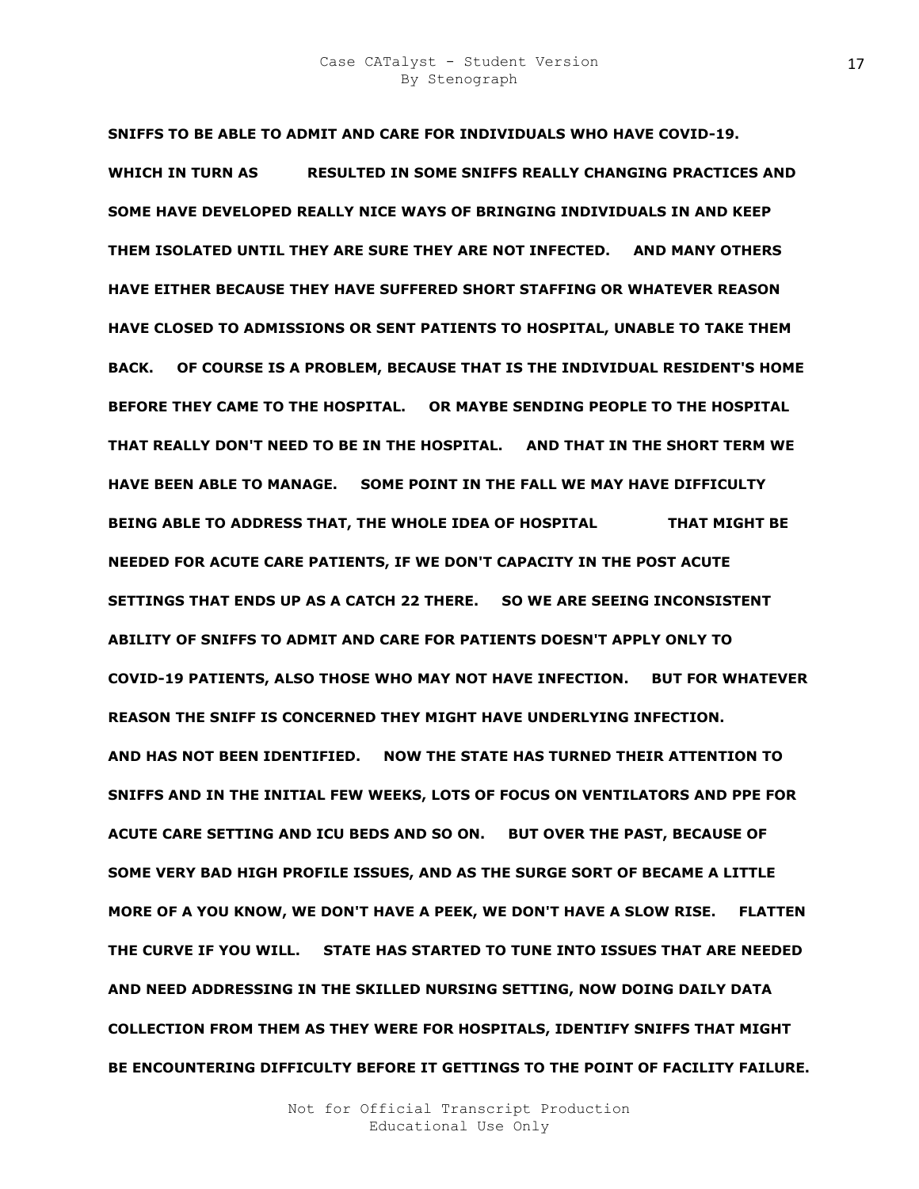**SNIFFS TO BE ABLE TO ADMIT AND CARE FOR INDIVIDUALS WHO HAVE COVID-19.**  WHICH IN TURN AS RESULTED IN SOME SNIFFS REALLY CHANGING PRACTICES AND **SOME HAVE DEVELOPED REALLY NICE WAYS OF BRINGING INDIVIDUALS IN AND KEEP THEM ISOLATED UNTIL THEY ARE SURE THEY ARE NOT INFECTED. AND MANY OTHERS HAVE EITHER BECAUSE THEY HAVE SUFFERED SHORT STAFFING OR WHATEVER REASON HAVE CLOSED TO ADMISSIONS OR SENT PATIENTS TO HOSPITAL, UNABLE TO TAKE THEM BACK. OF COURSE IS A PROBLEM, BECAUSE THAT IS THE INDIVIDUAL RESIDENT'S HOME BEFORE THEY CAME TO THE HOSPITAL. OR MAYBE SENDING PEOPLE TO THE HOSPITAL THAT REALLY DON'T NEED TO BE IN THE HOSPITAL. AND THAT IN THE SHORT TERM WE HAVE BEEN ABLE TO MANAGE. SOME POINT IN THE FALL WE MAY HAVE DIFFICULTY**  BEING ABLE TO ADDRESS THAT, THE WHOLE IDEA OF HOSPITAL **THAT MIGHT BE NEEDED FOR ACUTE CARE PATIENTS, IF WE DON'T CAPACITY IN THE POST ACUTE SETTINGS THAT ENDS UP AS A CATCH 22 THERE. SO WE ARE SEEING INCONSISTENT ABILITY OF SNIFFS TO ADMIT AND CARE FOR PATIENTS DOESN'T APPLY ONLY TO COVID-19 PATIENTS, ALSO THOSE WHO MAY NOT HAVE INFECTION. BUT FOR WHATEVER REASON THE SNIFF IS CONCERNED THEY MIGHT HAVE UNDERLYING INFECTION. AND HAS NOT BEEN IDENTIFIED. NOW THE STATE HAS TURNED THEIR ATTENTION TO SNIFFS AND IN THE INITIAL FEW WEEKS, LOTS OF FOCUS ON VENTILATORS AND PPE FOR ACUTE CARE SETTING AND ICU BEDS AND SO ON. BUT OVER THE PAST, BECAUSE OF SOME VERY BAD HIGH PROFILE ISSUES, AND AS THE SURGE SORT OF BECAME A LITTLE MORE OF A YOU KNOW, WE DON'T HAVE A PEEK, WE DON'T HAVE A SLOW RISE. FLATTEN THE CURVE IF YOU WILL. STATE HAS STARTED TO TUNE INTO ISSUES THAT ARE NEEDED AND NEED ADDRESSING IN THE SKILLED NURSING SETTING, NOW DOING DAILY DATA COLLECTION FROM THEM AS THEY WERE FOR HOSPITALS, IDENTIFY SNIFFS THAT MIGHT BE ENCOUNTERING DIFFICULTY BEFORE IT GETTINGS TO THE POINT OF FACILITY FAILURE.**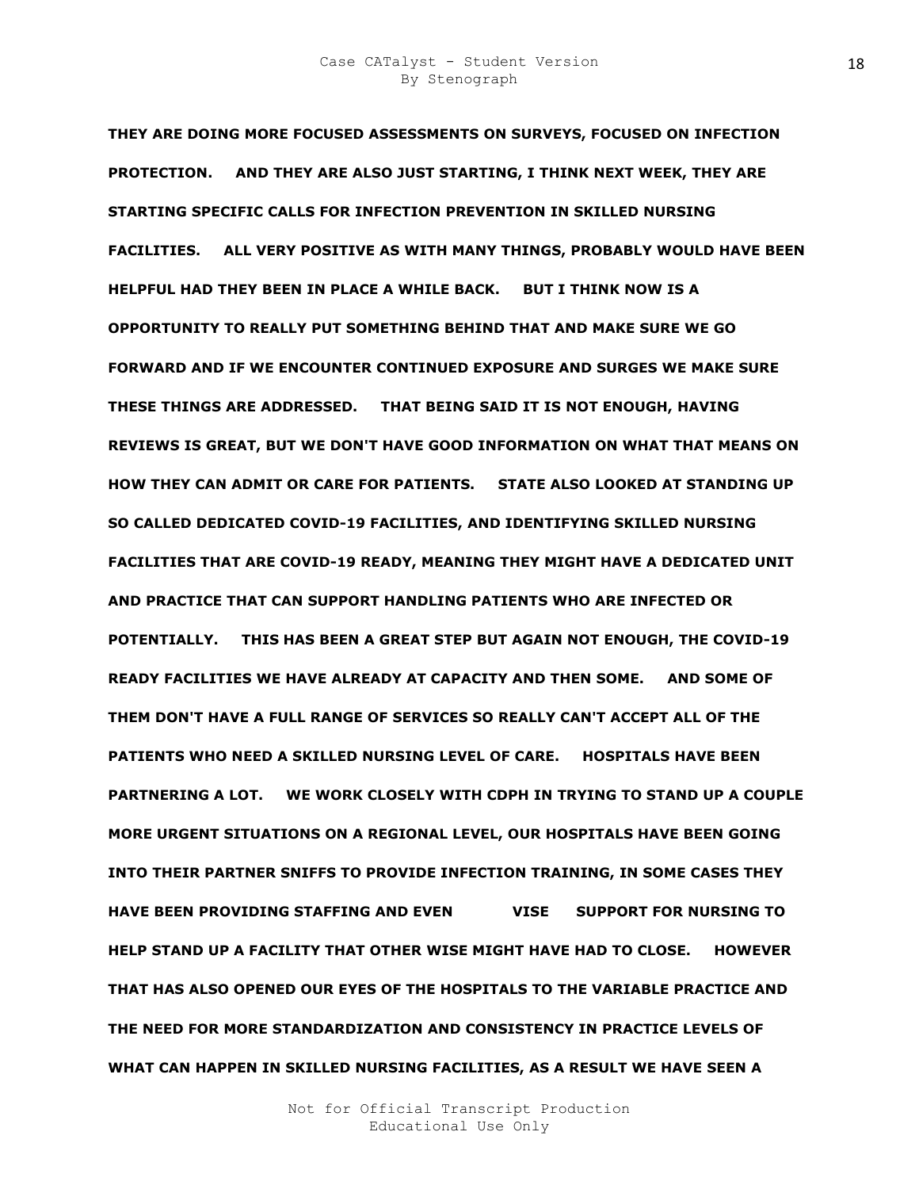**THEY ARE DOING MORE FOCUSED ASSESSMENTS ON SURVEYS, FOCUSED ON INFECTION PROTECTION. AND THEY ARE ALSO JUST STARTING, I THINK NEXT WEEK, THEY ARE STARTING SPECIFIC CALLS FOR INFECTION PREVENTION IN SKILLED NURSING FACILITIES. ALL VERY POSITIVE AS WITH MANY THINGS, PROBABLY WOULD HAVE BEEN HELPFUL HAD THEY BEEN IN PLACE A WHILE BACK. BUT I THINK NOW IS A OPPORTUNITY TO REALLY PUT SOMETHING BEHIND THAT AND MAKE SURE WE GO FORWARD AND IF WE ENCOUNTER CONTINUED EXPOSURE AND SURGES WE MAKE SURE THESE THINGS ARE ADDRESSED. THAT BEING SAID IT IS NOT ENOUGH, HAVING REVIEWS IS GREAT, BUT WE DON'T HAVE GOOD INFORMATION ON WHAT THAT MEANS ON HOW THEY CAN ADMIT OR CARE FOR PATIENTS. STATE ALSO LOOKED AT STANDING UP SO CALLED DEDICATED COVID-19 FACILITIES, AND IDENTIFYING SKILLED NURSING FACILITIES THAT ARE COVID-19 READY, MEANING THEY MIGHT HAVE A DEDICATED UNIT AND PRACTICE THAT CAN SUPPORT HANDLING PATIENTS WHO ARE INFECTED OR POTENTIALLY. THIS HAS BEEN A GREAT STEP BUT AGAIN NOT ENOUGH, THE COVID-19 READY FACILITIES WE HAVE ALREADY AT CAPACITY AND THEN SOME. AND SOME OF THEM DON'T HAVE A FULL RANGE OF SERVICES SO REALLY CAN'T ACCEPT ALL OF THE PATIENTS WHO NEED A SKILLED NURSING LEVEL OF CARE. HOSPITALS HAVE BEEN PARTNERING A LOT. WE WORK CLOSELY WITH CDPH IN TRYING TO STAND UP A COUPLE MORE URGENT SITUATIONS ON A REGIONAL LEVEL, OUR HOSPITALS HAVE BEEN GOING INTO THEIR PARTNER SNIFFS TO PROVIDE INFECTION TRAINING, IN SOME CASES THEY HAVE BEEN PROVIDING STAFFING AND EVEN SOOIP VISE RI SUPPORT FOR NURSING TO HELP STAND UP A FACILITY THAT OTHER WISE MIGHT HAVE HAD TO CLOSE. HOWEVER THAT HAS ALSO OPENED OUR EYES OF THE HOSPITALS TO THE VARIABLE PRACTICE AND THE NEED FOR MORE STANDARDIZATION AND CONSISTENCY IN PRACTICE LEVELS OF WHAT CAN HAPPEN IN SKILLED NURSING FACILITIES, AS A RESULT WE HAVE SEEN A**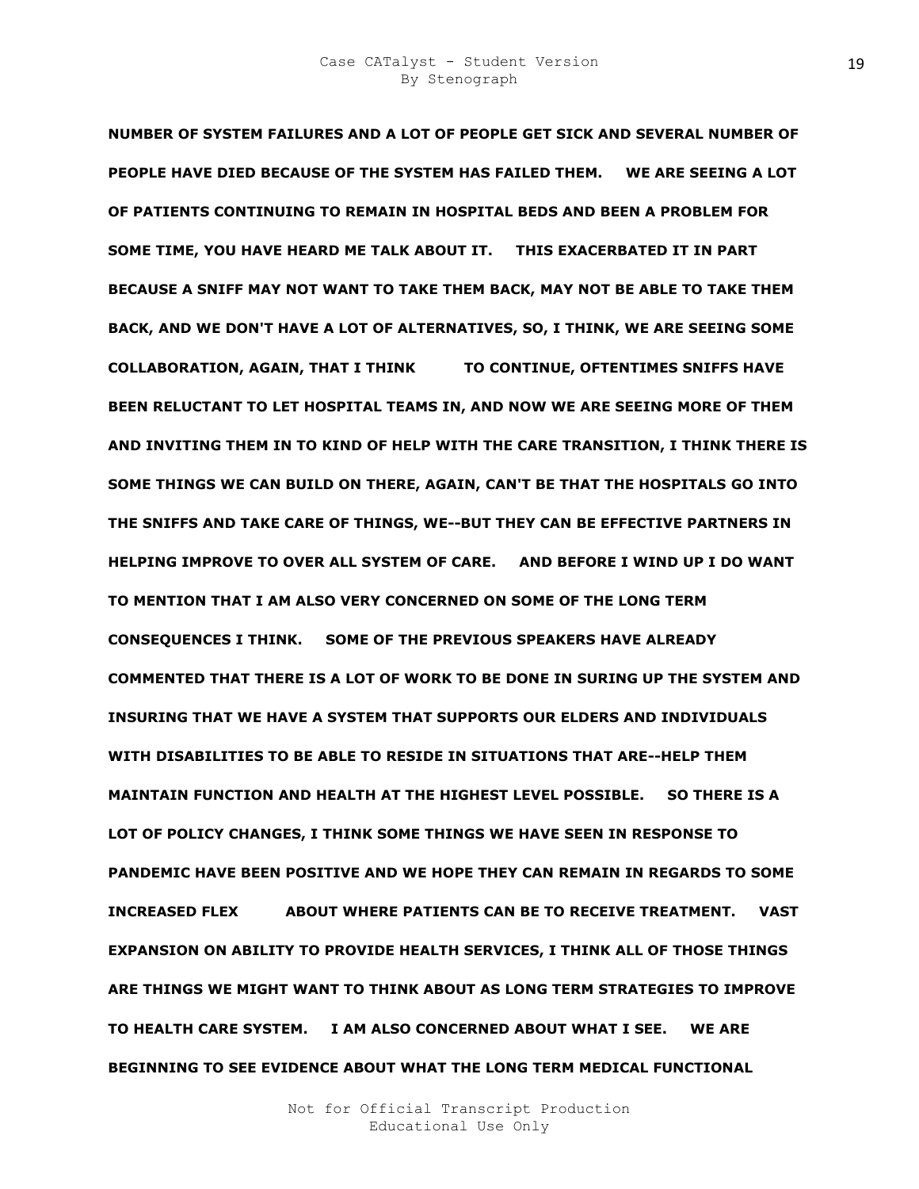**NUMBER OF SYSTEM FAILURES AND A LOT OF PEOPLE GET SICK AND SEVERAL NUMBER OF PEOPLE HAVE DIED BECAUSE OF THE SYSTEM HAS FAILED THEM. WE ARE SEEING A LOT OF PATIENTS CONTINUING TO REMAIN IN HOSPITAL BEDS AND BEEN A PROBLEM FOR SOME TIME, YOU HAVE HEARD ME TALK ABOUT IT. THIS EXACERBATED IT IN PART BECAUSE A SNIFF MAY NOT WANT TO TAKE THEM BACK, MAY NOT BE ABLE TO TAKE THEM BACK, AND WE DON'T HAVE A LOT OF ALTERNATIVES, SO, I THINK, WE ARE SEEING SOME COLLABORATION, AGAIN, THAT I THINK NEEZ TO CONTINUE, OFTENTIMES SNIFFS HAVE BEEN RELUCTANT TO LET HOSPITAL TEAMS IN, AND NOW WE ARE SEEING MORE OF THEM AND INVITING THEM IN TO KIND OF HELP WITH THE CARE TRANSITION, I THINK THERE IS SOME THINGS WE CAN BUILD ON THERE, AGAIN, CAN'T BE THAT THE HOSPITALS GO INTO THE SNIFFS AND TAKE CARE OF THINGS, WE--BUT THEY CAN BE EFFECTIVE PARTNERS IN HELPING IMPROVE TO OVER ALL SYSTEM OF CARE. AND BEFORE I WIND UP I DO WANT TO MENTION THAT I AM ALSO VERY CONCERNED ON SOME OF THE LONG TERM CONSEQUENCES I THINK. SOME OF THE PREVIOUS SPEAKERS HAVE ALREADY COMMENTED THAT THERE IS A LOT OF WORK TO BE DONE IN SURING UP THE SYSTEM AND INSURING THAT WE HAVE A SYSTEM THAT SUPPORTS OUR ELDERS AND INDIVIDUALS WITH DISABILITIES TO BE ABLE TO RESIDE IN SITUATIONS THAT ARE--HELP THEM MAINTAIN FUNCTION AND HEALTH AT THE HIGHEST LEVEL POSSIBLE. SO THERE IS A LOT OF POLICY CHANGES, I THINK SOME THINGS WE HAVE SEEN IN RESPONSE TO PANDEMIC HAVE BEEN POSITIVE AND WE HOPE THEY CAN REMAIN IN REGARDS TO SOME INCREASED FLEX ABOUT WHERE PATIENTS CAN BE TO RECEIVE TREATMENT. VAST EXPANSION ON ABILITY TO PROVIDE HEALTH SERVICES, I THINK ALL OF THOSE THINGS ARE THINGS WE MIGHT WANT TO THINK ABOUT AS LONG TERM STRATEGIES TO IMPROVE TO HEALTH CARE SYSTEM. I AM ALSO CONCERNED ABOUT WHAT I SEE. WE ARE BEGINNING TO SEE EVIDENCE ABOUT WHAT THE LONG TERM MEDICAL FUNCTIONAL**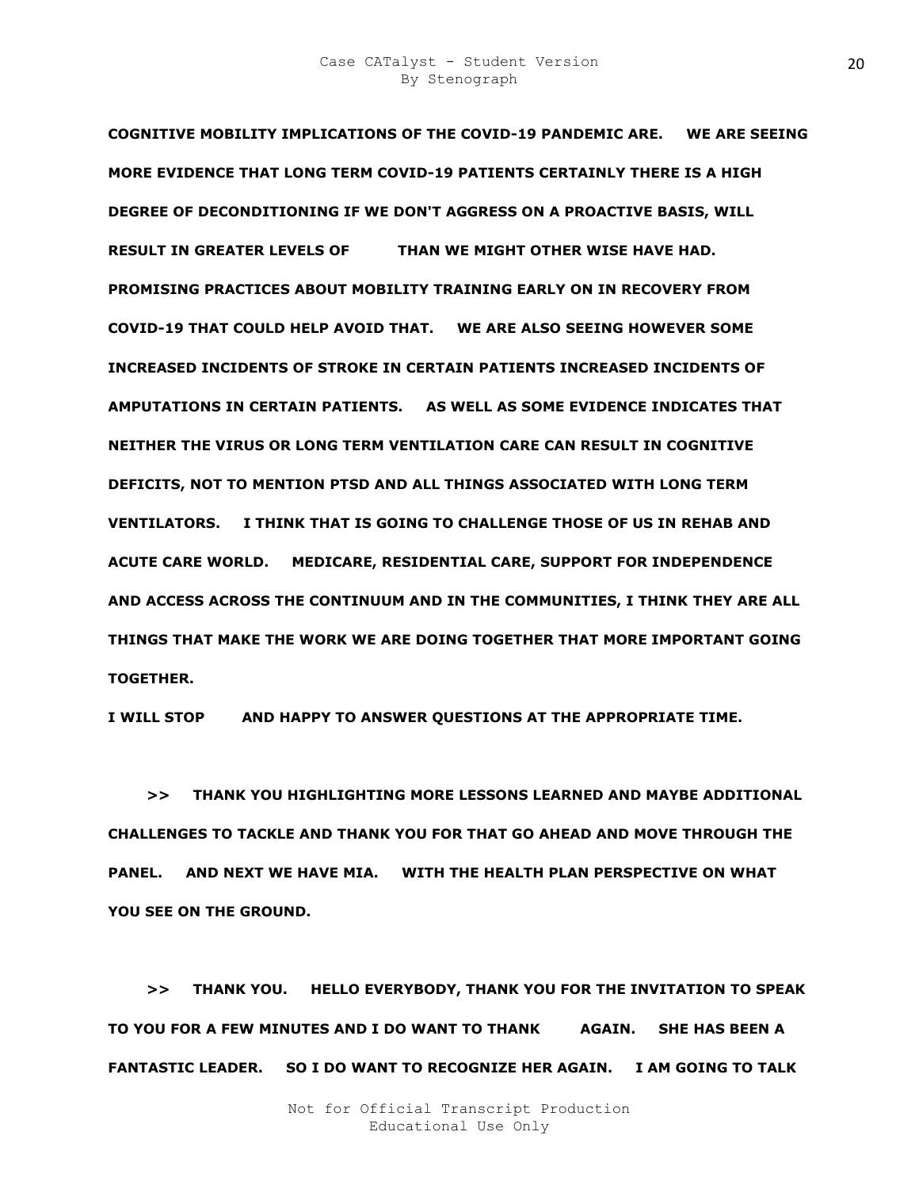**COGNITIVE MOBILITY IMPLICATIONS OF THE COVID-19 PANDEMIC ARE. WE ARE SEEING MORE EVIDENCE THAT LONG TERM COVID-19 PATIENTS CERTAINLY THERE IS A HIGH DEGREE OF DECONDITIONING IF WE DON'T AGGRESS ON A PROACTIVE BASIS, WILL RESULT IN GREATER LEVELS OF THAN WE MIGHT OTHER WISE HAVE HAD. PROMISING PRACTICES ABOUT MOBILITY TRAINING EARLY ON IN RECOVERY FROM COVID-19 THAT COULD HELP AVOID THAT. WE ARE ALSO SEEING HOWEVER SOME INCREASED INCIDENTS OF STROKE IN CERTAIN PATIENTS INCREASED INCIDENTS OF AMPUTATIONS IN CERTAIN PATIENTS. AS WELL AS SOME EVIDENCE INDICATES THAT NEITHER THE VIRUS OR LONG TERM VENTILATION CARE CAN RESULT IN COGNITIVE DEFICITS, NOT TO MENTION PTSD AND ALL THINGS ASSOCIATED WITH LONG TERM VENTILATORS. I THINK THAT IS GOING TO CHALLENGE THOSE OF US IN REHAB AND ACUTE CARE WORLD. MEDICARE, RESIDENTIAL CARE, SUPPORT FOR INDEPENDENCE AND ACCESS ACROSS THE CONTINUUM AND IN THE COMMUNITIES, I THINK THEY ARE ALL THINGS THAT MAKE THE WORK WE ARE DOING TOGETHER THAT MORE IMPORTANT GOING TOGETHER.** 

**I WILL STOP AND HAPPY TO ANSWER QUESTIONS AT THE APPROPRIATE TIME.** 

 **>> THANK YOU HIGHLIGHTING MORE LESSONS LEARNED AND MAYBE ADDITIONAL CHALLENGES TO TACKLE AND THANK YOU FOR THAT GO AHEAD AND MOVE THROUGH THE PANEL. AND NEXT WE HAVE MIA. WITH THE HEALTH PLAN PERSPECTIVE ON WHAT YOU SEE ON THE GROUND.** 

 **>> THANK YOU. HELLO EVERYBODY, THANK YOU FOR THE INVITATION TO SPEAK**  TO YOU FOR A FEW MINUTES AND I DO WANT TO THANK AGAIN. SHE HAS BEEN A **FANTASTIC LEADER. SO I DO WANT TO RECOGNIZE HER AGAIN. I AM GOING TO TALK**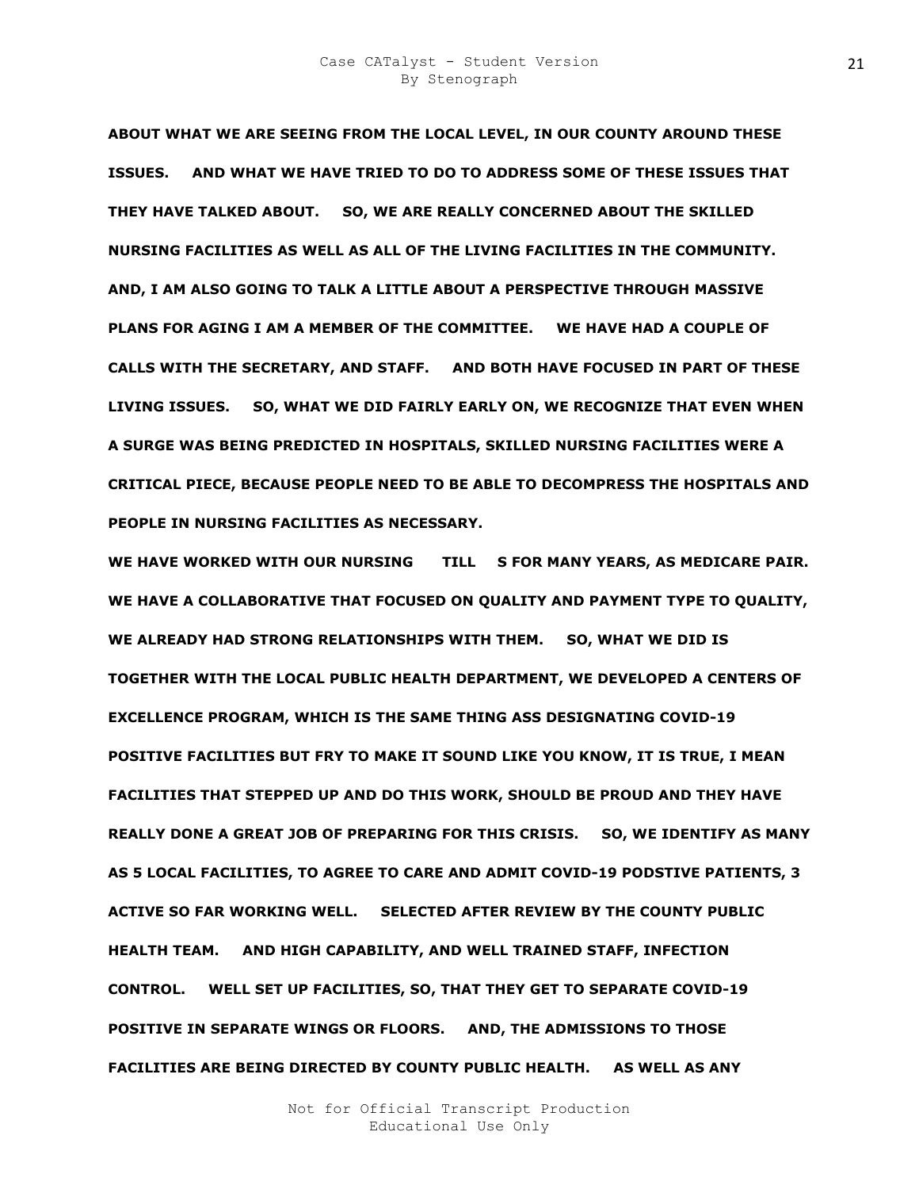**ABOUT WHAT WE ARE SEEING FROM THE LOCAL LEVEL, IN OUR COUNTY AROUND THESE ISSUES. AND WHAT WE HAVE TRIED TO DO TO ADDRESS SOME OF THESE ISSUES THAT THEY HAVE TALKED ABOUT. SO, WE ARE REALLY CONCERNED ABOUT THE SKILLED NURSING FACILITIES AS WELL AS ALL OF THE LIVING FACILITIES IN THE COMMUNITY. AND, I AM ALSO GOING TO TALK A LITTLE ABOUT A PERSPECTIVE THROUGH MASSIVE PLANS FOR AGING I AM A MEMBER OF THE COMMITTEE. WE HAVE HAD A COUPLE OF CALLS WITH THE SECRETARY, AND STAFF. AND BOTH HAVE FOCUSED IN PART OF THESE LIVING ISSUES. SO, WHAT WE DID FAIRLY EARLY ON, WE RECOGNIZE THAT EVEN WHEN A SURGE WAS BEING PREDICTED IN HOSPITALS, SKILLED NURSING FACILITIES WERE A CRITICAL PIECE, BECAUSE PEOPLE NEED TO BE ABLE TO DECOMPRESS THE HOSPITALS AND PEOPLE IN NURSING FACILITIES AS NECESSARY.** 

WE HAVE WORKED WITH OUR NURSING TILL S FOR MANY YEARS, AS MEDICARE PAIR. **WE HAVE A COLLABORATIVE THAT FOCUSED ON QUALITY AND PAYMENT TYPE TO QUALITY, WE ALREADY HAD STRONG RELATIONSHIPS WITH THEM. SO, WHAT WE DID IS TOGETHER WITH THE LOCAL PUBLIC HEALTH DEPARTMENT, WE DEVELOPED A CENTERS OF EXCELLENCE PROGRAM, WHICH IS THE SAME THING ASS DESIGNATING COVID-19 POSITIVE FACILITIES BUT FRY TO MAKE IT SOUND LIKE YOU KNOW, IT IS TRUE, I MEAN FACILITIES THAT STEPPED UP AND DO THIS WORK, SHOULD BE PROUD AND THEY HAVE REALLY DONE A GREAT JOB OF PREPARING FOR THIS CRISIS. SO, WE IDENTIFY AS MANY AS 5 LOCAL FACILITIES, TO AGREE TO CARE AND ADMIT COVID-19 PODSTIVE PATIENTS, 3 ACTIVE SO FAR WORKING WELL. SELECTED AFTER REVIEW BY THE COUNTY PUBLIC HEALTH TEAM. AND HIGH CAPABILITY, AND WELL TRAINED STAFF, INFECTION CONTROL. WELL SET UP FACILITIES, SO, THAT THEY GET TO SEPARATE COVID-19 POSITIVE IN SEPARATE WINGS OR FLOORS. AND, THE ADMISSIONS TO THOSE FACILITIES ARE BEING DIRECTED BY COUNTY PUBLIC HEALTH. AS WELL AS ANY**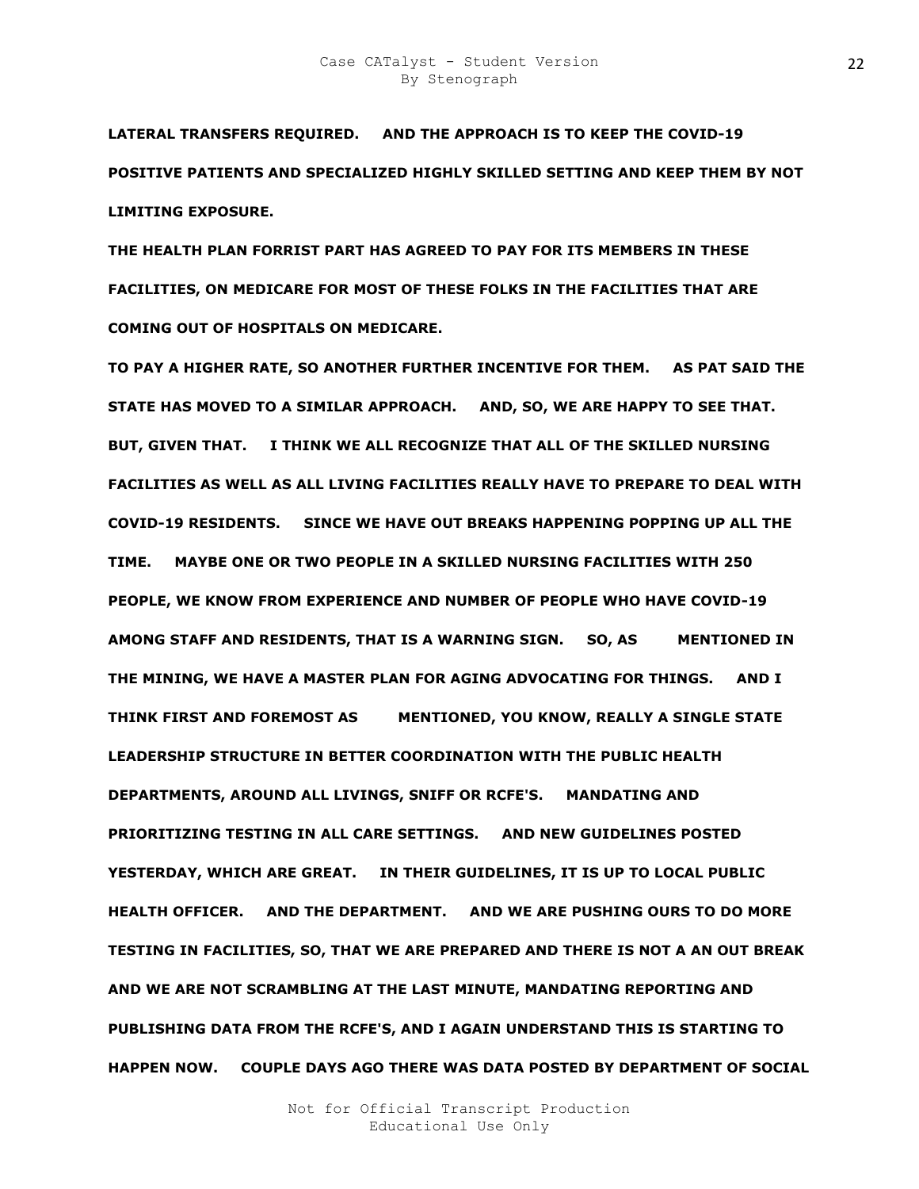**LATERAL TRANSFERS REQUIRED. AND THE APPROACH IS TO KEEP THE COVID-19 POSITIVE PATIENTS AND SPECIALIZED HIGHLY SKILLED SETTING AND KEEP THEM BY NOT LIMITING EXPOSURE.** 

**THE HEALTH PLAN FORRIST PART HAS AGREED TO PAY FOR ITS MEMBERS IN THESE FACILITIES, ON MEDICARE FOR MOST OF THESE FOLKS IN THE FACILITIES THAT ARE COMING OUT OF HOSPITALS ON MEDICARE.** 

**TO PAY A HIGHER RATE, SO ANOTHER FURTHER INCENTIVE FOR THEM. AS PAT SAID THE STATE HAS MOVED TO A SIMILAR APPROACH. AND, SO, WE ARE HAPPY TO SEE THAT. BUT, GIVEN THAT. I THINK WE ALL RECOGNIZE THAT ALL OF THE SKILLED NURSING FACILITIES AS WELL AS ALL LIVING FACILITIES REALLY HAVE TO PREPARE TO DEAL WITH COVID-19 RESIDENTS. SINCE WE HAVE OUT BREAKS HAPPENING POPPING UP ALL THE TIME. MAYBE ONE OR TWO PEOPLE IN A SKILLED NURSING FACILITIES WITH 250 PEOPLE, WE KNOW FROM EXPERIENCE AND NUMBER OF PEOPLE WHO HAVE COVID-19 AMONG STAFF AND RESIDENTS, THAT IS A WARNING SIGN. SO, AS MENTIONED IN THE MINING, WE HAVE A MASTER PLAN FOR AGING ADVOCATING FOR THINGS. AND I THINK FIRST AND FOREMOST AS KIM MENTIONED, YOU KNOW, REALLY A SINGLE STATE LEADERSHIP STRUCTURE IN BETTER COORDINATION WITH THE PUBLIC HEALTH DEPARTMENTS, AROUND ALL LIVINGS, SNIFF OR RCFE'S. MANDATING AND PRIORITIZING TESTING IN ALL CARE SETTINGS. AND NEW GUIDELINES POSTED YESTERDAY, WHICH ARE GREAT. IN THEIR GUIDELINES, IT IS UP TO LOCAL PUBLIC HEALTH OFFICER. AND THE DEPARTMENT. AND WE ARE PUSHING OURS TO DO MORE TESTING IN FACILITIES, SO, THAT WE ARE PREPARED AND THERE IS NOT A AN OUT BREAK AND WE ARE NOT SCRAMBLING AT THE LAST MINUTE, MANDATING REPORTING AND PUBLISHING DATA FROM THE RCFE'S, AND I AGAIN UNDERSTAND THIS IS STARTING TO HAPPEN NOW. COUPLE DAYS AGO THERE WAS DATA POSTED BY DEPARTMENT OF SOCIAL**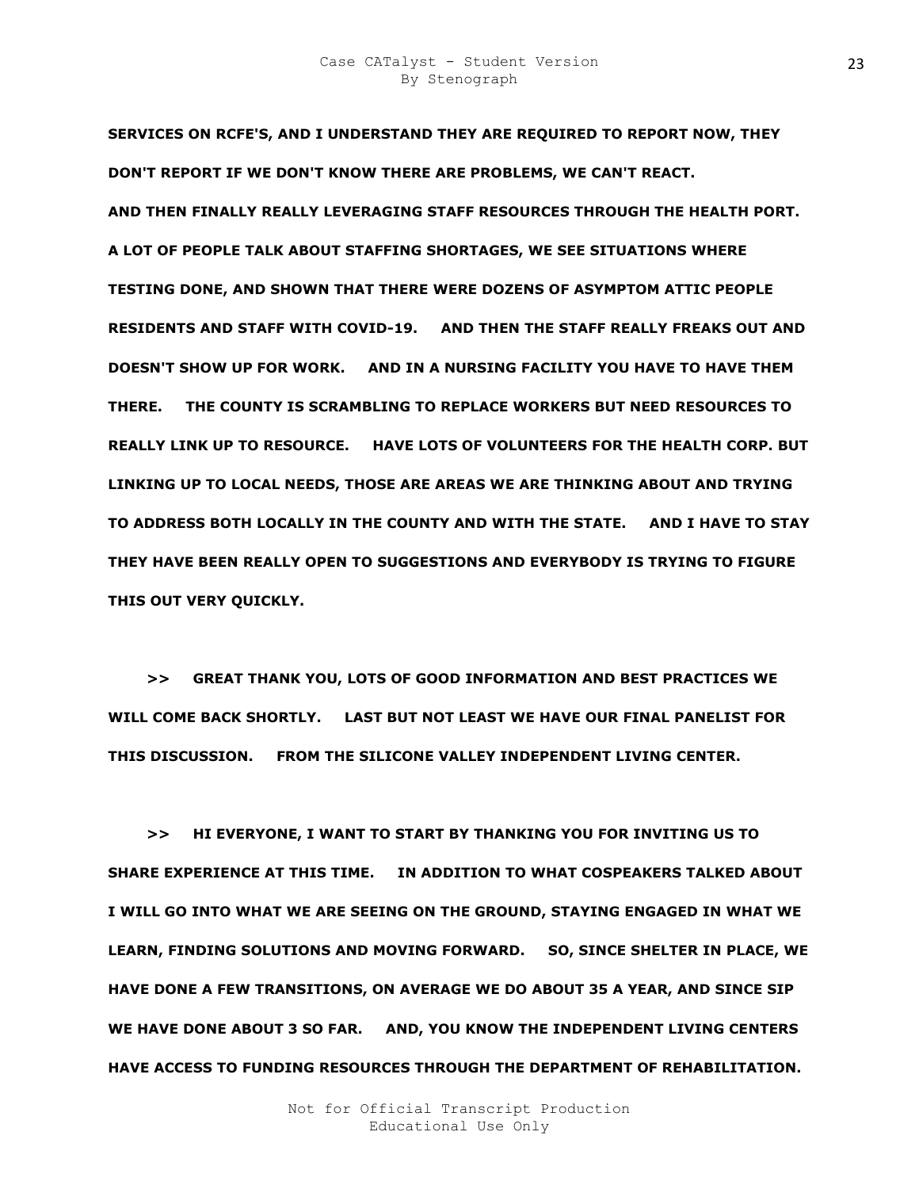**SERVICES ON RCFE'S, AND I UNDERSTAND THEY ARE REQUIRED TO REPORT NOW, THEY DON'T REPORT IF WE DON'T KNOW THERE ARE PROBLEMS, WE CAN'T REACT. AND THEN FINALLY REALLY LEVERAGING STAFF RESOURCES THROUGH THE HEALTH PORT. A LOT OF PEOPLE TALK ABOUT STAFFING SHORTAGES, WE SEE SITUATIONS WHERE TESTING DONE, AND SHOWN THAT THERE WERE DOZENS OF ASYMPTOM ATTIC PEOPLE RESIDENTS AND STAFF WITH COVID-19. AND THEN THE STAFF REALLY FREAKS OUT AND DOESN'T SHOW UP FOR WORK. AND IN A NURSING FACILITY YOU HAVE TO HAVE THEM THERE. THE COUNTY IS SCRAMBLING TO REPLACE WORKERS BUT NEED RESOURCES TO REALLY LINK UP TO RESOURCE. HAVE LOTS OF VOLUNTEERS FOR THE HEALTH CORP. BUT LINKING UP TO LOCAL NEEDS, THOSE ARE AREAS WE ARE THINKING ABOUT AND TRYING TO ADDRESS BOTH LOCALLY IN THE COUNTY AND WITH THE STATE. AND I HAVE TO STAY THEY HAVE BEEN REALLY OPEN TO SUGGESTIONS AND EVERYBODY IS TRYING TO FIGURE THIS OUT VERY QUICKLY.** 

 **>> GREAT THANK YOU, LOTS OF GOOD INFORMATION AND BEST PRACTICES WE WILL COME BACK SHORTLY. LAST BUT NOT LEAST WE HAVE OUR FINAL PANELIST FOR THIS DISCUSSION. FROM THE SILICONE VALLEY INDEPENDENT LIVING CENTER.** 

 **>> HI EVERYONE, I WANT TO START BY THANKING YOU FOR INVITING US TO SHARE EXPERIENCE AT THIS TIME. IN ADDITION TO WHAT COSPEAKERS TALKED ABOUT I WILL GO INTO WHAT WE ARE SEEING ON THE GROUND, STAYING ENGAGED IN WHAT WE LEARN, FINDING SOLUTIONS AND MOVING FORWARD. SO, SINCE SHELTER IN PLACE, WE HAVE DONE A FEW TRANSITIONS, ON AVERAGE WE DO ABOUT 35 A YEAR, AND SINCE SIP WE HAVE DONE ABOUT 3 SO FAR. AND, YOU KNOW THE INDEPENDENT LIVING CENTERS HAVE ACCESS TO FUNDING RESOURCES THROUGH THE DEPARTMENT OF REHABILITATION.**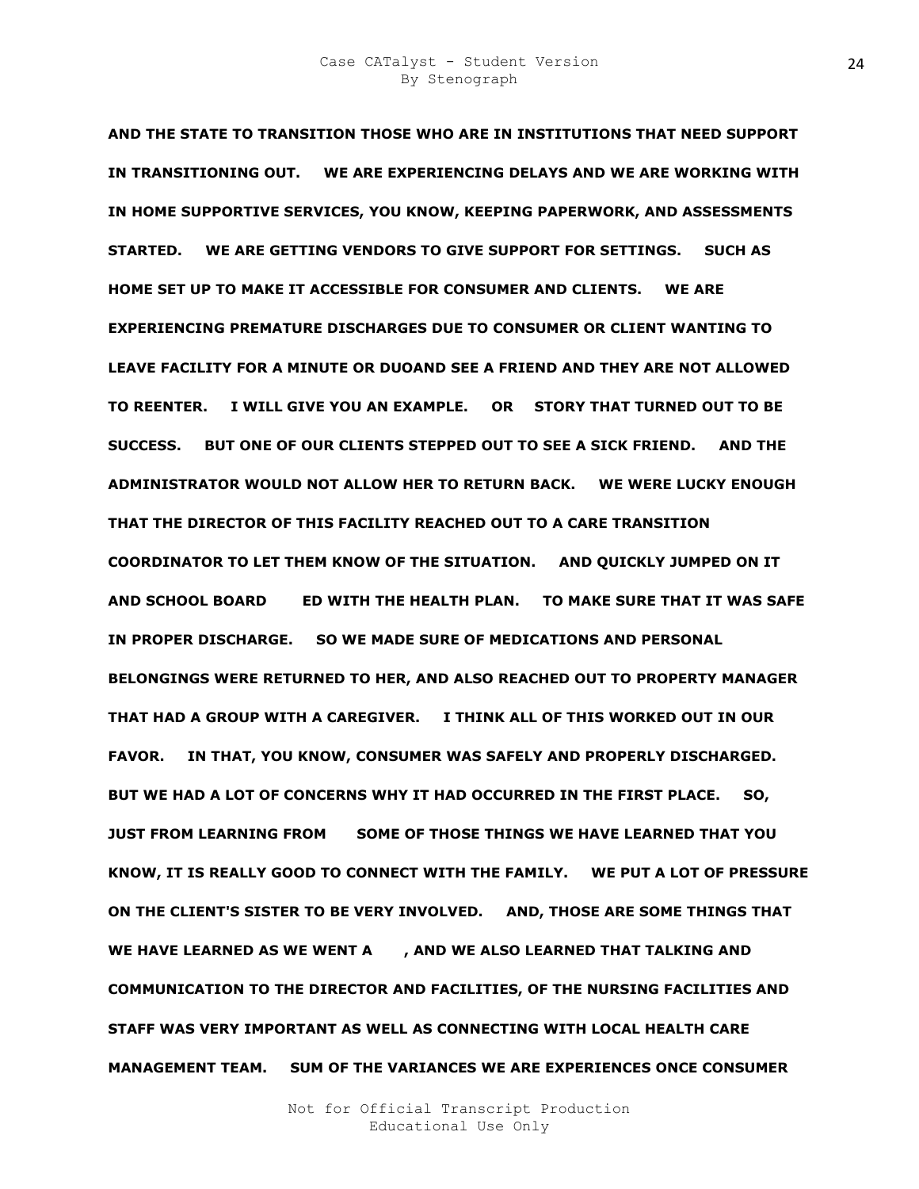**AND THE STATE TO TRANSITION THOSE WHO ARE IN INSTITUTIONS THAT NEED SUPPORT IN TRANSITIONING OUT. WE ARE EXPERIENCING DELAYS AND WE ARE WORKING WITH IN HOME SUPPORTIVE SERVICES, YOU KNOW, KEEPING PAPERWORK, AND ASSESSMENTS STARTED. WE ARE GETTING VENDORS TO GIVE SUPPORT FOR SETTINGS. SUCH AS HOME SET UP TO MAKE IT ACCESSIBLE FOR CONSUMER AND CLIENTS. WE ARE EXPERIENCING PREMATURE DISCHARGES DUE TO CONSUMER OR CLIENT WANTING TO LEAVE FACILITY FOR A MINUTE OR DUOAND SEE A FRIEND AND THEY ARE NOT ALLOWED TO REENTER. I WILL GIVE YOU AN EXAMPLE. OR O STORY THAT TURNED OUT TO BE SUCCESS. BUT ONE OF OUR CLIENTS STEPPED OUT TO SEE A SICK FRIEND. AND THE ADMINISTRATOR WOULD NOT ALLOW HER TO RETURN BACK. WE WERE LUCKY ENOUGH THAT THE DIRECTOR OF THIS FACILITY REACHED OUT TO A CARE TRANSITION COORDINATOR TO LET THEM KNOW OF THE SITUATION. AND QUICKLY JUMPED ON IT AND SCHOOL BOARD NATED WITH THE HEALTH PLAN. TO MAKE SURE THAT IT WAS SAFE IN PROPER DISCHARGE. SO WE MADE SURE OF MEDICATIONS AND PERSONAL BELONGINGS WERE RETURNED TO HER, AND ALSO REACHED OUT TO PROPERTY MANAGER THAT HAD A GROUP WITH A CAREGIVER. I THINK ALL OF THIS WORKED OUT IN OUR FAVOR. IN THAT, YOU KNOW, CONSUMER WAS SAFELY AND PROPERLY DISCHARGED. BUT WE HAD A LOT OF CONCERNS WHY IT HAD OCCURRED IN THE FIRST PLACE. SO, JUST FROM LEARNING FROM OE SOME OF THOSE THINGS WE HAVE LEARNED THAT YOU KNOW, IT IS REALLY GOOD TO CONNECT WITH THE FAMILY. WE PUT A LOT OF PRESSURE ON THE CLIENT'S SISTER TO BE VERY INVOLVED. AND, THOSE ARE SOME THINGS THAT**  WE HAVE LEARNED AS WE WENT A AND WE ALSO LEARNED THAT TALKING AND **COMMUNICATION TO THE DIRECTOR AND FACILITIES, OF THE NURSING FACILITIES AND STAFF WAS VERY IMPORTANT AS WELL AS CONNECTING WITH LOCAL HEALTH CARE MANAGEMENT TEAM. SUM OF THE VARIANCES WE ARE EXPERIENCES ONCE CONSUMER**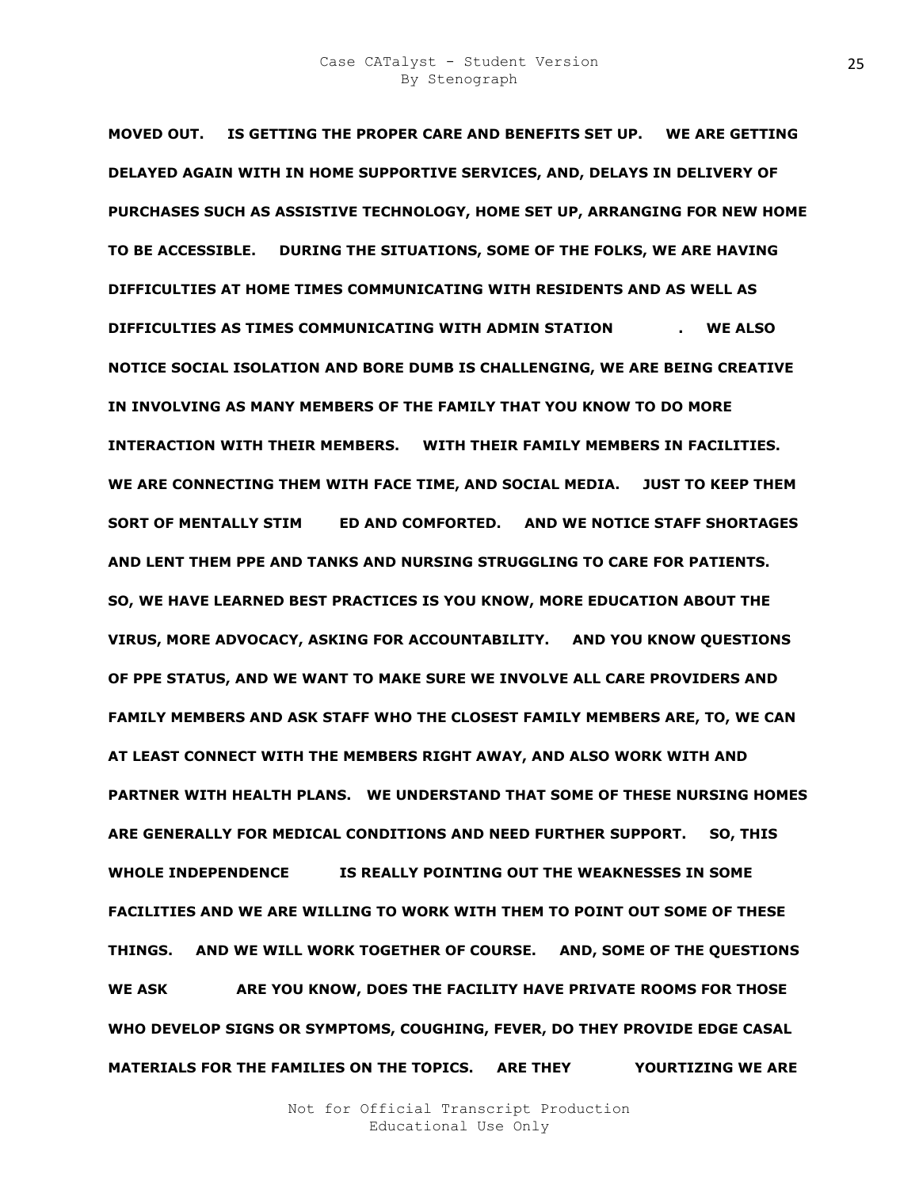**MOVED OUT. IS GETTING THE PROPER CARE AND BENEFITS SET UP. WE ARE GETTING DELAYED AGAIN WITH IN HOME SUPPORTIVE SERVICES, AND, DELAYS IN DELIVERY OF PURCHASES SUCH AS ASSISTIVE TECHNOLOGY, HOME SET UP, ARRANGING FOR NEW HOME TO BE ACCESSIBLE. DURING THE SITUATIONS, SOME OF THE FOLKS, WE ARE HAVING DIFFICULTIES AT HOME TIMES COMMUNICATING WITH RESIDENTS AND AS WELL AS DIFFICULTIES AS TIMES COMMUNICATING WITH ADMIN STATION THE STRAGGEOUS ASSESSMENT ASSESSMENT ASSESSMENT ASSESSMENT ASSESSMENT ASSESSMENT ASSESSMENT ASSESSMENT ASSESSMENT ASSESSMENT ASSESSMENT ASSESSMENT ASSESSMENT ASSESSME NOTICE SOCIAL ISOLATION AND BORE DUMB IS CHALLENGING, WE ARE BEING CREATIVE IN INVOLVING AS MANY MEMBERS OF THE FAMILY THAT YOU KNOW TO DO MORE INTERACTION WITH THEIR MEMBERS. WITH THEIR FAMILY MEMBERS IN FACILITIES. WE ARE CONNECTING THEM WITH FACE TIME, AND SOCIAL MEDIA. JUST TO KEEP THEM SORT OF MENTALLY STIM ED AND COMFORTED. AND WE NOTICE STAFF SHORTAGES AND LENT THEM PPE AND TANKS AND NURSING STRUGGLING TO CARE FOR PATIENTS. SO, WE HAVE LEARNED BEST PRACTICES IS YOU KNOW, MORE EDUCATION ABOUT THE VIRUS, MORE ADVOCACY, ASKING FOR ACCOUNTABILITY. AND YOU KNOW QUESTIONS OF PPE STATUS, AND WE WANT TO MAKE SURE WE INVOLVE ALL CARE PROVIDERS AND FAMILY MEMBERS AND ASK STAFF WHO THE CLOSEST FAMILY MEMBERS ARE, TO, WE CAN AT LEAST CONNECT WITH THE MEMBERS RIGHT AWAY, AND ALSO WORK WITH AND PARTNER WITH HEALTH PLANS. WE UNDERSTAND THAT SOME OF THESE NURSING HOMES ARE GENERALLY FOR MEDICAL CONDITIONS AND NEED FURTHER SUPPORT. SO, THIS**  WHOLE INDEPENDENCE **IS REALLY POINTING OUT THE WEAKNESSES IN SOME FACILITIES AND WE ARE WILLING TO WORK WITH THEM TO POINT OUT SOME OF THESE THINGS. AND WE WILL WORK TOGETHER OF COURSE. AND, SOME OF THE QUESTIONS**  WE ASK **ARE YOU KNOW, DOES THE FACILITY HAVE PRIVATE ROOMS FOR THOSE WHO DEVELOP SIGNS OR SYMPTOMS, COUGHING, FEVER, DO THEY PROVIDE EDGE CASAL MATERIALS FOR THE FAMILIES ON THE TOPICS. ARE THEY PROOR YOURTIZING WE ARE**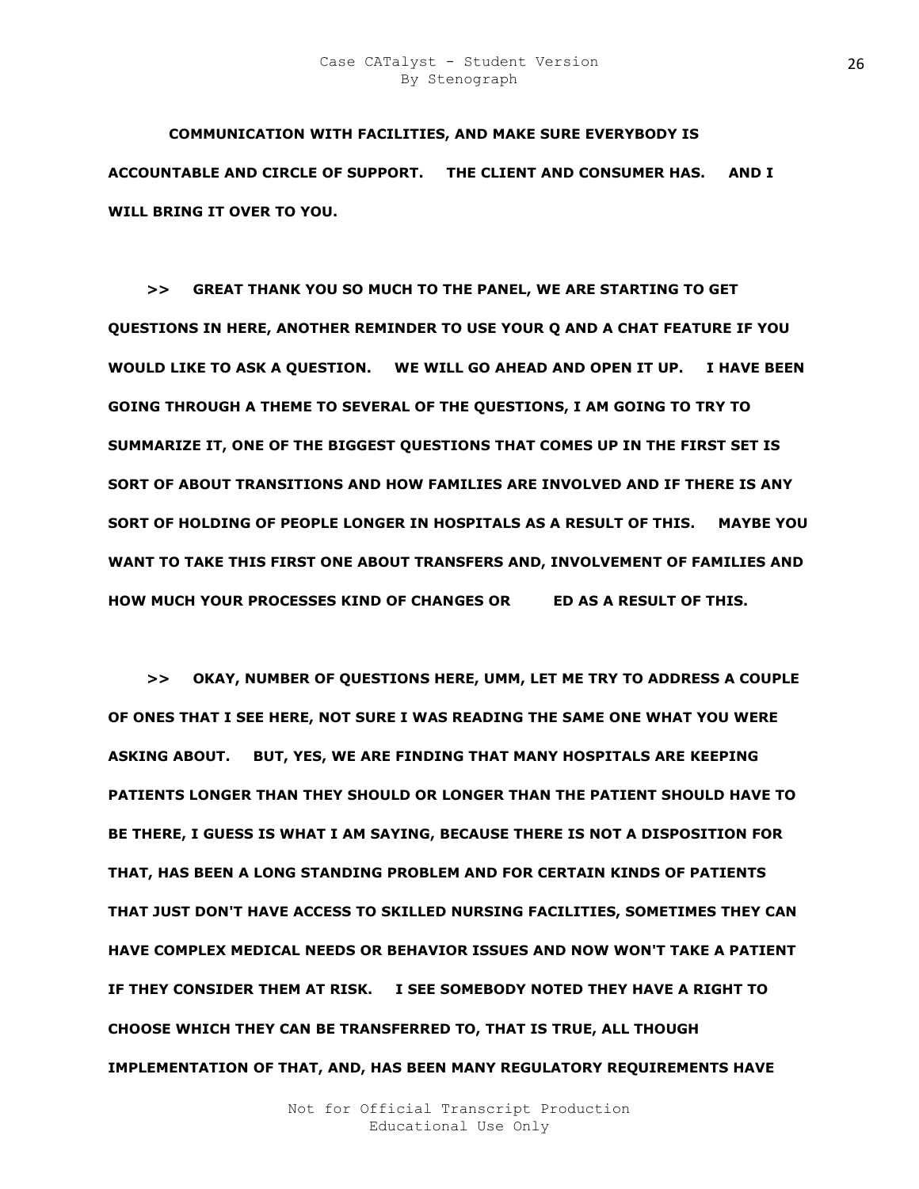### Case CATalyst - Student Version By Stenograph

**COMMUNICATION WITH FACILITIES, AND MAKE SURE EVERYBODY IS ACCOUNTABLE AND CIRCLE OF SUPPORT. THE CLIENT AND CONSUMER HAS. AND I WILL BRING IT OVER TO YOU.** 

 **>> GREAT THANK YOU SO MUCH TO THE PANEL, WE ARE STARTING TO GET QUESTIONS IN HERE, ANOTHER REMINDER TO USE YOUR Q AND A CHAT FEATURE IF YOU WOULD LIKE TO ASK A QUESTION. WE WILL GO AHEAD AND OPEN IT UP. I HAVE BEEN GOING THROUGH A THEME TO SEVERAL OF THE QUESTIONS, I AM GOING TO TRY TO SUMMARIZE IT, ONE OF THE BIGGEST QUESTIONS THAT COMES UP IN THE FIRST SET IS SORT OF ABOUT TRANSITIONS AND HOW FAMILIES ARE INVOLVED AND IF THERE IS ANY SORT OF HOLDING OF PEOPLE LONGER IN HOSPITALS AS A RESULT OF THIS. MAYBE YOU WANT TO TAKE THIS FIRST ONE ABOUT TRANSFERS AND, INVOLVEMENT OF FAMILIES AND HOW MUCH YOUR PROCESSES KIND OF CHANGES OR GET AS A RESULT OF THIS.** 

 **>> OKAY, NUMBER OF QUESTIONS HERE, UMM, LET ME TRY TO ADDRESS A COUPLE OF ONES THAT I SEE HERE, NOT SURE I WAS READING THE SAME ONE WHAT YOU WERE ASKING ABOUT. BUT, YES, WE ARE FINDING THAT MANY HOSPITALS ARE KEEPING PATIENTS LONGER THAN THEY SHOULD OR LONGER THAN THE PATIENT SHOULD HAVE TO BE THERE, I GUESS IS WHAT I AM SAYING, BECAUSE THERE IS NOT A DISPOSITION FOR THAT, HAS BEEN A LONG STANDING PROBLEM AND FOR CERTAIN KINDS OF PATIENTS THAT JUST DON'T HAVE ACCESS TO SKILLED NURSING FACILITIES, SOMETIMES THEY CAN HAVE COMPLEX MEDICAL NEEDS OR BEHAVIOR ISSUES AND NOW WON'T TAKE A PATIENT IF THEY CONSIDER THEM AT RISK. I SEE SOMEBODY NOTED THEY HAVE A RIGHT TO CHOOSE WHICH THEY CAN BE TRANSFERRED TO, THAT IS TRUE, ALL THOUGH IMPLEMENTATION OF THAT, AND, HAS BEEN MANY REGULATORY REQUIREMENTS HAVE**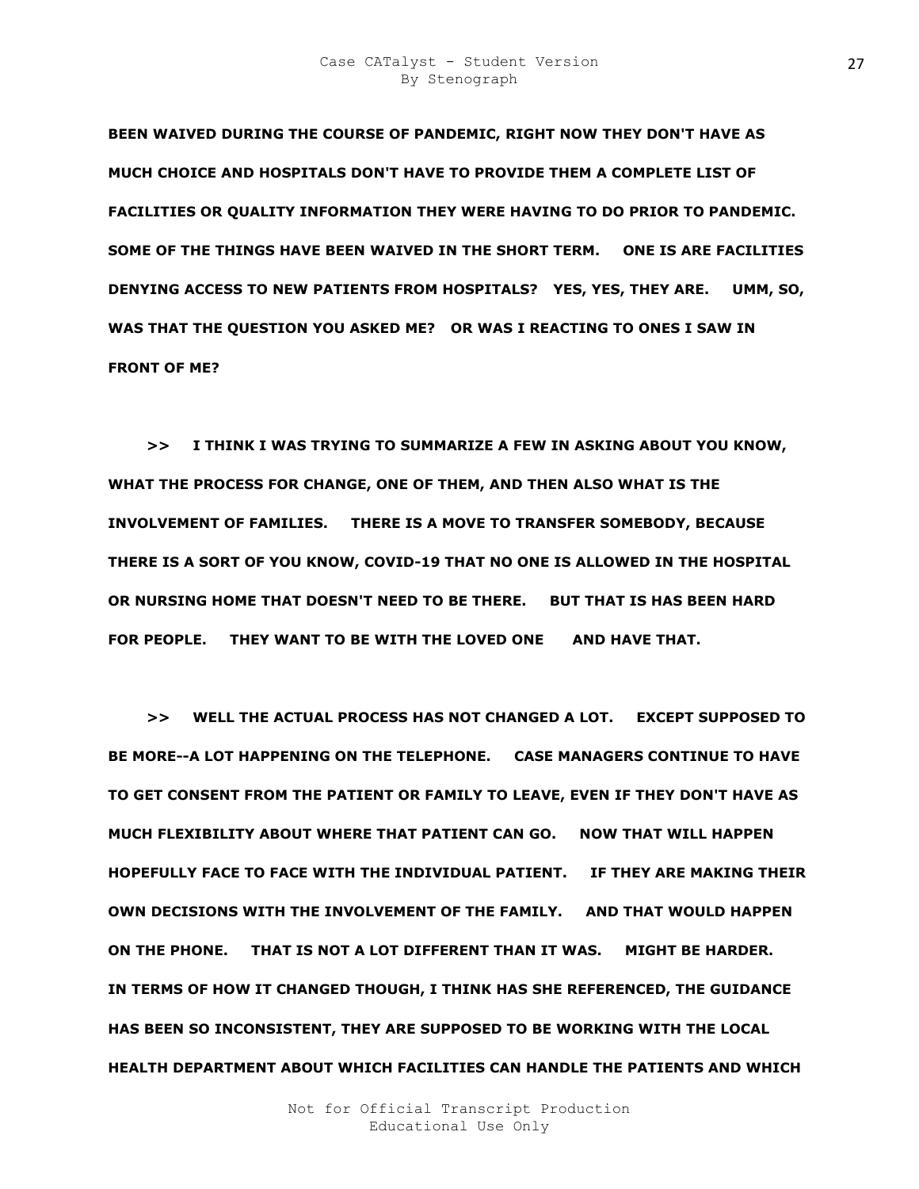**BEEN WAIVED DURING THE COURSE OF PANDEMIC, RIGHT NOW THEY DON'T HAVE AS MUCH CHOICE AND HOSPITALS DON'T HAVE TO PROVIDE THEM A COMPLETE LIST OF FACILITIES OR QUALITY INFORMATION THEY WERE HAVING TO DO PRIOR TO PANDEMIC. SOME OF THE THINGS HAVE BEEN WAIVED IN THE SHORT TERM. ONE IS ARE FACILITIES DENYING ACCESS TO NEW PATIENTS FROM HOSPITALS? YES, YES, THEY ARE. UMM, SO, WAS THAT THE QUESTION YOU ASKED ME? OR WAS I REACTING TO ONES I SAW IN FRONT OF ME?** 

 **>> I THINK I WAS TRYING TO SUMMARIZE A FEW IN ASKING ABOUT YOU KNOW, WHAT THE PROCESS FOR CHANGE, ONE OF THEM, AND THEN ALSO WHAT IS THE INVOLVEMENT OF FAMILIES. THERE IS A MOVE TO TRANSFER SOMEBODY, BECAUSE THERE IS A SORT OF YOU KNOW, COVID-19 THAT NO ONE IS ALLOWED IN THE HOSPITAL OR NURSING HOME THAT DOESN'T NEED TO BE THERE. BUT THAT IS HAS BEEN HARD FOR PEOPLE. THEY WANT TO BE WITH THE LOVED ONE SZ AND HAVE THAT.** 

 **>> WELL THE ACTUAL PROCESS HAS NOT CHANGED A LOT. EXCEPT SUPPOSED TO BE MORE--A LOT HAPPENING ON THE TELEPHONE. CASE MANAGERS CONTINUE TO HAVE TO GET CONSENT FROM THE PATIENT OR FAMILY TO LEAVE, EVEN IF THEY DON'T HAVE AS MUCH FLEXIBILITY ABOUT WHERE THAT PATIENT CAN GO. NOW THAT WILL HAPPEN HOPEFULLY FACE TO FACE WITH THE INDIVIDUAL PATIENT. IF THEY ARE MAKING THEIR OWN DECISIONS WITH THE INVOLVEMENT OF THE FAMILY. AND THAT WOULD HAPPEN ON THE PHONE. THAT IS NOT A LOT DIFFERENT THAN IT WAS. MIGHT BE HARDER. IN TERMS OF HOW IT CHANGED THOUGH, I THINK HAS SHE REFERENCED, THE GUIDANCE HAS BEEN SO INCONSISTENT, THEY ARE SUPPOSED TO BE WORKING WITH THE LOCAL HEALTH DEPARTMENT ABOUT WHICH FACILITIES CAN HANDLE THE PATIENTS AND WHICH**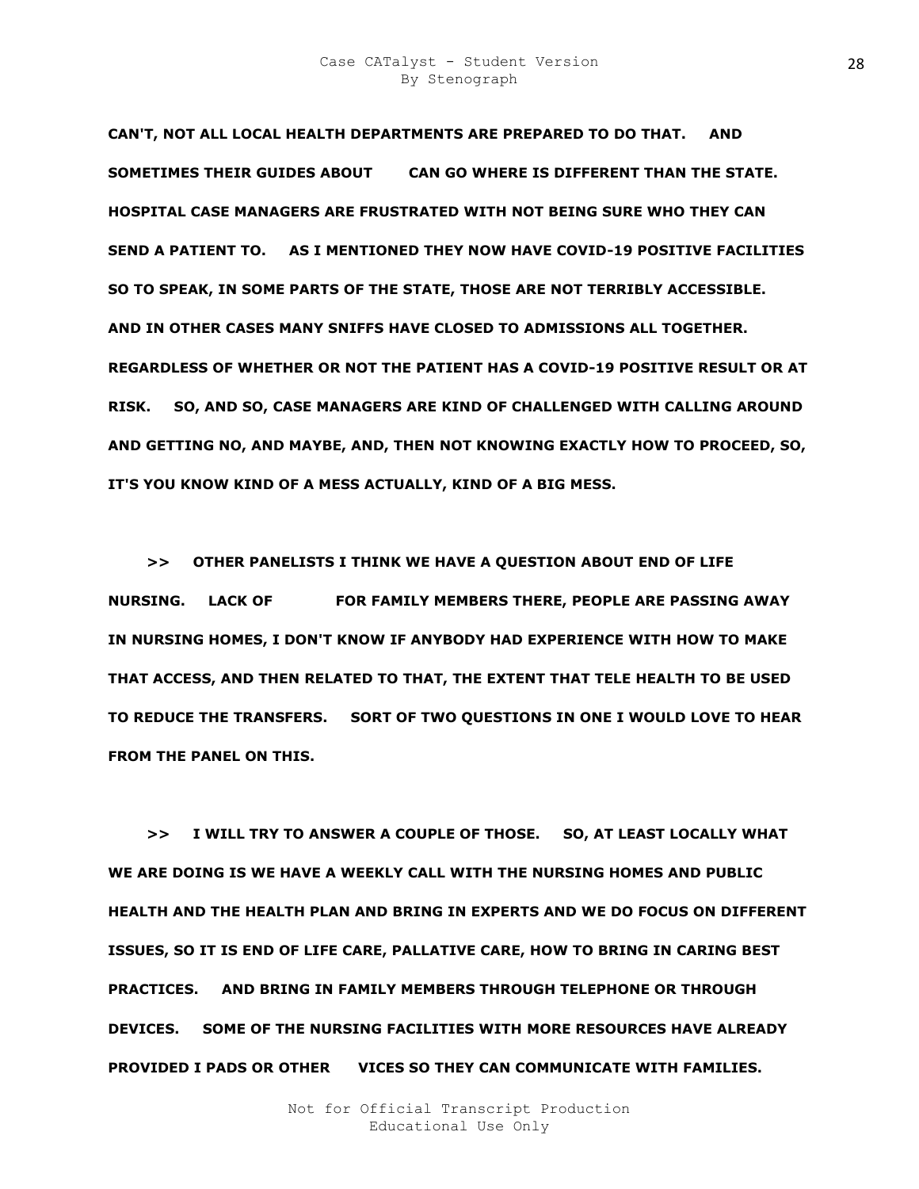**CAN'T, NOT ALL LOCAL HEALTH DEPARTMENTS ARE PREPARED TO DO THAT. AND SOMETIMES THEIR GUIDES ABOUT WH CAN GO WHERE IS DIFFERENT THAN THE STATE. HOSPITAL CASE MANAGERS ARE FRUSTRATED WITH NOT BEING SURE WHO THEY CAN SEND A PATIENT TO. AS I MENTIONED THEY NOW HAVE COVID-19 POSITIVE FACILITIES SO TO SPEAK, IN SOME PARTS OF THE STATE, THOSE ARE NOT TERRIBLY ACCESSIBLE. AND IN OTHER CASES MANY SNIFFS HAVE CLOSED TO ADMISSIONS ALL TOGETHER. REGARDLESS OF WHETHER OR NOT THE PATIENT HAS A COVID-19 POSITIVE RESULT OR AT RISK. SO, AND SO, CASE MANAGERS ARE KIND OF CHALLENGED WITH CALLING AROUND AND GETTING NO, AND MAYBE, AND, THEN NOT KNOWING EXACTLY HOW TO PROCEED, SO, IT'S YOU KNOW KIND OF A MESS ACTUALLY, KIND OF A BIG MESS.** 

 **>> OTHER PANELISTS I THINK WE HAVE A QUESTION ABOUT END OF LIFE NURSING. LACK OF FOR FAMILY MEMBERS THERE, PEOPLE ARE PASSING AWAY IN NURSING HOMES, I DON'T KNOW IF ANYBODY HAD EXPERIENCE WITH HOW TO MAKE THAT ACCESS, AND THEN RELATED TO THAT, THE EXTENT THAT TELE HEALTH TO BE USED TO REDUCE THE TRANSFERS. SORT OF TWO QUESTIONS IN ONE I WOULD LOVE TO HEAR FROM THE PANEL ON THIS.** 

 **>> I WILL TRY TO ANSWER A COUPLE OF THOSE. SO, AT LEAST LOCALLY WHAT WE ARE DOING IS WE HAVE A WEEKLY CALL WITH THE NURSING HOMES AND PUBLIC HEALTH AND THE HEALTH PLAN AND BRING IN EXPERTS AND WE DO FOCUS ON DIFFERENT ISSUES, SO IT IS END OF LIFE CARE, PALLATIVE CARE, HOW TO BRING IN CARING BEST PRACTICES. AND BRING IN FAMILY MEMBERS THROUGH TELEPHONE OR THROUGH DEVICES. SOME OF THE NURSING FACILITIES WITH MORE RESOURCES HAVE ALREADY PROVIDED I PADS OR OTHER VICES SO THEY CAN COMMUNICATE WITH FAMILIES.**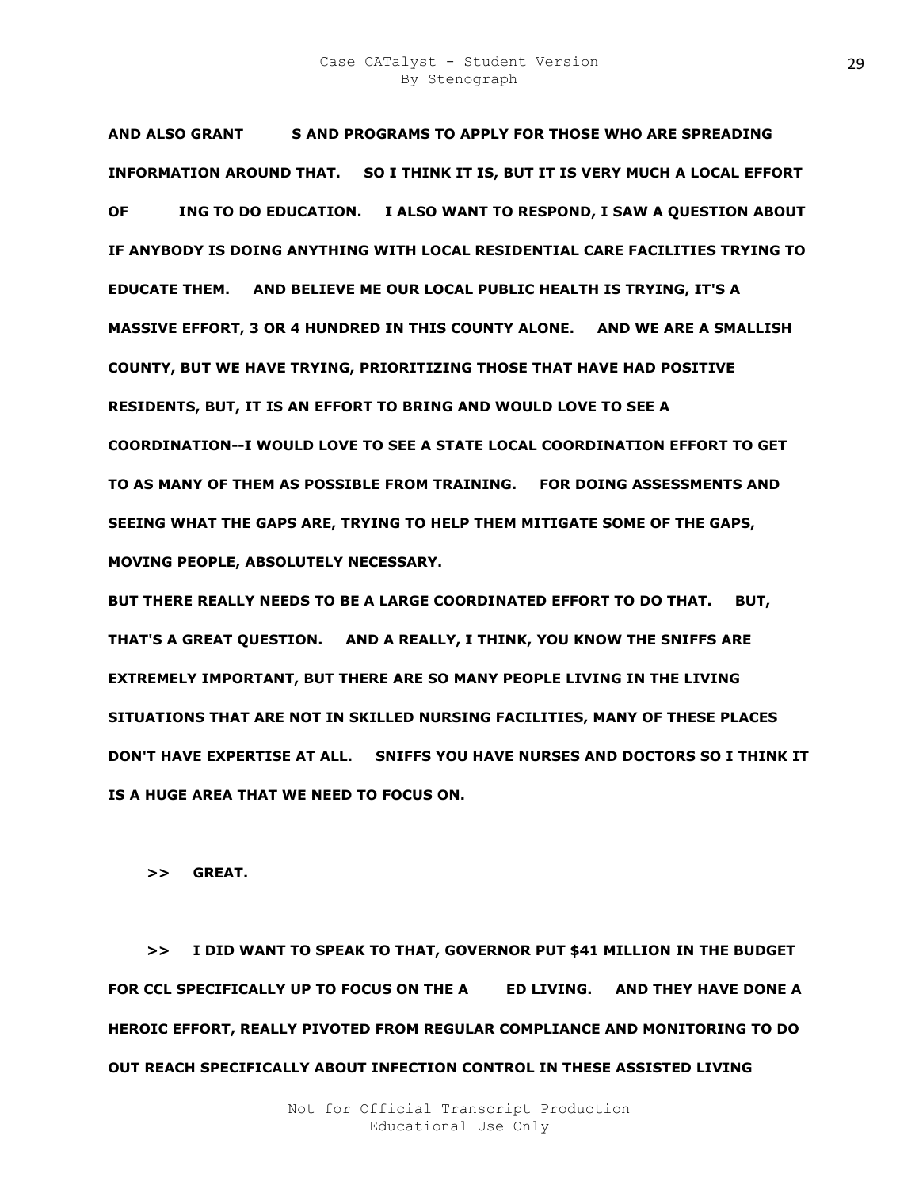### Case CATalyst - Student Version By Stenograph

**AND ALSO GRANT BRAMS AND PROGRAMS TO APPLY FOR THOSE WHO ARE SPREADING INFORMATION AROUND THAT. SO I THINK IT IS, BUT IT IS VERY MUCH A LOCAL EFFORT OF STRIEING TO DO EDUCATION. I ALSO WANT TO RESPOND, I SAW A QUESTION ABOUT IF ANYBODY IS DOING ANYTHING WITH LOCAL RESIDENTIAL CARE FACILITIES TRYING TO EDUCATE THEM. AND BELIEVE ME OUR LOCAL PUBLIC HEALTH IS TRYING, IT'S A MASSIVE EFFORT, 3 OR 4 HUNDRED IN THIS COUNTY ALONE. AND WE ARE A SMALLISH COUNTY, BUT WE HAVE TRYING, PRIORITIZING THOSE THAT HAVE HAD POSITIVE RESIDENTS, BUT, IT IS AN EFFORT TO BRING AND WOULD LOVE TO SEE A COORDINATION--I WOULD LOVE TO SEE A STATE LOCAL COORDINATION EFFORT TO GET TO AS MANY OF THEM AS POSSIBLE FROM TRAINING. FOR DOING ASSESSMENTS AND SEEING WHAT THE GAPS ARE, TRYING TO HELP THEM MITIGATE SOME OF THE GAPS, MOVING PEOPLE, ABSOLUTELY NECESSARY.** 

**BUT THERE REALLY NEEDS TO BE A LARGE COORDINATED EFFORT TO DO THAT. BUT, THAT'S A GREAT QUESTION. AND A REALLY, I THINK, YOU KNOW THE SNIFFS ARE EXTREMELY IMPORTANT, BUT THERE ARE SO MANY PEOPLE LIVING IN THE LIVING SITUATIONS THAT ARE NOT IN SKILLED NURSING FACILITIES, MANY OF THESE PLACES DON'T HAVE EXPERTISE AT ALL. SNIFFS YOU HAVE NURSES AND DOCTORS SO I THINK IT IS A HUGE AREA THAT WE NEED TO FOCUS ON.** 

 **>> GREAT.** 

 **>> I DID WANT TO SPEAK TO THAT, GOVERNOR PUT \$41 MILLION IN THE BUDGET**  FOR CCL SPECIFICALLY UP TO FOCUS ON THE A **ED LIVING. AND THEY HAVE DONE A HEROIC EFFORT, REALLY PIVOTED FROM REGULAR COMPLIANCE AND MONITORING TO DO OUT REACH SPECIFICALLY ABOUT INFECTION CONTROL IN THESE ASSISTED LIVING**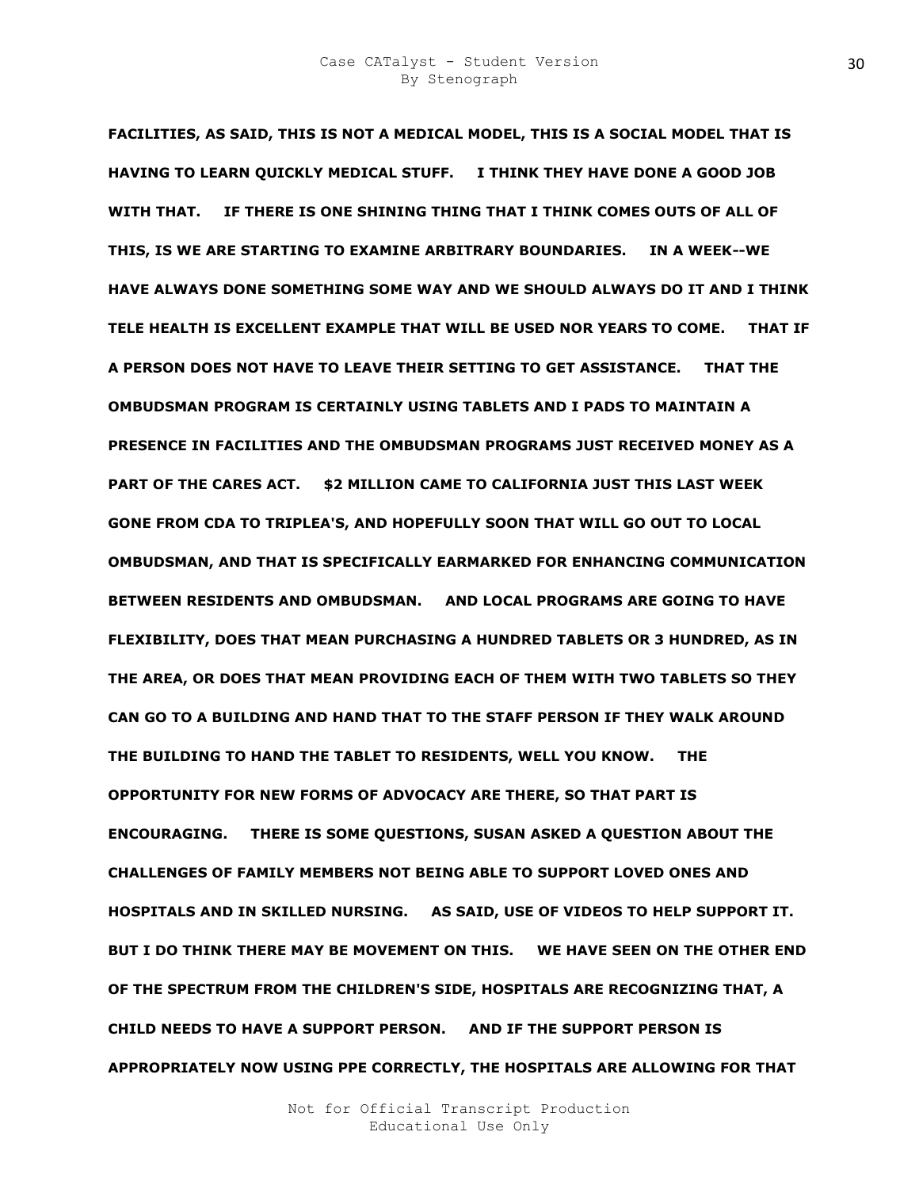**FACILITIES, AS SAID, THIS IS NOT A MEDICAL MODEL, THIS IS A SOCIAL MODEL THAT IS HAVING TO LEARN QUICKLY MEDICAL STUFF. I THINK THEY HAVE DONE A GOOD JOB WITH THAT. IF THERE IS ONE SHINING THING THAT I THINK COMES OUTS OF ALL OF THIS, IS WE ARE STARTING TO EXAMINE ARBITRARY BOUNDARIES. IN A WEEK--WE HAVE ALWAYS DONE SOMETHING SOME WAY AND WE SHOULD ALWAYS DO IT AND I THINK TELE HEALTH IS EXCELLENT EXAMPLE THAT WILL BE USED NOR YEARS TO COME. THAT IF A PERSON DOES NOT HAVE TO LEAVE THEIR SETTING TO GET ASSISTANCE. THAT THE OMBUDSMAN PROGRAM IS CERTAINLY USING TABLETS AND I PADS TO MAINTAIN A PRESENCE IN FACILITIES AND THE OMBUDSMAN PROGRAMS JUST RECEIVED MONEY AS A PART OF THE CARES ACT. \$2 MILLION CAME TO CALIFORNIA JUST THIS LAST WEEK GONE FROM CDA TO TRIPLEA'S, AND HOPEFULLY SOON THAT WILL GO OUT TO LOCAL OMBUDSMAN, AND THAT IS SPECIFICALLY EARMARKED FOR ENHANCING COMMUNICATION BETWEEN RESIDENTS AND OMBUDSMAN. AND LOCAL PROGRAMS ARE GOING TO HAVE FLEXIBILITY, DOES THAT MEAN PURCHASING A HUNDRED TABLETS OR 3 HUNDRED, AS IN THE AREA, OR DOES THAT MEAN PROVIDING EACH OF THEM WITH TWO TABLETS SO THEY CAN GO TO A BUILDING AND HAND THAT TO THE STAFF PERSON IF THEY WALK AROUND THE BUILDING TO HAND THE TABLET TO RESIDENTS, WELL YOU KNOW. THE OPPORTUNITY FOR NEW FORMS OF ADVOCACY ARE THERE, SO THAT PART IS ENCOURAGING. THERE IS SOME QUESTIONS, SUSAN ASKED A QUESTION ABOUT THE CHALLENGES OF FAMILY MEMBERS NOT BEING ABLE TO SUPPORT LOVED ONES AND HOSPITALS AND IN SKILLED NURSING. AS SAID, USE OF VIDEOS TO HELP SUPPORT IT. BUT I DO THINK THERE MAY BE MOVEMENT ON THIS. WE HAVE SEEN ON THE OTHER END OF THE SPECTRUM FROM THE CHILDREN'S SIDE, HOSPITALS ARE RECOGNIZING THAT, A CHILD NEEDS TO HAVE A SUPPORT PERSON. AND IF THE SUPPORT PERSON IS APPROPRIATELY NOW USING PPE CORRECTLY, THE HOSPITALS ARE ALLOWING FOR THAT**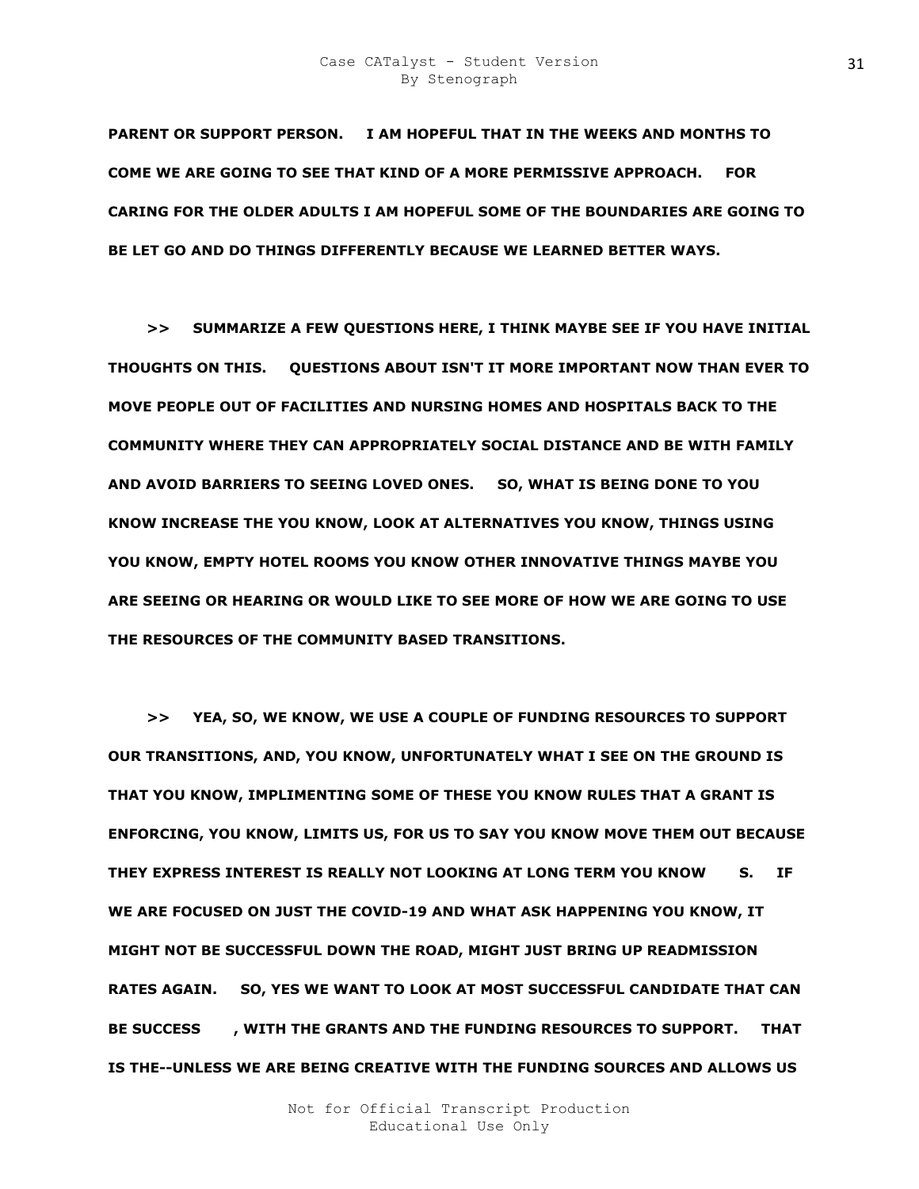**PARENT OR SUPPORT PERSON. I AM HOPEFUL THAT IN THE WEEKS AND MONTHS TO COME WE ARE GOING TO SEE THAT KIND OF A MORE PERMISSIVE APPROACH. FOR CARING FOR THE OLDER ADULTS I AM HOPEFUL SOME OF THE BOUNDARIES ARE GOING TO BE LET GO AND DO THINGS DIFFERENTLY BECAUSE WE LEARNED BETTER WAYS.** 

 **>> SUMMARIZE A FEW QUESTIONS HERE, I THINK MAYBE SEE IF YOU HAVE INITIAL THOUGHTS ON THIS. QUESTIONS ABOUT ISN'T IT MORE IMPORTANT NOW THAN EVER TO MOVE PEOPLE OUT OF FACILITIES AND NURSING HOMES AND HOSPITALS BACK TO THE COMMUNITY WHERE THEY CAN APPROPRIATELY SOCIAL DISTANCE AND BE WITH FAMILY AND AVOID BARRIERS TO SEEING LOVED ONES. SO, WHAT IS BEING DONE TO YOU KNOW INCREASE THE YOU KNOW, LOOK AT ALTERNATIVES YOU KNOW, THINGS USING YOU KNOW, EMPTY HOTEL ROOMS YOU KNOW OTHER INNOVATIVE THINGS MAYBE YOU ARE SEEING OR HEARING OR WOULD LIKE TO SEE MORE OF HOW WE ARE GOING TO USE THE RESOURCES OF THE COMMUNITY BASED TRANSITIONS.** 

 **>> YEA, SO, WE KNOW, WE USE A COUPLE OF FUNDING RESOURCES TO SUPPORT OUR TRANSITIONS, AND, YOU KNOW, UNFORTUNATELY WHAT I SEE ON THE GROUND IS THAT YOU KNOW, IMPLIMENTING SOME OF THESE YOU KNOW RULES THAT A GRANT IS ENFORCING, YOU KNOW, LIMITS US, FOR US TO SAY YOU KNOW MOVE THEM OUT BECAUSE THEY EXPRESS INTEREST IS REALLY NOT LOOKING AT LONG TERM YOU KNOW EFKS. IF WE ARE FOCUSED ON JUST THE COVID-19 AND WHAT ASK HAPPENING YOU KNOW, IT MIGHT NOT BE SUCCESSFUL DOWN THE ROAD, MIGHT JUST BRING UP READMISSION RATES AGAIN. SO, YES WE WANT TO LOOK AT MOST SUCCESSFUL CANDIDATE THAT CAN**  BE SUCCESS FLOTTH THE GRANTS AND THE FUNDING RESOURCES TO SUPPORT. THAT **IS THE--UNLESS WE ARE BEING CREATIVE WITH THE FUNDING SOURCES AND ALLOWS US**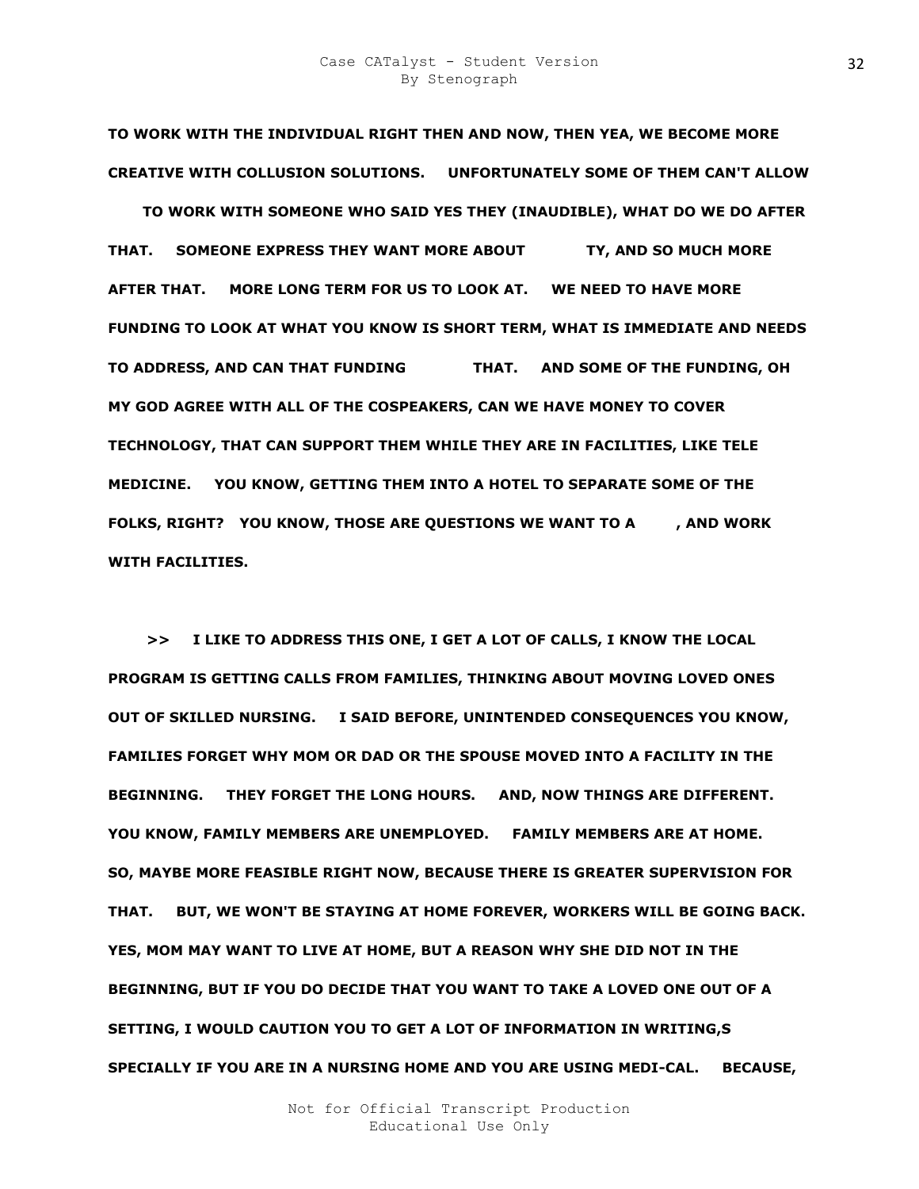**TO WORK WITH THE INDIVIDUAL RIGHT THEN AND NOW, THEN YEA, WE BECOME MORE CREATIVE WITH COLLUSION SOLUTIONS. UNFORTUNATELY SOME OF THEM CAN'T ALLOW** 

**USZ TO WORK WITH SOMEONE WHO SAID YES THEY (INAUDIBLE), WHAT DO WE DO AFTER THAT. SOMEONE EXPRESS THEY WANT MORE ABOUT TY, AND SO MUCH MORE AFTER THAT. MORE LONG TERM FOR US TO LOOK AT. WE NEED TO HAVE MORE FUNDING TO LOOK AT WHAT YOU KNOW IS SHORT TERM, WHAT IS IMMEDIATE AND NEEDS TO ADDRESS, AND CAN THAT FUNDING KWOVR THAT. AND SOME OF THE FUNDING, OH MY GOD AGREE WITH ALL OF THE COSPEAKERS, CAN WE HAVE MONEY TO COVER TECHNOLOGY, THAT CAN SUPPORT THEM WHILE THEY ARE IN FACILITIES, LIKE TELE MEDICINE. YOU KNOW, GETTING THEM INTO A HOTEL TO SEPARATE SOME OF THE**  FOLKS, RIGHT? YOU KNOW, THOSE ARE QUESTIONS WE WANT TO A AND WORK **WITH FACILITIES.** 

 **>> I LIKE TO ADDRESS THIS ONE, I GET A LOT OF CALLS, I KNOW THE LOCAL PROGRAM IS GETTING CALLS FROM FAMILIES, THINKING ABOUT MOVING LOVED ONES OUT OF SKILLED NURSING. I SAID BEFORE, UNINTENDED CONSEQUENCES YOU KNOW, FAMILIES FORGET WHY MOM OR DAD OR THE SPOUSE MOVED INTO A FACILITY IN THE BEGINNING. THEY FORGET THE LONG HOURS. AND, NOW THINGS ARE DIFFERENT. YOU KNOW, FAMILY MEMBERS ARE UNEMPLOYED. FAMILY MEMBERS ARE AT HOME. SO, MAYBE MORE FEASIBLE RIGHT NOW, BECAUSE THERE IS GREATER SUPERVISION FOR THAT. BUT, WE WON'T BE STAYING AT HOME FOREVER, WORKERS WILL BE GOING BACK. YES, MOM MAY WANT TO LIVE AT HOME, BUT A REASON WHY SHE DID NOT IN THE BEGINNING, BUT IF YOU DO DECIDE THAT YOU WANT TO TAKE A LOVED ONE OUT OF A SETTING, I WOULD CAUTION YOU TO GET A LOT OF INFORMATION IN WRITING,S SPECIALLY IF YOU ARE IN A NURSING HOME AND YOU ARE USING MEDI-CAL. BECAUSE,**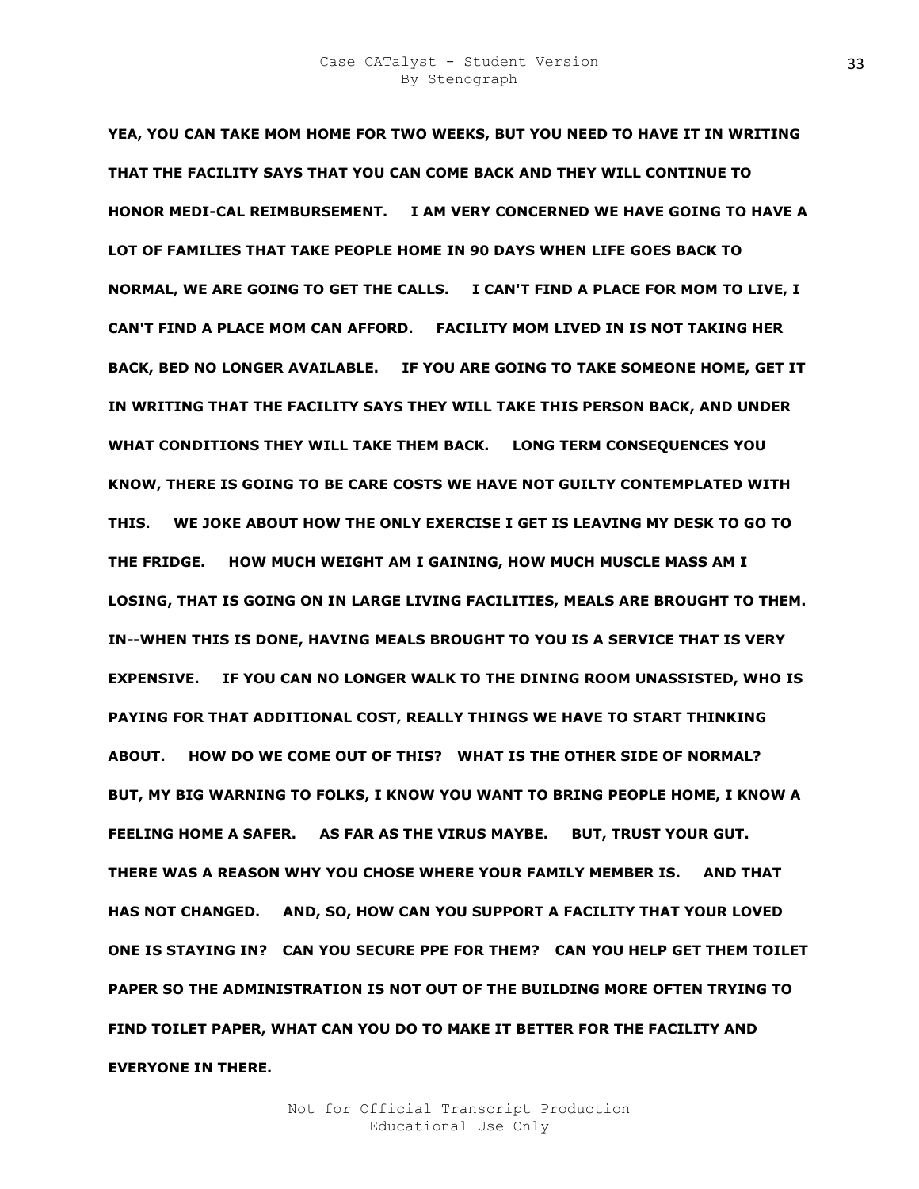**YEA, YOU CAN TAKE MOM HOME FOR TWO WEEKS, BUT YOU NEED TO HAVE IT IN WRITING THAT THE FACILITY SAYS THAT YOU CAN COME BACK AND THEY WILL CONTINUE TO HONOR MEDI-CAL REIMBURSEMENT. I AM VERY CONCERNED WE HAVE GOING TO HAVE A LOT OF FAMILIES THAT TAKE PEOPLE HOME IN 90 DAYS WHEN LIFE GOES BACK TO NORMAL, WE ARE GOING TO GET THE CALLS. I CAN'T FIND A PLACE FOR MOM TO LIVE, I CAN'T FIND A PLACE MOM CAN AFFORD. FACILITY MOM LIVED IN IS NOT TAKING HER BACK, BED NO LONGER AVAILABLE. IF YOU ARE GOING TO TAKE SOMEONE HOME, GET IT IN WRITING THAT THE FACILITY SAYS THEY WILL TAKE THIS PERSON BACK, AND UNDER WHAT CONDITIONS THEY WILL TAKE THEM BACK. LONG TERM CONSEQUENCES YOU KNOW, THERE IS GOING TO BE CARE COSTS WE HAVE NOT GUILTY CONTEMPLATED WITH THIS. WE JOKE ABOUT HOW THE ONLY EXERCISE I GET IS LEAVING MY DESK TO GO TO THE FRIDGE. HOW MUCH WEIGHT AM I GAINING, HOW MUCH MUSCLE MASS AM I LOSING, THAT IS GOING ON IN LARGE LIVING FACILITIES, MEALS ARE BROUGHT TO THEM. IN--WHEN THIS IS DONE, HAVING MEALS BROUGHT TO YOU IS A SERVICE THAT IS VERY EXPENSIVE. IF YOU CAN NO LONGER WALK TO THE DINING ROOM UNASSISTED, WHO IS PAYING FOR THAT ADDITIONAL COST, REALLY THINGS WE HAVE TO START THINKING ABOUT. HOW DO WE COME OUT OF THIS? WHAT IS THE OTHER SIDE OF NORMAL? BUT, MY BIG WARNING TO FOLKS, I KNOW YOU WANT TO BRING PEOPLE HOME, I KNOW A FEELING HOME A SAFER. AS FAR AS THE VIRUS MAYBE. BUT, TRUST YOUR GUT. THERE WAS A REASON WHY YOU CHOSE WHERE YOUR FAMILY MEMBER IS. AND THAT HAS NOT CHANGED. AND, SO, HOW CAN YOU SUPPORT A FACILITY THAT YOUR LOVED ONE IS STAYING IN? CAN YOU SECURE PPE FOR THEM? CAN YOU HELP GET THEM TOILET PAPER SO THE ADMINISTRATION IS NOT OUT OF THE BUILDING MORE OFTEN TRYING TO FIND TOILET PAPER, WHAT CAN YOU DO TO MAKE IT BETTER FOR THE FACILITY AND EVERYONE IN THERE.**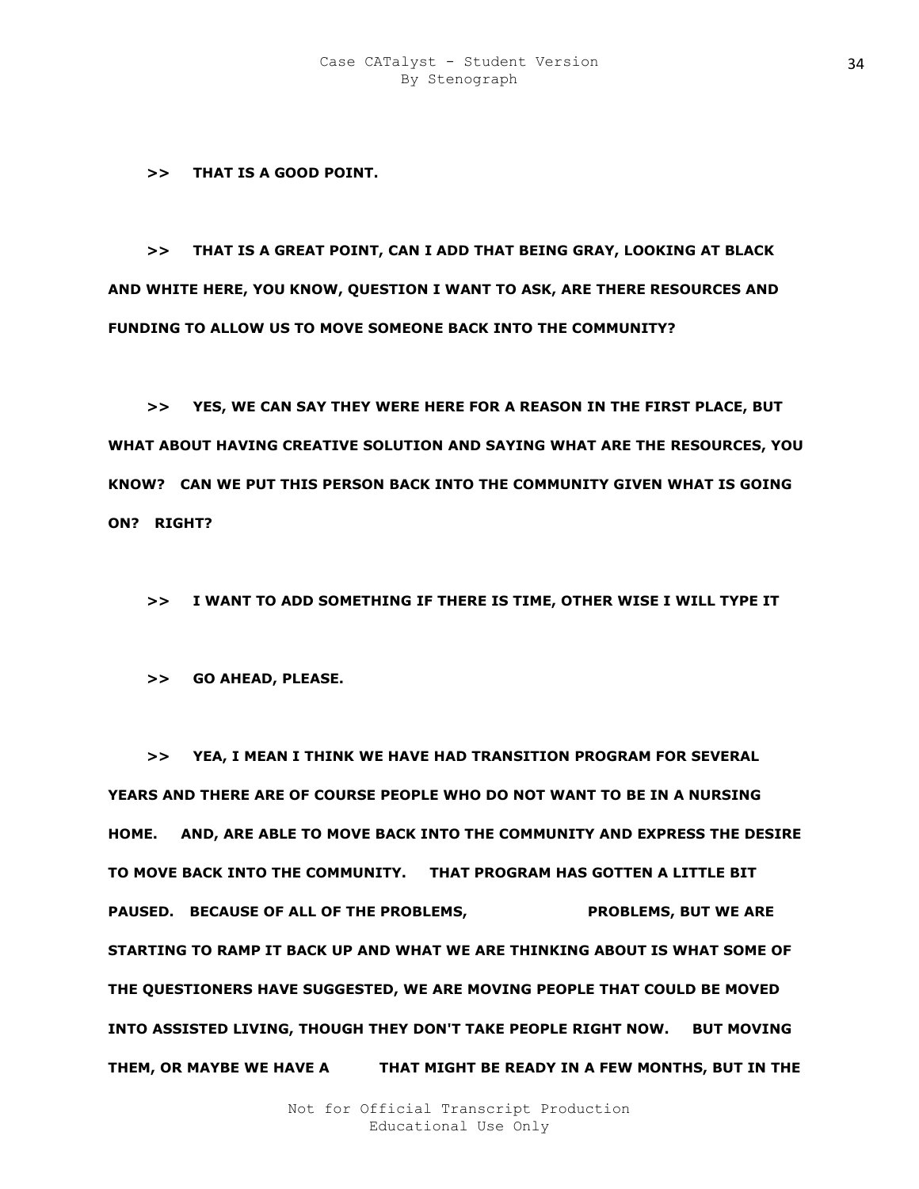**>> THAT IS A GOOD POINT.** 

 **>> THAT IS A GREAT POINT, CAN I ADD THAT BEING GRAY, LOOKING AT BLACK AND WHITE HERE, YOU KNOW, QUESTION I WANT TO ASK, ARE THERE RESOURCES AND FUNDING TO ALLOW US TO MOVE SOMEONE BACK INTO THE COMMUNITY?** 

 **>> YES, WE CAN SAY THEY WERE HERE FOR A REASON IN THE FIRST PLACE, BUT WHAT ABOUT HAVING CREATIVE SOLUTION AND SAYING WHAT ARE THE RESOURCES, YOU KNOW? CAN WE PUT THIS PERSON BACK INTO THE COMMUNITY GIVEN WHAT IS GOING ON? RIGHT?** 

 **>> I WANT TO ADD SOMETHING IF THERE IS TIME, OTHER WISE I WILL TYPE IT** 

 **>> GO AHEAD, PLEASE.** 

 **>> YEA, I MEAN I THINK WE HAVE HAD TRANSITION PROGRAM FOR SEVERAL YEARS AND THERE ARE OF COURSE PEOPLE WHO DO NOT WANT TO BE IN A NURSING HOME. AND, ARE ABLE TO MOVE BACK INTO THE COMMUNITY AND EXPRESS THE DESIRE TO MOVE BACK INTO THE COMMUNITY. THAT PROGRAM HAS GOTTEN A LITTLE BIT PAUSED. BECAUSE OF ALL OF THE PROBLEMS, WE PROBLEMS, BUT WE ARE STARTING TO RAMP IT BACK UP AND WHAT WE ARE THINKING ABOUT IS WHAT SOME OF THE QUESTIONERS HAVE SUGGESTED, WE ARE MOVING PEOPLE THAT COULD BE MOVED INTO ASSISTED LIVING, THOUGH THEY DON'T TAKE PEOPLE RIGHT NOW. BUT MOVING**  THEM, OR MAYBE WE HAVE A **THAT MIGHT BE READY IN A FEW MONTHS, BUT IN** THE

> Not for Official Transcript Production Educational Use Only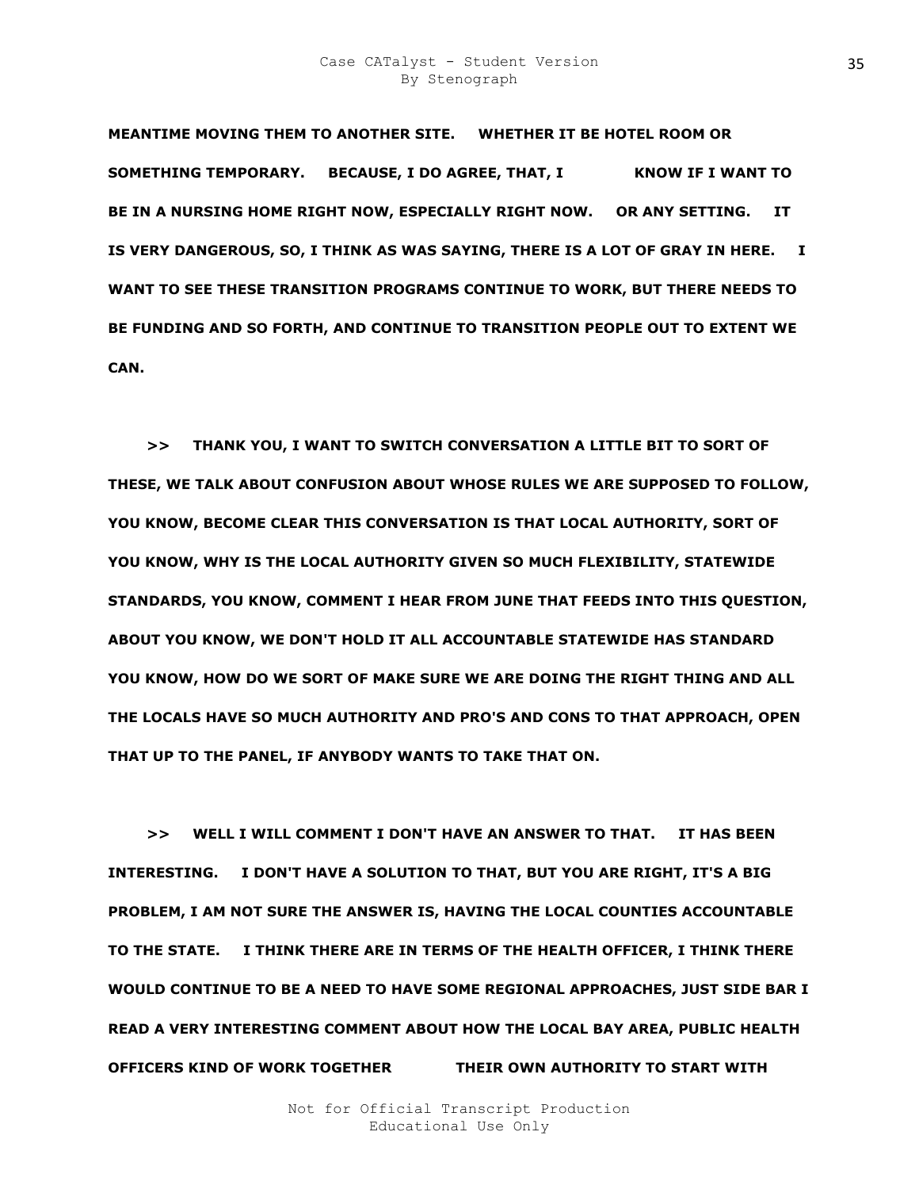### Case CATalyst - Student Version By Stenograph

**MEANTIME MOVING THEM TO ANOTHER SITE. WHETHER IT BE HOTEL ROOM OR SOMETHING TEMPORARY.** BECAUSE, I DO AGREE, THAT, I KNOW IF I WANT TO **BE IN A NURSING HOME RIGHT NOW, ESPECIALLY RIGHT NOW. OR ANY SETTING. IT IS VERY DANGEROUS, SO, I THINK AS WAS SAYING, THERE IS A LOT OF GRAY IN HERE. I WANT TO SEE THESE TRANSITION PROGRAMS CONTINUE TO WORK, BUT THERE NEEDS TO BE FUNDING AND SO FORTH, AND CONTINUE TO TRANSITION PEOPLE OUT TO EXTENT WE CAN.** 

 **>> THANK YOU, I WANT TO SWITCH CONVERSATION A LITTLE BIT TO SORT OF THESE, WE TALK ABOUT CONFUSION ABOUT WHOSE RULES WE ARE SUPPOSED TO FOLLOW, YOU KNOW, BECOME CLEAR THIS CONVERSATION IS THAT LOCAL AUTHORITY, SORT OF YOU KNOW, WHY IS THE LOCAL AUTHORITY GIVEN SO MUCH FLEXIBILITY, STATEWIDE STANDARDS, YOU KNOW, COMMENT I HEAR FROM JUNE THAT FEEDS INTO THIS QUESTION, ABOUT YOU KNOW, WE DON'T HOLD IT ALL ACCOUNTABLE STATEWIDE HAS STANDARD YOU KNOW, HOW DO WE SORT OF MAKE SURE WE ARE DOING THE RIGHT THING AND ALL THE LOCALS HAVE SO MUCH AUTHORITY AND PRO'S AND CONS TO THAT APPROACH, OPEN THAT UP TO THE PANEL, IF ANYBODY WANTS TO TAKE THAT ON.** 

 **>> WELL I WILL COMMENT I DON'T HAVE AN ANSWER TO THAT. IT HAS BEEN INTERESTING. I DON'T HAVE A SOLUTION TO THAT, BUT YOU ARE RIGHT, IT'S A BIG PROBLEM, I AM NOT SURE THE ANSWER IS, HAVING THE LOCAL COUNTIES ACCOUNTABLE TO THE STATE. I THINK THERE ARE IN TERMS OF THE HEALTH OFFICER, I THINK THERE WOULD CONTINUE TO BE A NEED TO HAVE SOME REGIONAL APPROACHES, JUST SIDE BAR I READ A VERY INTERESTING COMMENT ABOUT HOW THE LOCAL BAY AREA, PUBLIC HEALTH OFFICERS KIND OF WORK TOGETHER AURND THEIR OWN AUTHORITY TO START WITH**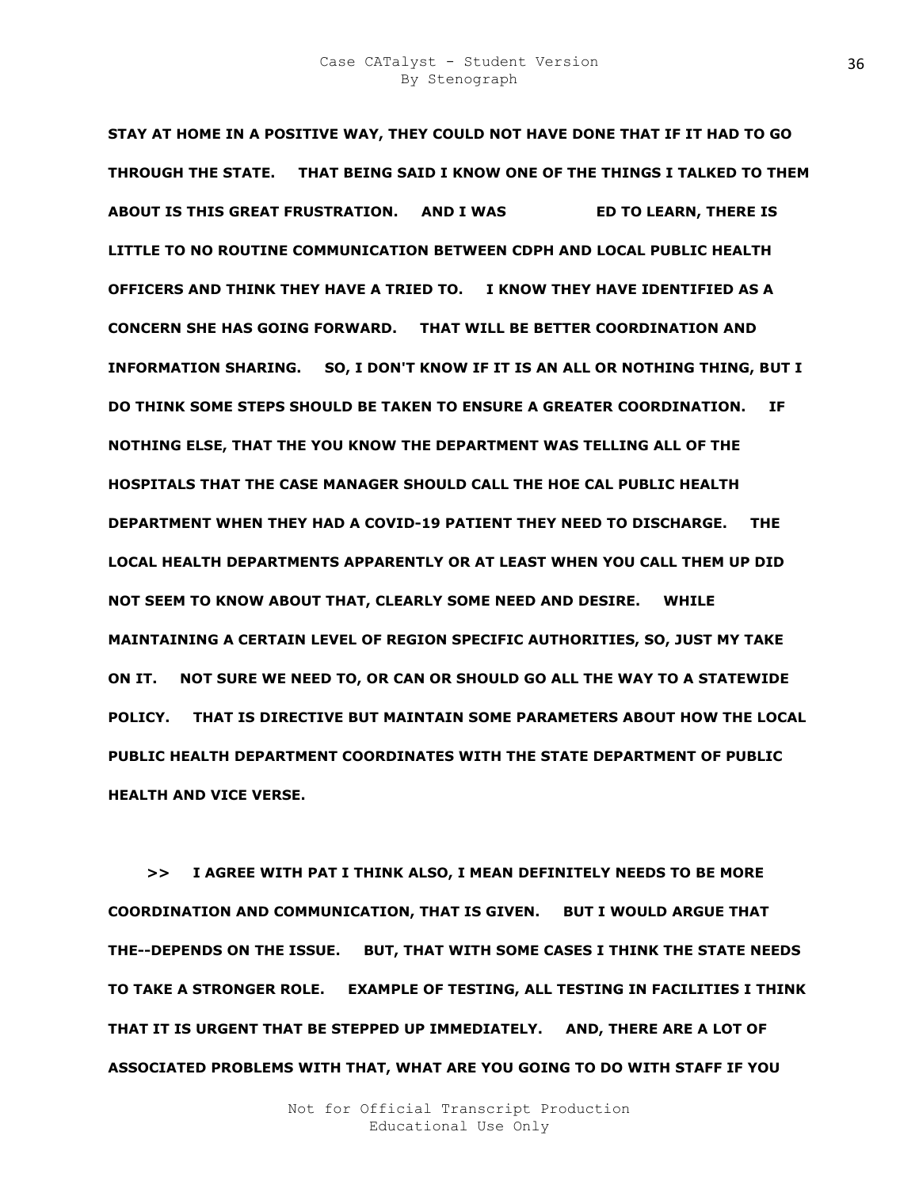**STAY AT HOME IN A POSITIVE WAY, THEY COULD NOT HAVE DONE THAT IF IT HAD TO GO THROUGH THE STATE. THAT BEING SAID I KNOW ONE OF THE THINGS I TALKED TO THEM ABOUT IS THIS GREAT FRUSTRATION. AND I WAS THE RIGHT THERE IS LITTLE TO NO ROUTINE COMMUNICATION BETWEEN CDPH AND LOCAL PUBLIC HEALTH OFFICERS AND THINK THEY HAVE A TRIED TO. I KNOW THEY HAVE IDENTIFIED AS A CONCERN SHE HAS GOING FORWARD. THAT WILL BE BETTER COORDINATION AND INFORMATION SHARING. SO, I DON'T KNOW IF IT IS AN ALL OR NOTHING THING, BUT I DO THINK SOME STEPS SHOULD BE TAKEN TO ENSURE A GREATER COORDINATION. IF NOTHING ELSE, THAT THE YOU KNOW THE DEPARTMENT WAS TELLING ALL OF THE HOSPITALS THAT THE CASE MANAGER SHOULD CALL THE HOE CAL PUBLIC HEALTH DEPARTMENT WHEN THEY HAD A COVID-19 PATIENT THEY NEED TO DISCHARGE. THE LOCAL HEALTH DEPARTMENTS APPARENTLY OR AT LEAST WHEN YOU CALL THEM UP DID NOT SEEM TO KNOW ABOUT THAT, CLEARLY SOME NEED AND DESIRE. WHILE MAINTAINING A CERTAIN LEVEL OF REGION SPECIFIC AUTHORITIES, SO, JUST MY TAKE ON IT. NOT SURE WE NEED TO, OR CAN OR SHOULD GO ALL THE WAY TO A STATEWIDE POLICY. THAT IS DIRECTIVE BUT MAINTAIN SOME PARAMETERS ABOUT HOW THE LOCAL PUBLIC HEALTH DEPARTMENT COORDINATES WITH THE STATE DEPARTMENT OF PUBLIC HEALTH AND VICE VERSE.** 

 **>> I AGREE WITH PAT I THINK ALSO, I MEAN DEFINITELY NEEDS TO BE MORE COORDINATION AND COMMUNICATION, THAT IS GIVEN. BUT I WOULD ARGUE THAT THE--DEPENDS ON THE ISSUE. BUT, THAT WITH SOME CASES I THINK THE STATE NEEDS TO TAKE A STRONGER ROLE. EXAMPLE OF TESTING, ALL TESTING IN FACILITIES I THINK THAT IT IS URGENT THAT BE STEPPED UP IMMEDIATELY. AND, THERE ARE A LOT OF ASSOCIATED PROBLEMS WITH THAT, WHAT ARE YOU GOING TO DO WITH STAFF IF YOU**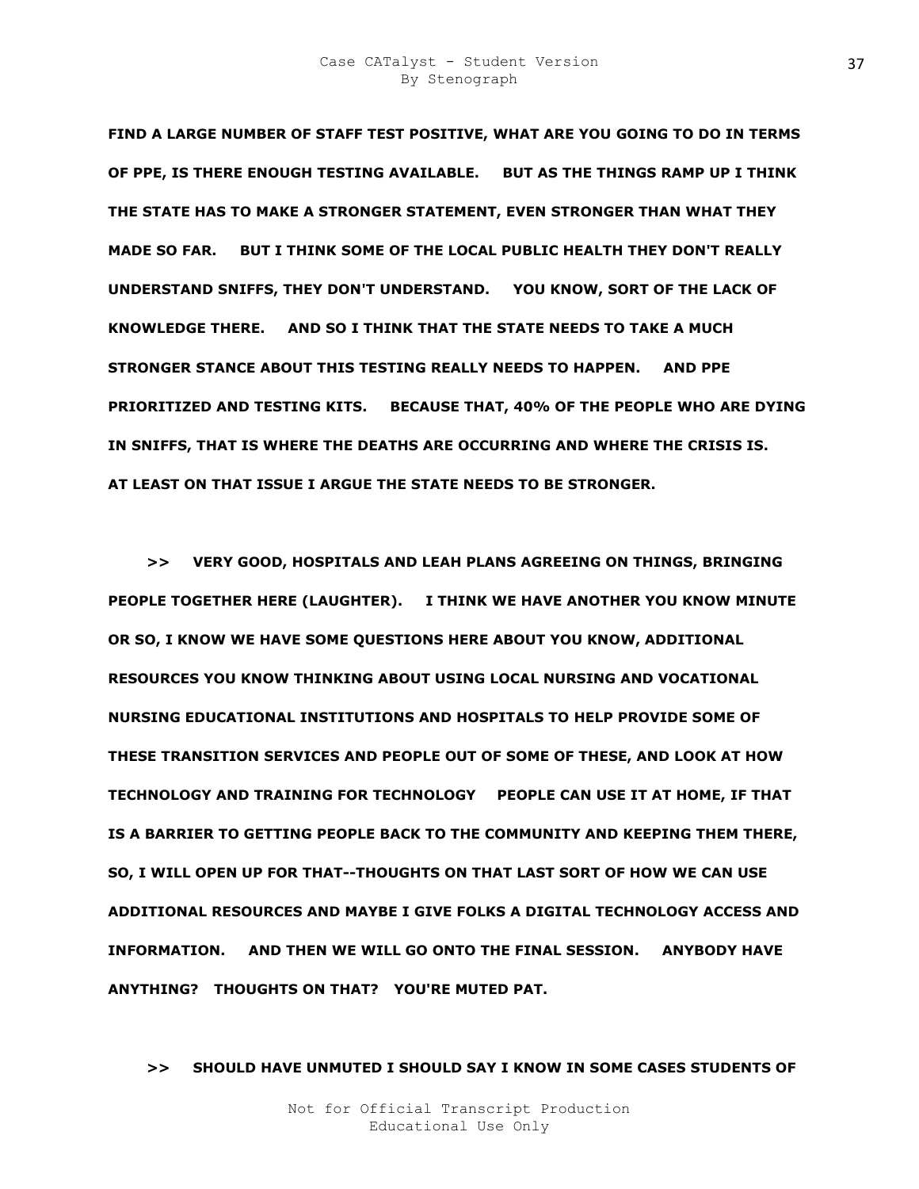**FIND A LARGE NUMBER OF STAFF TEST POSITIVE, WHAT ARE YOU GOING TO DO IN TERMS OF PPE, IS THERE ENOUGH TESTING AVAILABLE. BUT AS THE THINGS RAMP UP I THINK THE STATE HAS TO MAKE A STRONGER STATEMENT, EVEN STRONGER THAN WHAT THEY MADE SO FAR. BUT I THINK SOME OF THE LOCAL PUBLIC HEALTH THEY DON'T REALLY UNDERSTAND SNIFFS, THEY DON'T UNDERSTAND. YOU KNOW, SORT OF THE LACK OF KNOWLEDGE THERE. AND SO I THINK THAT THE STATE NEEDS TO TAKE A MUCH STRONGER STANCE ABOUT THIS TESTING REALLY NEEDS TO HAPPEN. AND PPE PRIORITIZED AND TESTING KITS. BECAUSE THAT, 40% OF THE PEOPLE WHO ARE DYING IN SNIFFS, THAT IS WHERE THE DEATHS ARE OCCURRING AND WHERE THE CRISIS IS. AT LEAST ON THAT ISSUE I ARGUE THE STATE NEEDS TO BE STRONGER.** 

 **>> VERY GOOD, HOSPITALS AND LEAH PLANS AGREEING ON THINGS, BRINGING PEOPLE TOGETHER HERE (LAUGHTER). I THINK WE HAVE ANOTHER YOU KNOW MINUTE OR SO, I KNOW WE HAVE SOME QUESTIONS HERE ABOUT YOU KNOW, ADDITIONAL RESOURCES YOU KNOW THINKING ABOUT USING LOCAL NURSING AND VOCATIONAL NURSING EDUCATIONAL INSTITUTIONS AND HOSPITALS TO HELP PROVIDE SOME OF THESE TRANSITION SERVICES AND PEOPLE OUT OF SOME OF THESE, AND LOOK AT HOW TECHNOLOGY AND TRAINING FOR TECHNOLOGY O PEOPLE CAN USE IT AT HOME, IF THAT IS A BARRIER TO GETTING PEOPLE BACK TO THE COMMUNITY AND KEEPING THEM THERE, SO, I WILL OPEN UP FOR THAT--THOUGHTS ON THAT LAST SORT OF HOW WE CAN USE ADDITIONAL RESOURCES AND MAYBE I GIVE FOLKS A DIGITAL TECHNOLOGY ACCESS AND INFORMATION. AND THEN WE WILL GO ONTO THE FINAL SESSION. ANYBODY HAVE ANYTHING? THOUGHTS ON THAT? YOU'RE MUTED PAT.** 

 **>> SHOULD HAVE UNMUTED I SHOULD SAY I KNOW IN SOME CASES STUDENTS OF**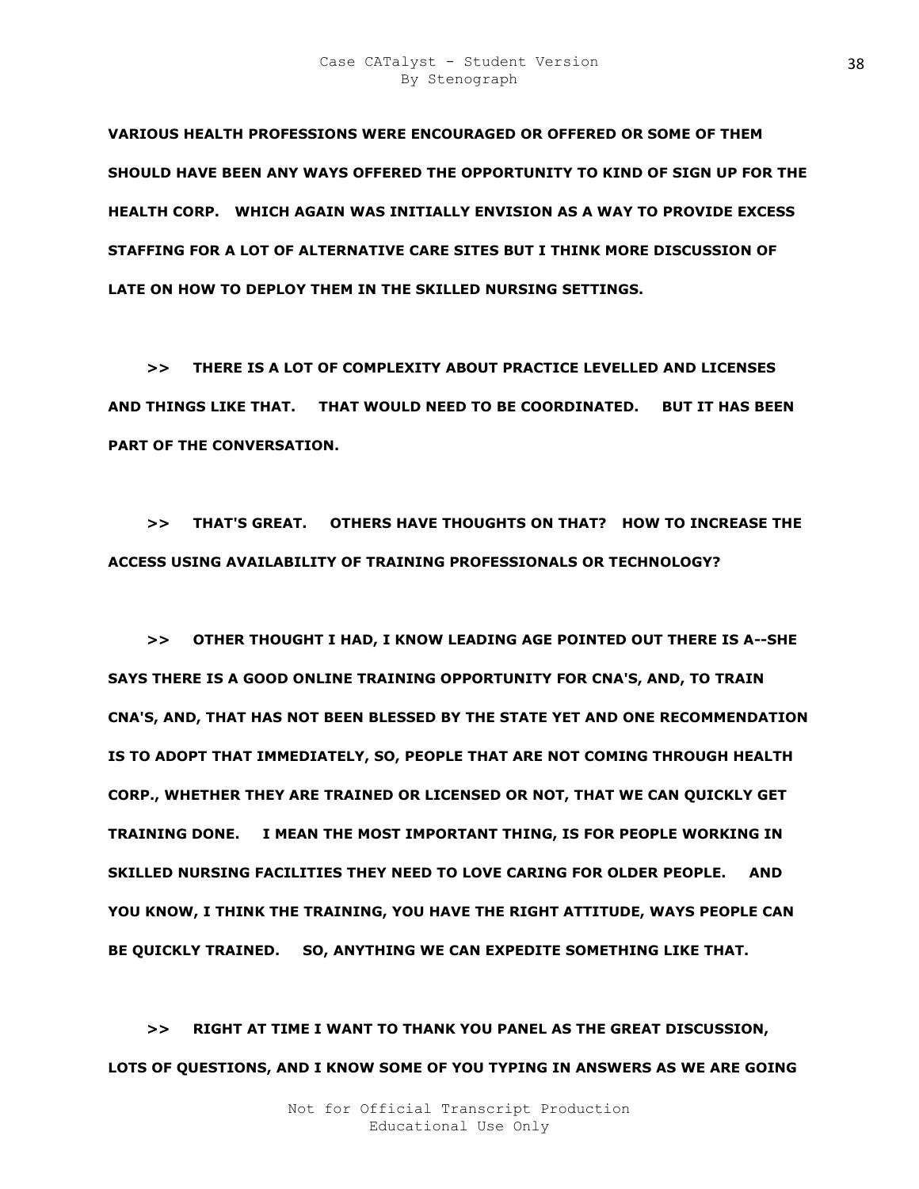**VARIOUS HEALTH PROFESSIONS WERE ENCOURAGED OR OFFERED OR SOME OF THEM SHOULD HAVE BEEN ANY WAYS OFFERED THE OPPORTUNITY TO KIND OF SIGN UP FOR THE HEALTH CORP. WHICH AGAIN WAS INITIALLY ENVISION AS A WAY TO PROVIDE EXCESS STAFFING FOR A LOT OF ALTERNATIVE CARE SITES BUT I THINK MORE DISCUSSION OF LATE ON HOW TO DEPLOY THEM IN THE SKILLED NURSING SETTINGS.** 

 **>> THERE IS A LOT OF COMPLEXITY ABOUT PRACTICE LEVELLED AND LICENSES AND THINGS LIKE THAT. THAT WOULD NEED TO BE COORDINATED. BUT IT HAS BEEN PART OF THE CONVERSATION.** 

 **>> THAT'S GREAT. OTHERS HAVE THOUGHTS ON THAT? HOW TO INCREASE THE ACCESS USING AVAILABILITY OF TRAINING PROFESSIONALS OR TECHNOLOGY?** 

 **>> OTHER THOUGHT I HAD, I KNOW LEADING AGE POINTED OUT THERE IS A--SHE SAYS THERE IS A GOOD ONLINE TRAINING OPPORTUNITY FOR CNA'S, AND, TO TRAIN CNA'S, AND, THAT HAS NOT BEEN BLESSED BY THE STATE YET AND ONE RECOMMENDATION IS TO ADOPT THAT IMMEDIATELY, SO, PEOPLE THAT ARE NOT COMING THROUGH HEALTH CORP., WHETHER THEY ARE TRAINED OR LICENSED OR NOT, THAT WE CAN QUICKLY GET TRAINING DONE. I MEAN THE MOST IMPORTANT THING, IS FOR PEOPLE WORKING IN SKILLED NURSING FACILITIES THEY NEED TO LOVE CARING FOR OLDER PEOPLE. AND YOU KNOW, I THINK THE TRAINING, YOU HAVE THE RIGHT ATTITUDE, WAYS PEOPLE CAN BE QUICKLY TRAINED. SO, ANYTHING WE CAN EXPEDITE SOMETHING LIKE THAT.** 

 **>> RIGHT AT TIME I WANT TO THANK YOU PANEL AS THE GREAT DISCUSSION, LOTS OF QUESTIONS, AND I KNOW SOME OF YOU TYPING IN ANSWERS AS WE ARE GOING**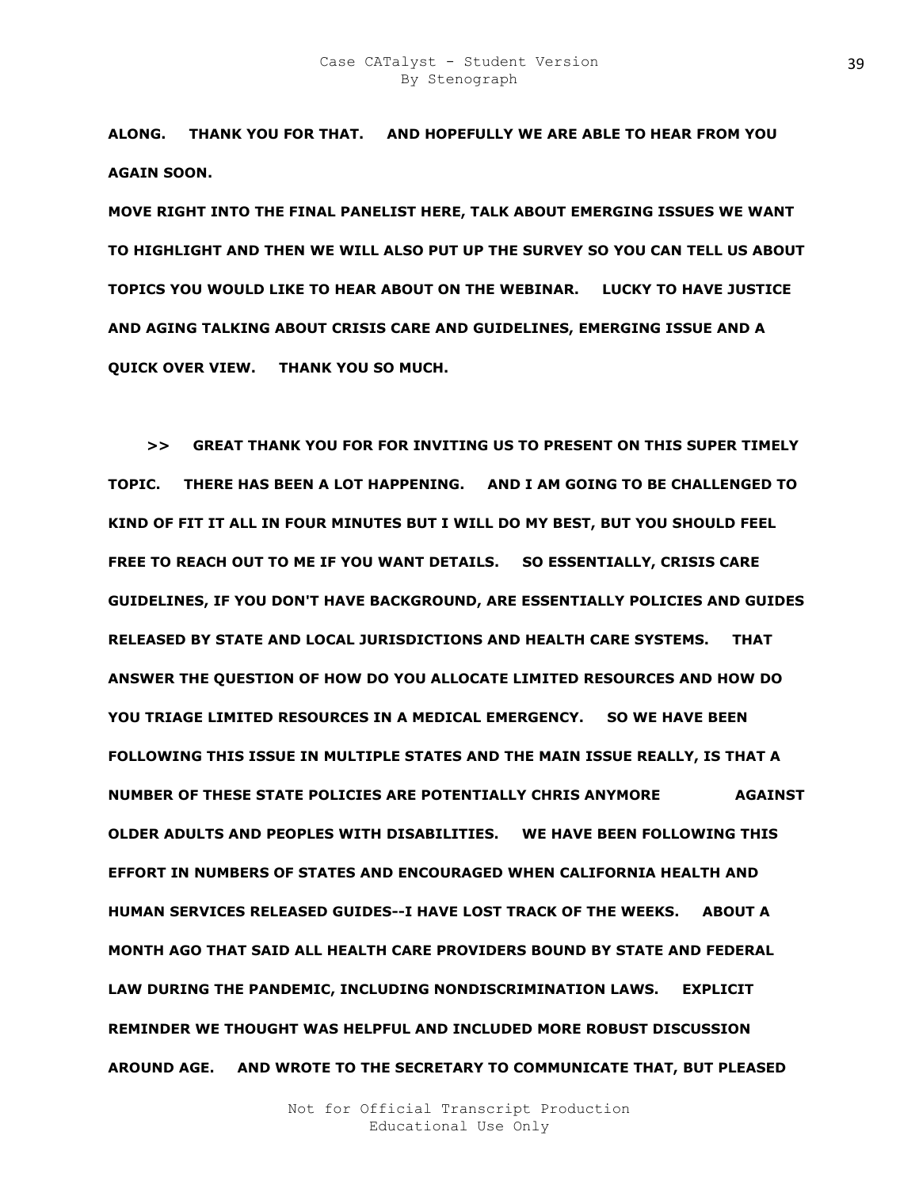**ALONG. THANK YOU FOR THAT. AND HOPEFULLY WE ARE ABLE TO HEAR FROM YOU AGAIN SOON.** 

**MOVE RIGHT INTO THE FINAL PANELIST HERE, TALK ABOUT EMERGING ISSUES WE WANT TO HIGHLIGHT AND THEN WE WILL ALSO PUT UP THE SURVEY SO YOU CAN TELL US ABOUT TOPICS YOU WOULD LIKE TO HEAR ABOUT ON THE WEBINAR. LUCKY TO HAVE JUSTICE AND AGING TALKING ABOUT CRISIS CARE AND GUIDELINES, EMERGING ISSUE AND A QUICK OVER VIEW. THANK YOU SO MUCH.** 

 **>> GREAT THANK YOU FOR FOR INVITING US TO PRESENT ON THIS SUPER TIMELY TOPIC. THERE HAS BEEN A LOT HAPPENING. AND I AM GOING TO BE CHALLENGED TO KIND OF FIT IT ALL IN FOUR MINUTES BUT I WILL DO MY BEST, BUT YOU SHOULD FEEL FREE TO REACH OUT TO ME IF YOU WANT DETAILS. SO ESSENTIALLY, CRISIS CARE GUIDELINES, IF YOU DON'T HAVE BACKGROUND, ARE ESSENTIALLY POLICIES AND GUIDES RELEASED BY STATE AND LOCAL JURISDICTIONS AND HEALTH CARE SYSTEMS. THAT ANSWER THE QUESTION OF HOW DO YOU ALLOCATE LIMITED RESOURCES AND HOW DO YOU TRIAGE LIMITED RESOURCES IN A MEDICAL EMERGENCY. SO WE HAVE BEEN FOLLOWING THIS ISSUE IN MULTIPLE STATES AND THE MAIN ISSUE REALLY, IS THAT A NUMBER OF THESE STATE POLICIES ARE POTENTIALLY CHRIS ANYMORE AGAINST OLDER ADULTS AND PEOPLES WITH DISABILITIES. WE HAVE BEEN FOLLOWING THIS EFFORT IN NUMBERS OF STATES AND ENCOURAGED WHEN CALIFORNIA HEALTH AND HUMAN SERVICES RELEASED GUIDES--I HAVE LOST TRACK OF THE WEEKS. ABOUT A MONTH AGO THAT SAID ALL HEALTH CARE PROVIDERS BOUND BY STATE AND FEDERAL LAW DURING THE PANDEMIC, INCLUDING NONDISCRIMINATION LAWS. EXPLICIT REMINDER WE THOUGHT WAS HELPFUL AND INCLUDED MORE ROBUST DISCUSSION AROUND AGE. AND WROTE TO THE SECRETARY TO COMMUNICATE THAT, BUT PLEASED**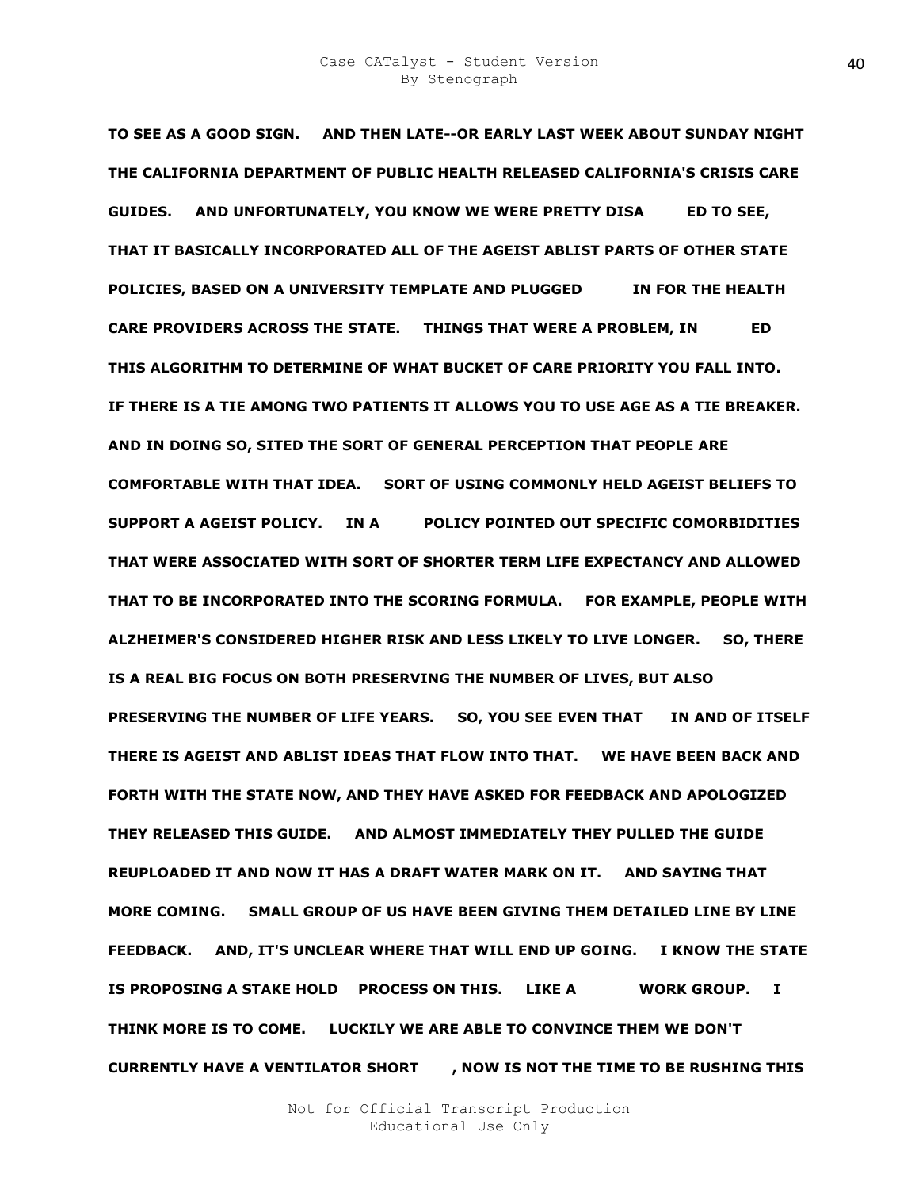**TO SEE AS A GOOD SIGN. AND THEN LATE--OR EARLY LAST WEEK ABOUT SUNDAY NIGHT THE CALIFORNIA DEPARTMENT OF PUBLIC HEALTH RELEASED CALIFORNIA'S CRISIS CARE**  GUIDES. AND UNFORTUNATELY, YOU KNOW WE WERE PRETTY DISA ED TO SEE, **THAT IT BASICALLY INCORPORATED ALL OF THE AGEIST ABLIST PARTS OF OTHER STATE POLICIES, BASED ON A UNIVERSITY TEMPLATE AND PLUGGED THE ROLL THE HEALTH** CARE PROVIDERS ACROSS THE STATE. THINGS THAT WERE A PROBLEM, IN **ED THIS ALGORITHM TO DETERMINE OF WHAT BUCKET OF CARE PRIORITY YOU FALL INTO. IF THERE IS A TIE AMONG TWO PATIENTS IT ALLOWS YOU TO USE AGE AS A TIE BREAKER. AND IN DOING SO, SITED THE SORT OF GENERAL PERCEPTION THAT PEOPLE ARE COMFORTABLE WITH THAT IDEA. SORT OF USING COMMONLY HELD AGEIST BELIEFS TO SUPPORT A AGEIST POLICY. IN ADIGS POLICY POINTED OUT SPECIFIC COMORBIDITIES THAT WERE ASSOCIATED WITH SORT OF SHORTER TERM LIFE EXPECTANCY AND ALLOWED THAT TO BE INCORPORATED INTO THE SCORING FORMULA. FOR EXAMPLE, PEOPLE WITH ALZHEIMER'S CONSIDERED HIGHER RISK AND LESS LIKELY TO LIVE LONGER. SO, THERE IS A REAL BIG FOCUS ON BOTH PRESERVING THE NUMBER OF LIVES, BUT ALSO**  PRESERVING THE NUMBER OF LIFE YEARS. SO, YOU SEE EVEN THAT IN AND OF ITSELF **THERE IS AGEIST AND ABLIST IDEAS THAT FLOW INTO THAT. WE HAVE BEEN BACK AND FORTH WITH THE STATE NOW, AND THEY HAVE ASKED FOR FEEDBACK AND APOLOGIZED THEY RELEASED THIS GUIDE. AND ALMOST IMMEDIATELY THEY PULLED THE GUIDE REUPLOADED IT AND NOW IT HAS A DRAFT WATER MARK ON IT. AND SAYING THAT MORE COMING. SMALL GROUP OF US HAVE BEEN GIVING THEM DETAILED LINE BY LINE FEEDBACK. AND, IT'S UNCLEAR WHERE THAT WILL END UP GOING. I KNOW THE STATE IS PROPOSING A STAKE HOLD PROCESS ON THIS. LIKE A SMORK GROUP. I THINK MORE IS TO COME. LUCKILY WE ARE ABLE TO CONVINCE THEM WE DON'T CURRENTLY HAVE A VENTILATOR SHORT ARJ, NOW IS NOT THE TIME TO BE RUSHING THIS**